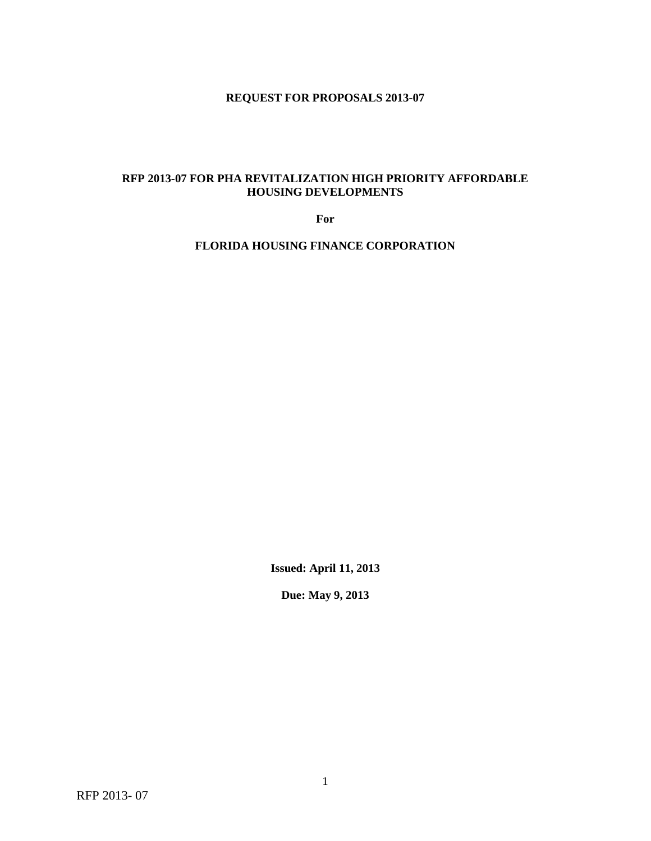# **REQUEST FOR PROPOSALS 2013-07**

# **RFP 2013-07 FOR PHA REVITALIZATION HIGH PRIORITY AFFORDABLE HOUSING DEVELOPMENTS**

**For**

**FLORIDA HOUSING FINANCE CORPORATION**

**Issued: April 11, 2013**

**Due: May 9, 2013**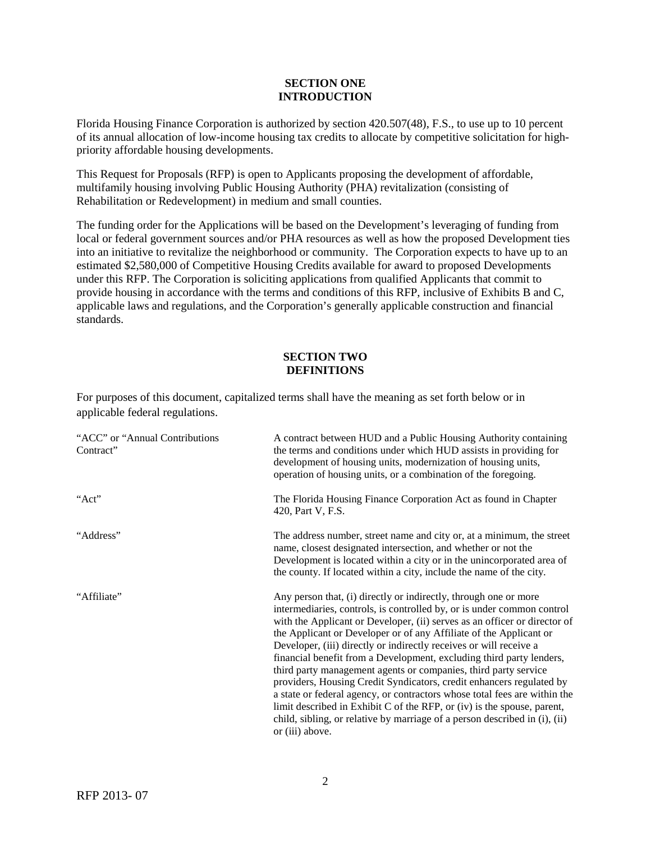#### **SECTION ONE INTRODUCTION**

Florida Housing Finance Corporation is authorized by section 420.507(48), F.S., to use up to 10 percent of its annual allocation of low-income housing tax credits to allocate by competitive solicitation for highpriority affordable housing developments.

This Request for Proposals (RFP) is open to Applicants proposing the development of affordable, multifamily housing involving Public Housing Authority (PHA) revitalization (consisting of Rehabilitation or Redevelopment) in medium and small counties.

The funding order for the Applications will be based on the Development's leveraging of funding from local or federal government sources and/or PHA resources as well as how the proposed Development ties into an initiative to revitalize the neighborhood or community. The Corporation expects to have up to an estimated \$2,580,000 of Competitive Housing Credits available for award to proposed Developments under this RFP. The Corporation is soliciting applications from qualified Applicants that commit to provide housing in accordance with the terms and conditions of this RFP, inclusive of Exhibits B and C, applicable laws and regulations, and the Corporation's generally applicable construction and financial standards.

# **SECTION TWO DEFINITIONS**

For purposes of this document, capitalized terms shall have the meaning as set forth below or in applicable federal regulations.

| "ACC" or "Annual Contributions<br>Contract" | A contract between HUD and a Public Housing Authority containing<br>the terms and conditions under which HUD assists in providing for<br>development of housing units, modernization of housing units,<br>operation of housing units, or a combination of the foregoing.                                                                                                                                                                                                                                                                                                                                                                                                                                                                                                                                                                        |
|---------------------------------------------|-------------------------------------------------------------------------------------------------------------------------------------------------------------------------------------------------------------------------------------------------------------------------------------------------------------------------------------------------------------------------------------------------------------------------------------------------------------------------------------------------------------------------------------------------------------------------------------------------------------------------------------------------------------------------------------------------------------------------------------------------------------------------------------------------------------------------------------------------|
| "Act"                                       | The Florida Housing Finance Corporation Act as found in Chapter<br>420, Part V, F.S.                                                                                                                                                                                                                                                                                                                                                                                                                                                                                                                                                                                                                                                                                                                                                            |
| "Address"                                   | The address number, street name and city or, at a minimum, the street<br>name, closest designated intersection, and whether or not the<br>Development is located within a city or in the unincorporated area of<br>the county. If located within a city, include the name of the city.                                                                                                                                                                                                                                                                                                                                                                                                                                                                                                                                                          |
| "Affiliate"                                 | Any person that, (i) directly or indirectly, through one or more<br>intermediaries, controls, is controlled by, or is under common control<br>with the Applicant or Developer, (ii) serves as an officer or director of<br>the Applicant or Developer or of any Affiliate of the Applicant or<br>Developer, (iii) directly or indirectly receives or will receive a<br>financial benefit from a Development, excluding third party lenders,<br>third party management agents or companies, third party service<br>providers, Housing Credit Syndicators, credit enhancers regulated by<br>a state or federal agency, or contractors whose total fees are within the<br>limit described in Exhibit C of the RFP, or (iv) is the spouse, parent,<br>child, sibling, or relative by marriage of a person described in (i), (ii)<br>or (iii) above. |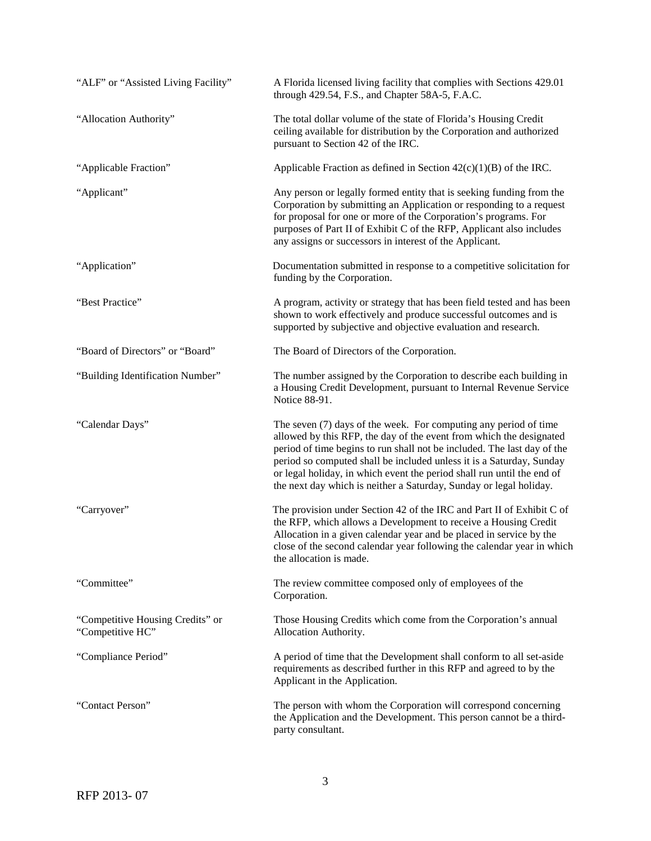| "ALF" or "Assisted Living Facility"                  | A Florida licensed living facility that complies with Sections 429.01<br>through 429.54, F.S., and Chapter 58A-5, F.A.C.                                                                                                                                                                                                                                                                                                                   |
|------------------------------------------------------|--------------------------------------------------------------------------------------------------------------------------------------------------------------------------------------------------------------------------------------------------------------------------------------------------------------------------------------------------------------------------------------------------------------------------------------------|
| "Allocation Authority"                               | The total dollar volume of the state of Florida's Housing Credit<br>ceiling available for distribution by the Corporation and authorized<br>pursuant to Section 42 of the IRC.                                                                                                                                                                                                                                                             |
| "Applicable Fraction"                                | Applicable Fraction as defined in Section $42(c)(1)(B)$ of the IRC.                                                                                                                                                                                                                                                                                                                                                                        |
| "Applicant"                                          | Any person or legally formed entity that is seeking funding from the<br>Corporation by submitting an Application or responding to a request<br>for proposal for one or more of the Corporation's programs. For<br>purposes of Part II of Exhibit C of the RFP, Applicant also includes<br>any assigns or successors in interest of the Applicant.                                                                                          |
| "Application"                                        | Documentation submitted in response to a competitive solicitation for<br>funding by the Corporation.                                                                                                                                                                                                                                                                                                                                       |
| "Best Practice"                                      | A program, activity or strategy that has been field tested and has been<br>shown to work effectively and produce successful outcomes and is<br>supported by subjective and objective evaluation and research.                                                                                                                                                                                                                              |
| "Board of Directors" or "Board"                      | The Board of Directors of the Corporation.                                                                                                                                                                                                                                                                                                                                                                                                 |
| "Building Identification Number"                     | The number assigned by the Corporation to describe each building in<br>a Housing Credit Development, pursuant to Internal Revenue Service<br>Notice 88-91.                                                                                                                                                                                                                                                                                 |
| "Calendar Days"                                      | The seven (7) days of the week. For computing any period of time<br>allowed by this RFP, the day of the event from which the designated<br>period of time begins to run shall not be included. The last day of the<br>period so computed shall be included unless it is a Saturday, Sunday<br>or legal holiday, in which event the period shall run until the end of<br>the next day which is neither a Saturday, Sunday or legal holiday. |
| "Carryover"                                          | The provision under Section 42 of the IRC and Part II of Exhibit C of<br>the RFP, which allows a Development to receive a Housing Credit<br>Allocation in a given calendar year and be placed in service by the<br>close of the second calendar year following the calendar year in which<br>the allocation is made.                                                                                                                       |
| "Committee"                                          | The review committee composed only of employees of the<br>Corporation.                                                                                                                                                                                                                                                                                                                                                                     |
| "Competitive Housing Credits" or<br>"Competitive HC" | Those Housing Credits which come from the Corporation's annual<br>Allocation Authority.                                                                                                                                                                                                                                                                                                                                                    |
| "Compliance Period"                                  | A period of time that the Development shall conform to all set-aside<br>requirements as described further in this RFP and agreed to by the<br>Applicant in the Application.                                                                                                                                                                                                                                                                |
| "Contact Person"                                     | The person with whom the Corporation will correspond concerning<br>the Application and the Development. This person cannot be a third-<br>party consultant.                                                                                                                                                                                                                                                                                |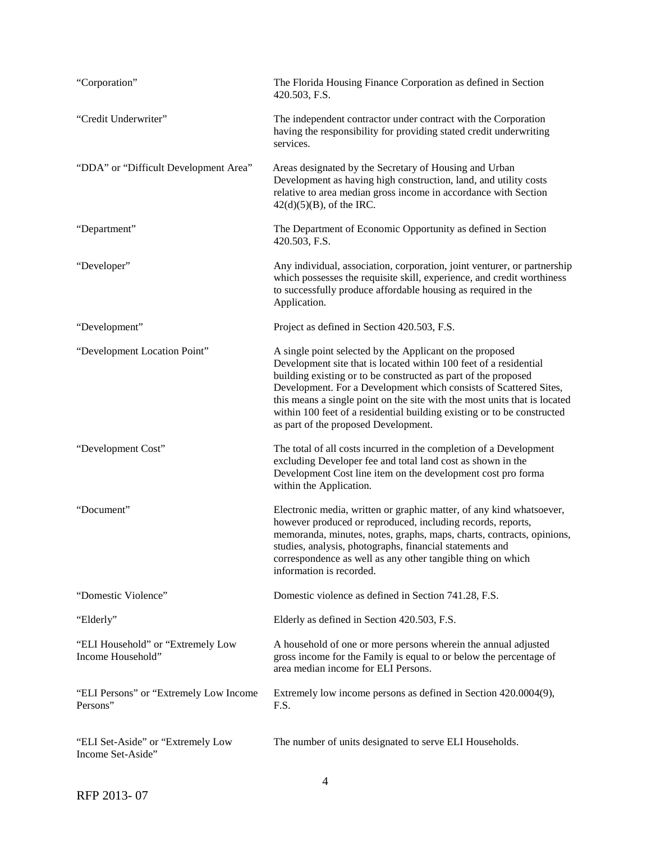| "Corporation"                                          | The Florida Housing Finance Corporation as defined in Section<br>420.503, F.S.                                                                                                                                                                                                                                                                                                                                                                                       |
|--------------------------------------------------------|----------------------------------------------------------------------------------------------------------------------------------------------------------------------------------------------------------------------------------------------------------------------------------------------------------------------------------------------------------------------------------------------------------------------------------------------------------------------|
| "Credit Underwriter"                                   | The independent contractor under contract with the Corporation<br>having the responsibility for providing stated credit underwriting<br>services.                                                                                                                                                                                                                                                                                                                    |
| "DDA" or "Difficult Development Area"                  | Areas designated by the Secretary of Housing and Urban<br>Development as having high construction, land, and utility costs<br>relative to area median gross income in accordance with Section<br>$42(d)(5)(B)$ , of the IRC.                                                                                                                                                                                                                                         |
| "Department"                                           | The Department of Economic Opportunity as defined in Section<br>420.503, F.S.                                                                                                                                                                                                                                                                                                                                                                                        |
| "Developer"                                            | Any individual, association, corporation, joint venturer, or partnership<br>which possesses the requisite skill, experience, and credit worthiness<br>to successfully produce affordable housing as required in the<br>Application.                                                                                                                                                                                                                                  |
| "Development"                                          | Project as defined in Section 420.503, F.S.                                                                                                                                                                                                                                                                                                                                                                                                                          |
| "Development Location Point"                           | A single point selected by the Applicant on the proposed<br>Development site that is located within 100 feet of a residential<br>building existing or to be constructed as part of the proposed<br>Development. For a Development which consists of Scattered Sites,<br>this means a single point on the site with the most units that is located<br>within 100 feet of a residential building existing or to be constructed<br>as part of the proposed Development. |
| "Development Cost"                                     | The total of all costs incurred in the completion of a Development<br>excluding Developer fee and total land cost as shown in the<br>Development Cost line item on the development cost pro forma<br>within the Application.                                                                                                                                                                                                                                         |
| "Document"                                             | Electronic media, written or graphic matter, of any kind whatsoever,<br>however produced or reproduced, including records, reports,<br>memoranda, minutes, notes, graphs, maps, charts, contracts, opinions,<br>studies, analysis, photographs, financial statements and<br>correspondence as well as any other tangible thing on which<br>information is recorded.                                                                                                  |
| "Domestic Violence"                                    | Domestic violence as defined in Section 741.28, F.S.                                                                                                                                                                                                                                                                                                                                                                                                                 |
| "Elderly"                                              | Elderly as defined in Section 420.503, F.S.                                                                                                                                                                                                                                                                                                                                                                                                                          |
| "ELI Household" or "Extremely Low<br>Income Household" | A household of one or more persons wherein the annual adjusted<br>gross income for the Family is equal to or below the percentage of<br>area median income for ELI Persons.                                                                                                                                                                                                                                                                                          |
| "ELI Persons" or "Extremely Low Income<br>Persons"     | Extremely low income persons as defined in Section 420.0004(9),<br>F.S.                                                                                                                                                                                                                                                                                                                                                                                              |
| "ELI Set-Aside" or "Extremely Low<br>Income Set-Aside" | The number of units designated to serve ELI Households.                                                                                                                                                                                                                                                                                                                                                                                                              |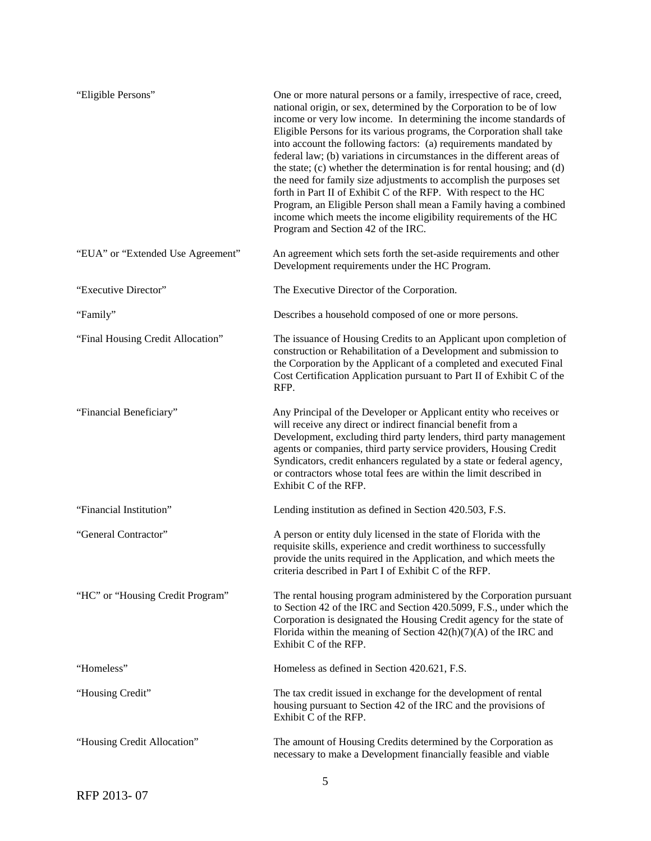| "Eligible Persons"                | One or more natural persons or a family, irrespective of race, creed,<br>national origin, or sex, determined by the Corporation to be of low<br>income or very low income. In determining the income standards of<br>Eligible Persons for its various programs, the Corporation shall take<br>into account the following factors: (a) requirements mandated by<br>federal law; (b) variations in circumstances in the different areas of<br>the state; (c) whether the determination is for rental housing; and (d)<br>the need for family size adjustments to accomplish the purposes set<br>forth in Part II of Exhibit C of the RFP. With respect to the HC<br>Program, an Eligible Person shall mean a Family having a combined<br>income which meets the income eligibility requirements of the HC<br>Program and Section 42 of the IRC. |
|-----------------------------------|-----------------------------------------------------------------------------------------------------------------------------------------------------------------------------------------------------------------------------------------------------------------------------------------------------------------------------------------------------------------------------------------------------------------------------------------------------------------------------------------------------------------------------------------------------------------------------------------------------------------------------------------------------------------------------------------------------------------------------------------------------------------------------------------------------------------------------------------------|
| "EUA" or "Extended Use Agreement" | An agreement which sets forth the set-aside requirements and other<br>Development requirements under the HC Program.                                                                                                                                                                                                                                                                                                                                                                                                                                                                                                                                                                                                                                                                                                                          |
| "Executive Director"              | The Executive Director of the Corporation.                                                                                                                                                                                                                                                                                                                                                                                                                                                                                                                                                                                                                                                                                                                                                                                                    |
| "Family"                          | Describes a household composed of one or more persons.                                                                                                                                                                                                                                                                                                                                                                                                                                                                                                                                                                                                                                                                                                                                                                                        |
| "Final Housing Credit Allocation" | The issuance of Housing Credits to an Applicant upon completion of<br>construction or Rehabilitation of a Development and submission to<br>the Corporation by the Applicant of a completed and executed Final<br>Cost Certification Application pursuant to Part II of Exhibit C of the<br>RFP.                                                                                                                                                                                                                                                                                                                                                                                                                                                                                                                                               |
| "Financial Beneficiary"           | Any Principal of the Developer or Applicant entity who receives or<br>will receive any direct or indirect financial benefit from a<br>Development, excluding third party lenders, third party management<br>agents or companies, third party service providers, Housing Credit<br>Syndicators, credit enhancers regulated by a state or federal agency,<br>or contractors whose total fees are within the limit described in<br>Exhibit C of the RFP.                                                                                                                                                                                                                                                                                                                                                                                         |
| "Financial Institution"           | Lending institution as defined in Section 420.503, F.S.                                                                                                                                                                                                                                                                                                                                                                                                                                                                                                                                                                                                                                                                                                                                                                                       |
| "General Contractor"              | A person or entity duly licensed in the state of Florida with the<br>requisite skills, experience and credit worthiness to successfully<br>provide the units required in the Application, and which meets the<br>criteria described in Part I of Exhibit C of the RFP.                                                                                                                                                                                                                                                                                                                                                                                                                                                                                                                                                                        |
| "HC" or "Housing Credit Program"  | The rental housing program administered by the Corporation pursuant<br>to Section 42 of the IRC and Section 420.5099, F.S., under which the<br>Corporation is designated the Housing Credit agency for the state of<br>Florida within the meaning of Section $42(h)(7)(A)$ of the IRC and<br>Exhibit C of the RFP.                                                                                                                                                                                                                                                                                                                                                                                                                                                                                                                            |
| "Homeless"                        | Homeless as defined in Section 420.621, F.S.                                                                                                                                                                                                                                                                                                                                                                                                                                                                                                                                                                                                                                                                                                                                                                                                  |
| "Housing Credit"                  | The tax credit issued in exchange for the development of rental<br>housing pursuant to Section 42 of the IRC and the provisions of<br>Exhibit C of the RFP.                                                                                                                                                                                                                                                                                                                                                                                                                                                                                                                                                                                                                                                                                   |
| "Housing Credit Allocation"       | The amount of Housing Credits determined by the Corporation as<br>necessary to make a Development financially feasible and viable                                                                                                                                                                                                                                                                                                                                                                                                                                                                                                                                                                                                                                                                                                             |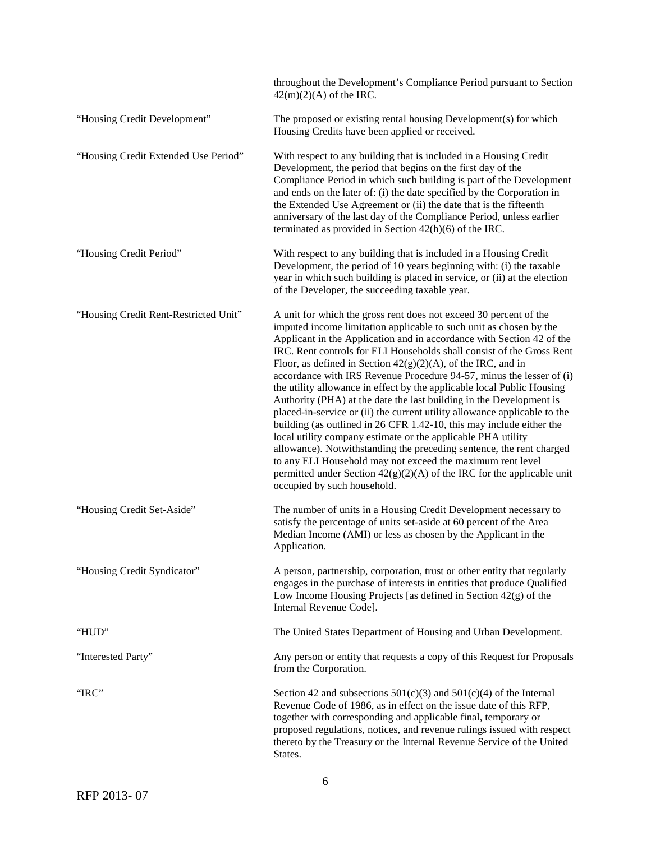|                                       | throughout the Development's Compliance Period pursuant to Section<br>$42(m)(2)(A)$ of the IRC.                                                                                                                                                                                                                                                                                                                                                                                                                                                                                                                                                                                                                                                                                                                                                                                                                                                                                                                                                             |
|---------------------------------------|-------------------------------------------------------------------------------------------------------------------------------------------------------------------------------------------------------------------------------------------------------------------------------------------------------------------------------------------------------------------------------------------------------------------------------------------------------------------------------------------------------------------------------------------------------------------------------------------------------------------------------------------------------------------------------------------------------------------------------------------------------------------------------------------------------------------------------------------------------------------------------------------------------------------------------------------------------------------------------------------------------------------------------------------------------------|
| "Housing Credit Development"          | The proposed or existing rental housing Development(s) for which<br>Housing Credits have been applied or received.                                                                                                                                                                                                                                                                                                                                                                                                                                                                                                                                                                                                                                                                                                                                                                                                                                                                                                                                          |
| "Housing Credit Extended Use Period"  | With respect to any building that is included in a Housing Credit<br>Development, the period that begins on the first day of the<br>Compliance Period in which such building is part of the Development<br>and ends on the later of: (i) the date specified by the Corporation in<br>the Extended Use Agreement or (ii) the date that is the fifteenth<br>anniversary of the last day of the Compliance Period, unless earlier<br>terminated as provided in Section $42(h)(6)$ of the IRC.                                                                                                                                                                                                                                                                                                                                                                                                                                                                                                                                                                  |
| "Housing Credit Period"               | With respect to any building that is included in a Housing Credit<br>Development, the period of 10 years beginning with: (i) the taxable<br>year in which such building is placed in service, or (ii) at the election<br>of the Developer, the succeeding taxable year.                                                                                                                                                                                                                                                                                                                                                                                                                                                                                                                                                                                                                                                                                                                                                                                     |
| "Housing Credit Rent-Restricted Unit" | A unit for which the gross rent does not exceed 30 percent of the<br>imputed income limitation applicable to such unit as chosen by the<br>Applicant in the Application and in accordance with Section 42 of the<br>IRC. Rent controls for ELI Households shall consist of the Gross Rent<br>Floor, as defined in Section $42(g)(2)(A)$ , of the IRC, and in<br>accordance with IRS Revenue Procedure 94-57, minus the lesser of (i)<br>the utility allowance in effect by the applicable local Public Housing<br>Authority (PHA) at the date the last building in the Development is<br>placed-in-service or (ii) the current utility allowance applicable to the<br>building (as outlined in 26 CFR 1.42-10, this may include either the<br>local utility company estimate or the applicable PHA utility<br>allowance). Notwithstanding the preceding sentence, the rent charged<br>to any ELI Household may not exceed the maximum rent level<br>permitted under Section $42(g)(2)(A)$ of the IRC for the applicable unit<br>occupied by such household. |
| "Housing Credit Set-Aside"            | The number of units in a Housing Credit Development necessary to<br>satisfy the percentage of units set-aside at 60 percent of the Area<br>Median Income (AMI) or less as chosen by the Applicant in the<br>Application.                                                                                                                                                                                                                                                                                                                                                                                                                                                                                                                                                                                                                                                                                                                                                                                                                                    |
| "Housing Credit Syndicator"           | A person, partnership, corporation, trust or other entity that regularly<br>engages in the purchase of interests in entities that produce Qualified<br>Low Income Housing Projects [as defined in Section $42(g)$ of the<br>Internal Revenue Code].                                                                                                                                                                                                                                                                                                                                                                                                                                                                                                                                                                                                                                                                                                                                                                                                         |
| "HUD"                                 | The United States Department of Housing and Urban Development.                                                                                                                                                                                                                                                                                                                                                                                                                                                                                                                                                                                                                                                                                                                                                                                                                                                                                                                                                                                              |
| "Interested Party"                    | Any person or entity that requests a copy of this Request for Proposals<br>from the Corporation.                                                                                                                                                                                                                                                                                                                                                                                                                                                                                                                                                                                                                                                                                                                                                                                                                                                                                                                                                            |
| "IRC"                                 | Section 42 and subsections $501(c)(3)$ and $501(c)(4)$ of the Internal<br>Revenue Code of 1986, as in effect on the issue date of this RFP,<br>together with corresponding and applicable final, temporary or<br>proposed regulations, notices, and revenue rulings issued with respect<br>thereto by the Treasury or the Internal Revenue Service of the United<br>States.                                                                                                                                                                                                                                                                                                                                                                                                                                                                                                                                                                                                                                                                                 |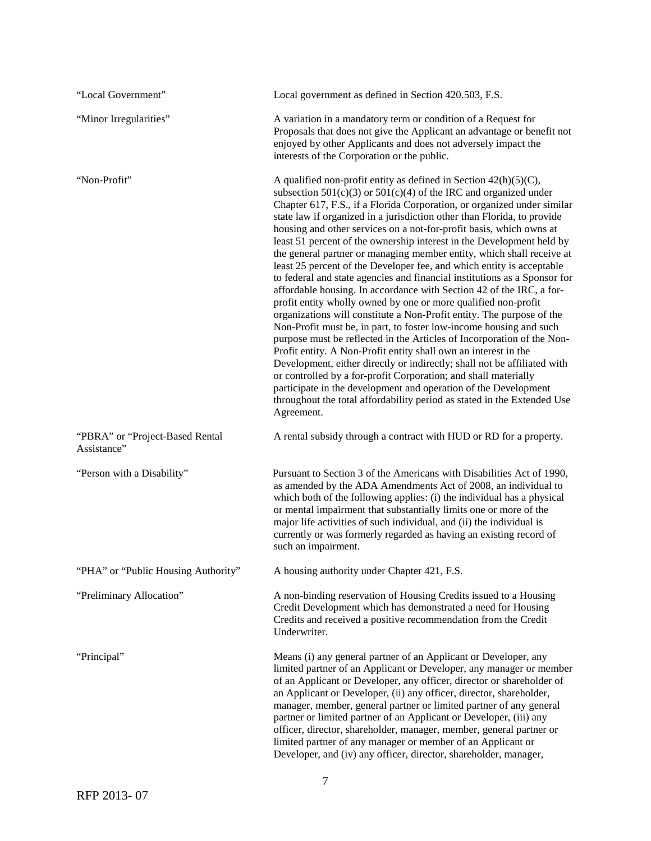| "Local Government"                             | Local government as defined in Section 420.503, F.S.                                                                                                                                                                                                                                                                                                                                                                                                                                                                                                                                                                                                                                                                                                                                                                                                                                                                                                                                                                                                                                                                                                                                                                                                                                                                                                                                                                              |
|------------------------------------------------|-----------------------------------------------------------------------------------------------------------------------------------------------------------------------------------------------------------------------------------------------------------------------------------------------------------------------------------------------------------------------------------------------------------------------------------------------------------------------------------------------------------------------------------------------------------------------------------------------------------------------------------------------------------------------------------------------------------------------------------------------------------------------------------------------------------------------------------------------------------------------------------------------------------------------------------------------------------------------------------------------------------------------------------------------------------------------------------------------------------------------------------------------------------------------------------------------------------------------------------------------------------------------------------------------------------------------------------------------------------------------------------------------------------------------------------|
| "Minor Irregularities"                         | A variation in a mandatory term or condition of a Request for<br>Proposals that does not give the Applicant an advantage or benefit not<br>enjoyed by other Applicants and does not adversely impact the<br>interests of the Corporation or the public.                                                                                                                                                                                                                                                                                                                                                                                                                                                                                                                                                                                                                                                                                                                                                                                                                                                                                                                                                                                                                                                                                                                                                                           |
| "Non-Profit"                                   | A qualified non-profit entity as defined in Section $42(h)(5)(C)$ ,<br>subsection $501(c)(3)$ or $501(c)(4)$ of the IRC and organized under<br>Chapter 617, F.S., if a Florida Corporation, or organized under similar<br>state law if organized in a jurisdiction other than Florida, to provide<br>housing and other services on a not-for-profit basis, which owns at<br>least 51 percent of the ownership interest in the Development held by<br>the general partner or managing member entity, which shall receive at<br>least 25 percent of the Developer fee, and which entity is acceptable<br>to federal and state agencies and financial institutions as a Sponsor for<br>affordable housing. In accordance with Section 42 of the IRC, a for-<br>profit entity wholly owned by one or more qualified non-profit<br>organizations will constitute a Non-Profit entity. The purpose of the<br>Non-Profit must be, in part, to foster low-income housing and such<br>purpose must be reflected in the Articles of Incorporation of the Non-<br>Profit entity. A Non-Profit entity shall own an interest in the<br>Development, either directly or indirectly; shall not be affiliated with<br>or controlled by a for-profit Corporation; and shall materially<br>participate in the development and operation of the Development<br>throughout the total affordability period as stated in the Extended Use<br>Agreement. |
| "PBRA" or "Project-Based Rental<br>Assistance" | A rental subsidy through a contract with HUD or RD for a property.                                                                                                                                                                                                                                                                                                                                                                                                                                                                                                                                                                                                                                                                                                                                                                                                                                                                                                                                                                                                                                                                                                                                                                                                                                                                                                                                                                |
| "Person with a Disability"                     | Pursuant to Section 3 of the Americans with Disabilities Act of 1990,<br>as amended by the ADA Amendments Act of 2008, an individual to<br>which both of the following applies: (i) the individual has a physical<br>or mental impairment that substantially limits one or more of the<br>major life activities of such individual, and (ii) the individual is<br>currently or was formerly regarded as having an existing record of<br>such an impairment.                                                                                                                                                                                                                                                                                                                                                                                                                                                                                                                                                                                                                                                                                                                                                                                                                                                                                                                                                                       |
| "PHA" or "Public Housing Authority"            | A housing authority under Chapter 421, F.S.                                                                                                                                                                                                                                                                                                                                                                                                                                                                                                                                                                                                                                                                                                                                                                                                                                                                                                                                                                                                                                                                                                                                                                                                                                                                                                                                                                                       |
| "Preliminary Allocation"                       | A non-binding reservation of Housing Credits issued to a Housing<br>Credit Development which has demonstrated a need for Housing<br>Credits and received a positive recommendation from the Credit<br>Underwriter.                                                                                                                                                                                                                                                                                                                                                                                                                                                                                                                                                                                                                                                                                                                                                                                                                                                                                                                                                                                                                                                                                                                                                                                                                |
| "Principal"                                    | Means (i) any general partner of an Applicant or Developer, any<br>limited partner of an Applicant or Developer, any manager or member<br>of an Applicant or Developer, any officer, director or shareholder of<br>an Applicant or Developer, (ii) any officer, director, shareholder,<br>manager, member, general partner or limited partner of any general<br>partner or limited partner of an Applicant or Developer, (iii) any<br>officer, director, shareholder, manager, member, general partner or<br>limited partner of any manager or member of an Applicant or<br>Developer, and (iv) any officer, director, shareholder, manager,                                                                                                                                                                                                                                                                                                                                                                                                                                                                                                                                                                                                                                                                                                                                                                                      |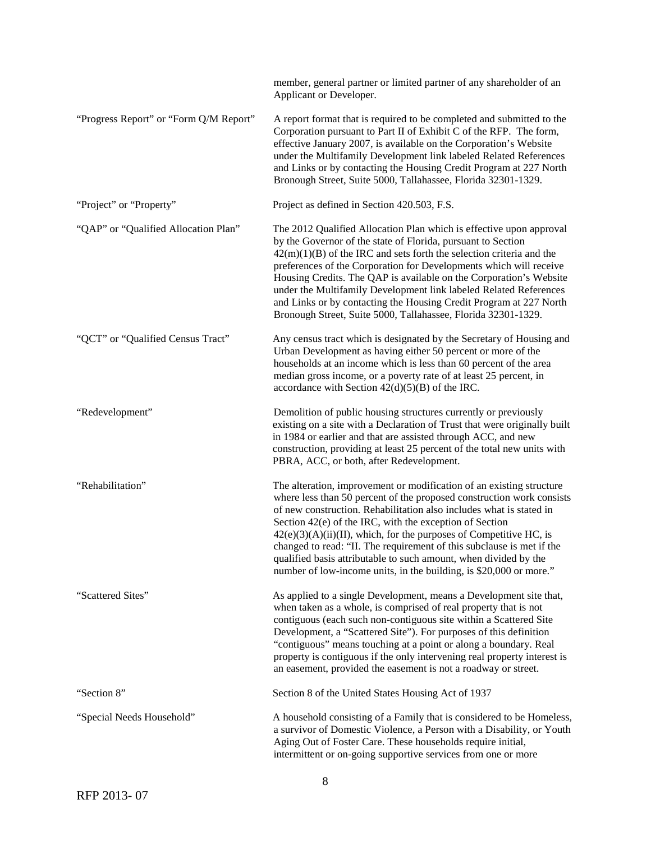|                                        | member, general partner or limited partner of any shareholder of an<br>Applicant or Developer.                                                                                                                                                                                                                                                                                                                                                                                                                                                                              |
|----------------------------------------|-----------------------------------------------------------------------------------------------------------------------------------------------------------------------------------------------------------------------------------------------------------------------------------------------------------------------------------------------------------------------------------------------------------------------------------------------------------------------------------------------------------------------------------------------------------------------------|
| "Progress Report" or "Form Q/M Report" | A report format that is required to be completed and submitted to the<br>Corporation pursuant to Part II of Exhibit C of the RFP. The form,<br>effective January 2007, is available on the Corporation's Website<br>under the Multifamily Development link labeled Related References<br>and Links or by contacting the Housing Credit Program at 227 North<br>Bronough Street, Suite 5000, Tallahassee, Florida 32301-1329.                                                                                                                                                |
| "Project" or "Property"                | Project as defined in Section 420.503, F.S.                                                                                                                                                                                                                                                                                                                                                                                                                                                                                                                                 |
| "QAP" or "Qualified Allocation Plan"   | The 2012 Qualified Allocation Plan which is effective upon approval<br>by the Governor of the state of Florida, pursuant to Section<br>$42(m)(1)(B)$ of the IRC and sets forth the selection criteria and the<br>preferences of the Corporation for Developments which will receive<br>Housing Credits. The QAP is available on the Corporation's Website<br>under the Multifamily Development link labeled Related References<br>and Links or by contacting the Housing Credit Program at 227 North<br>Bronough Street, Suite 5000, Tallahassee, Florida 32301-1329.       |
| "QCT" or "Qualified Census Tract"      | Any census tract which is designated by the Secretary of Housing and<br>Urban Development as having either 50 percent or more of the<br>households at an income which is less than 60 percent of the area<br>median gross income, or a poverty rate of at least 25 percent, in<br>accordance with Section $42(d)(5)(B)$ of the IRC.                                                                                                                                                                                                                                         |
| "Redevelopment"                        | Demolition of public housing structures currently or previously<br>existing on a site with a Declaration of Trust that were originally built<br>in 1984 or earlier and that are assisted through ACC, and new<br>construction, providing at least 25 percent of the total new units with<br>PBRA, ACC, or both, after Redevelopment.                                                                                                                                                                                                                                        |
| "Rehabilitation"                       | The alteration, improvement or modification of an existing structure<br>where less than 50 percent of the proposed construction work consists<br>of new construction. Rehabilitation also includes what is stated in<br>Section 42(e) of the IRC, with the exception of Section<br>$42(e)(3)(A)(ii)(II)$ , which, for the purposes of Competitive HC, is<br>changed to read: "II. The requirement of this subclause is met if the<br>qualified basis attributable to such amount, when divided by the<br>number of low-income units, in the building, is \$20,000 or more." |
| "Scattered Sites"                      | As applied to a single Development, means a Development site that,<br>when taken as a whole, is comprised of real property that is not<br>contiguous (each such non-contiguous site within a Scattered Site<br>Development, a "Scattered Site"). For purposes of this definition<br>"contiguous" means touching at a point or along a boundary. Real<br>property is contiguous if the only intervening real property interest is<br>an easement, provided the easement is not a roadway or street.                                                                          |
| "Section 8"                            | Section 8 of the United States Housing Act of 1937                                                                                                                                                                                                                                                                                                                                                                                                                                                                                                                          |
| "Special Needs Household"              | A household consisting of a Family that is considered to be Homeless,<br>a survivor of Domestic Violence, a Person with a Disability, or Youth<br>Aging Out of Foster Care. These households require initial,<br>intermittent or on-going supportive services from one or more                                                                                                                                                                                                                                                                                              |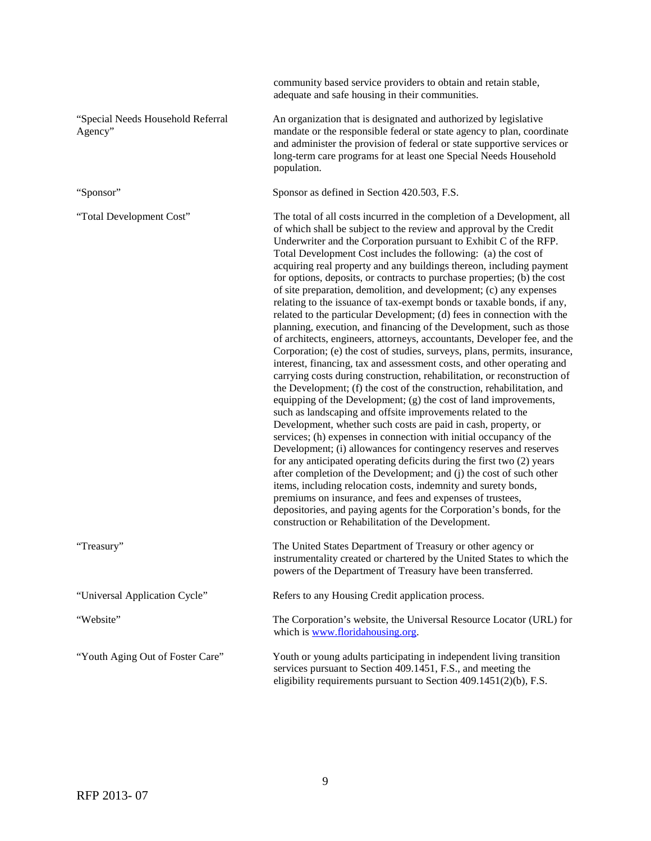|                                              | community based service providers to obtain and retain stable,<br>adequate and safe housing in their communities.                                                                                                                                                                                                                                                                                                                                                                                                                                                                                                                                                                                                                                                                                                                                                                                                                                                                                                                                                                                                                                                                                                                                                                                                                                                                                                                                                                                                                                                                                                                                                                                                                                                                                                                                                                                |
|----------------------------------------------|--------------------------------------------------------------------------------------------------------------------------------------------------------------------------------------------------------------------------------------------------------------------------------------------------------------------------------------------------------------------------------------------------------------------------------------------------------------------------------------------------------------------------------------------------------------------------------------------------------------------------------------------------------------------------------------------------------------------------------------------------------------------------------------------------------------------------------------------------------------------------------------------------------------------------------------------------------------------------------------------------------------------------------------------------------------------------------------------------------------------------------------------------------------------------------------------------------------------------------------------------------------------------------------------------------------------------------------------------------------------------------------------------------------------------------------------------------------------------------------------------------------------------------------------------------------------------------------------------------------------------------------------------------------------------------------------------------------------------------------------------------------------------------------------------------------------------------------------------------------------------------------------------|
| "Special Needs Household Referral<br>Agency" | An organization that is designated and authorized by legislative<br>mandate or the responsible federal or state agency to plan, coordinate<br>and administer the provision of federal or state supportive services or<br>long-term care programs for at least one Special Needs Household<br>population.                                                                                                                                                                                                                                                                                                                                                                                                                                                                                                                                                                                                                                                                                                                                                                                                                                                                                                                                                                                                                                                                                                                                                                                                                                                                                                                                                                                                                                                                                                                                                                                         |
| "Sponsor"                                    | Sponsor as defined in Section 420.503, F.S.                                                                                                                                                                                                                                                                                                                                                                                                                                                                                                                                                                                                                                                                                                                                                                                                                                                                                                                                                                                                                                                                                                                                                                                                                                                                                                                                                                                                                                                                                                                                                                                                                                                                                                                                                                                                                                                      |
| "Total Development Cost"                     | The total of all costs incurred in the completion of a Development, all<br>of which shall be subject to the review and approval by the Credit<br>Underwriter and the Corporation pursuant to Exhibit C of the RFP.<br>Total Development Cost includes the following: (a) the cost of<br>acquiring real property and any buildings thereon, including payment<br>for options, deposits, or contracts to purchase properties; (b) the cost<br>of site preparation, demolition, and development; (c) any expenses<br>relating to the issuance of tax-exempt bonds or taxable bonds, if any,<br>related to the particular Development; (d) fees in connection with the<br>planning, execution, and financing of the Development, such as those<br>of architects, engineers, attorneys, accountants, Developer fee, and the<br>Corporation; (e) the cost of studies, surveys, plans, permits, insurance,<br>interest, financing, tax and assessment costs, and other operating and<br>carrying costs during construction, rehabilitation, or reconstruction of<br>the Development; (f) the cost of the construction, rehabilitation, and<br>equipping of the Development; (g) the cost of land improvements,<br>such as landscaping and offsite improvements related to the<br>Development, whether such costs are paid in cash, property, or<br>services; (h) expenses in connection with initial occupancy of the<br>Development; (i) allowances for contingency reserves and reserves<br>for any anticipated operating deficits during the first two (2) years<br>after completion of the Development; and (j) the cost of such other<br>items, including relocation costs, indemnity and surety bonds,<br>premiums on insurance, and fees and expenses of trustees,<br>depositories, and paying agents for the Corporation's bonds, for the<br>construction or Rehabilitation of the Development. |
| "Treasury"                                   | The United States Department of Treasury or other agency or<br>instrumentality created or chartered by the United States to which the<br>powers of the Department of Treasury have been transferred.                                                                                                                                                                                                                                                                                                                                                                                                                                                                                                                                                                                                                                                                                                                                                                                                                                                                                                                                                                                                                                                                                                                                                                                                                                                                                                                                                                                                                                                                                                                                                                                                                                                                                             |
| "Universal Application Cycle"                | Refers to any Housing Credit application process.                                                                                                                                                                                                                                                                                                                                                                                                                                                                                                                                                                                                                                                                                                                                                                                                                                                                                                                                                                                                                                                                                                                                                                                                                                                                                                                                                                                                                                                                                                                                                                                                                                                                                                                                                                                                                                                |
| "Website"                                    | The Corporation's website, the Universal Resource Locator (URL) for<br>which is <u>www.floridahousing.org</u> .                                                                                                                                                                                                                                                                                                                                                                                                                                                                                                                                                                                                                                                                                                                                                                                                                                                                                                                                                                                                                                                                                                                                                                                                                                                                                                                                                                                                                                                                                                                                                                                                                                                                                                                                                                                  |
| "Youth Aging Out of Foster Care"             | Youth or young adults participating in independent living transition<br>services pursuant to Section 409.1451, F.S., and meeting the<br>eligibility requirements pursuant to Section 409.1451(2)(b), F.S.                                                                                                                                                                                                                                                                                                                                                                                                                                                                                                                                                                                                                                                                                                                                                                                                                                                                                                                                                                                                                                                                                                                                                                                                                                                                                                                                                                                                                                                                                                                                                                                                                                                                                        |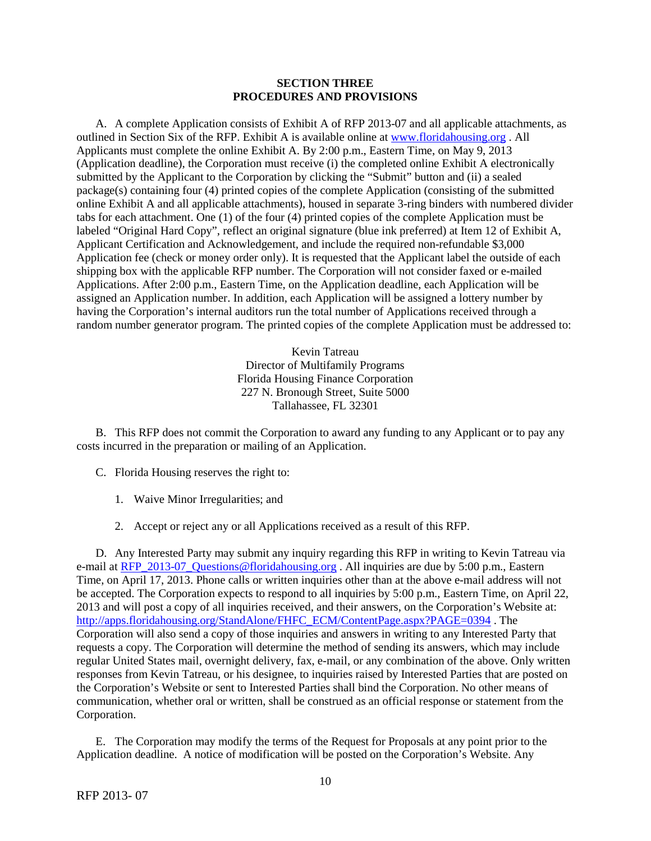#### **SECTION THREE PROCEDURES AND PROVISIONS**

A. A complete Application consists of Exhibit A of RFP 2013-07 and all applicable attachments, as outlined in Section Six of the RFP. Exhibit A is available online a[t www.floridahousing.org](http://www.floridahousing.org/) . All Applicants must complete the online Exhibit A. By 2:00 p.m., Eastern Time, on May 9, 2013 (Application deadline), the Corporation must receive (i) the completed online Exhibit A electronically submitted by the Applicant to the Corporation by clicking the "Submit" button and (ii) a sealed package(s) containing four (4) printed copies of the complete Application (consisting of the submitted online Exhibit A and all applicable attachments), housed in separate 3-ring binders with numbered divider tabs for each attachment. One (1) of the four (4) printed copies of the complete Application must be labeled "Original Hard Copy", reflect an original signature (blue ink preferred) at Item 12 of Exhibit A, Applicant Certification and Acknowledgement, and include the required non-refundable \$3,000 Application fee (check or money order only). It is requested that the Applicant label the outside of each shipping box with the applicable RFP number. The Corporation will not consider faxed or e-mailed Applications. After 2:00 p.m., Eastern Time, on the Application deadline, each Application will be assigned an Application number. In addition, each Application will be assigned a lottery number by having the Corporation's internal auditors run the total number of Applications received through a random number generator program. The printed copies of the complete Application must be addressed to:

> Kevin Tatreau Director of Multifamily Programs Florida Housing Finance Corporation 227 N. Bronough Street, Suite 5000 Tallahassee, FL 32301

B. This RFP does not commit the Corporation to award any funding to any Applicant or to pay any costs incurred in the preparation or mailing of an Application.

- C. Florida Housing reserves the right to:
	- 1. Waive Minor Irregularities; and
	- 2. Accept or reject any or all Applications received as a result of this RFP.

D. Any Interested Party may submit any inquiry regarding this RFP in writing to Kevin Tatreau via e-mail at [RFP\\_2013-07\\_Questions@floridahousing.org](mailto:RFP_2013-08_Questions@floridahousing.org) . All inquiries are due by 5:00 p.m., Eastern Time, on April 17, 2013. Phone calls or written inquiries other than at the above e-mail address will not be accepted. The Corporation expects to respond to all inquiries by 5:00 p.m., Eastern Time, on April 22, 2013 and will post a copy of all inquiries received, and their answers, on the Corporation's Website at: [http://apps.floridahousing.org/StandAlone/FHFC\\_ECM/ContentPage.aspx?PAGE=0394](http://apps.floridahousing.org/StandAlone/FHFC_ECM/ContentPage.aspx?PAGE=0394). The Corporation will also send a copy of those inquiries and answers in writing to any Interested Party that requests a copy. The Corporation will determine the method of sending its answers, which may include regular United States mail, overnight delivery, fax, e-mail, or any combination of the above. Only written responses from Kevin Tatreau, or his designee, to inquiries raised by Interested Parties that are posted on the Corporation's Website or sent to Interested Parties shall bind the Corporation. No other means of communication, whether oral or written, shall be construed as an official response or statement from the Corporation.

E. The Corporation may modify the terms of the Request for Proposals at any point prior to the Application deadline. A notice of modification will be posted on the Corporation's Website. Any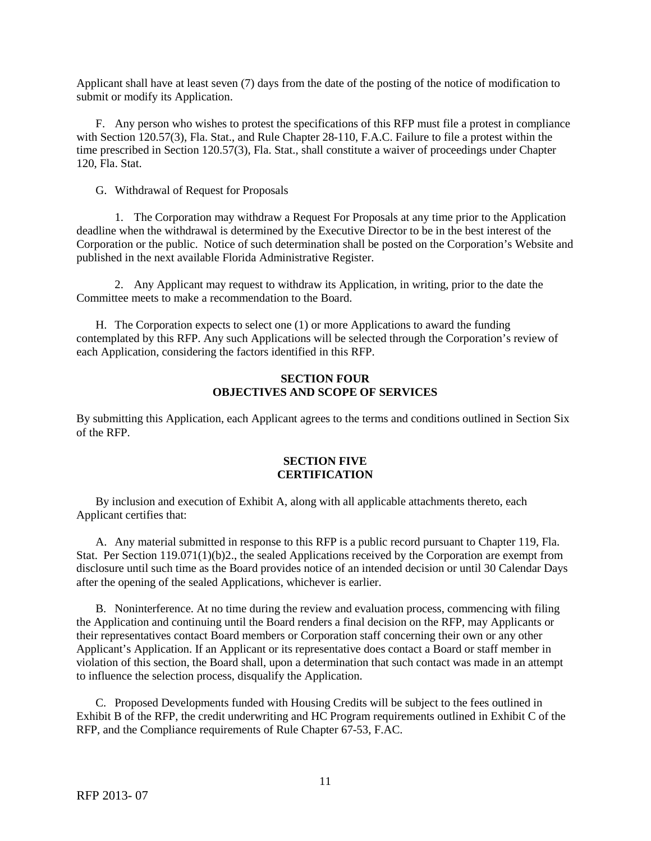Applicant shall have at least seven (7) days from the date of the posting of the notice of modification to submit or modify its Application.

F. Any person who wishes to protest the specifications of this RFP must file a protest in compliance with Section 120.57(3), Fla. Stat., and Rule Chapter 28-110, F.A.C. Failure to file a protest within the time prescribed in Section 120.57(3), Fla. Stat., shall constitute a waiver of proceedings under Chapter 120, Fla. Stat.

G. Withdrawal of Request for Proposals

1. The Corporation may withdraw a Request For Proposals at any time prior to the Application deadline when the withdrawal is determined by the Executive Director to be in the best interest of the Corporation or the public. Notice of such determination shall be posted on the Corporation's Website and published in the next available Florida Administrative Register.

2. Any Applicant may request to withdraw its Application, in writing, prior to the date the Committee meets to make a recommendation to the Board.

H. The Corporation expects to select one (1) or more Applications to award the funding contemplated by this RFP. Any such Applications will be selected through the Corporation's review of each Application, considering the factors identified in this RFP.

# **SECTION FOUR OBJECTIVES AND SCOPE OF SERVICES**

By submitting this Application, each Applicant agrees to the terms and conditions outlined in Section Six of the RFP.

#### **SECTION FIVE CERTIFICATION**

By inclusion and execution of Exhibit A, along with all applicable attachments thereto, each Applicant certifies that:

A. Any material submitted in response to this RFP is a public record pursuant to Chapter 119, Fla. Stat. Per Section 119.071(1)(b)2., the sealed Applications received by the Corporation are exempt from disclosure until such time as the Board provides notice of an intended decision or until 30 Calendar Days after the opening of the sealed Applications, whichever is earlier.

B. Noninterference. At no time during the review and evaluation process, commencing with filing the Application and continuing until the Board renders a final decision on the RFP, may Applicants or their representatives contact Board members or Corporation staff concerning their own or any other Applicant's Application. If an Applicant or its representative does contact a Board or staff member in violation of this section, the Board shall, upon a determination that such contact was made in an attempt to influence the selection process, disqualify the Application.

C. Proposed Developments funded with Housing Credits will be subject to the fees outlined in Exhibit B of the RFP, the credit underwriting and HC Program requirements outlined in Exhibit C of the RFP, and the Compliance requirements of Rule Chapter 67-53, F.AC.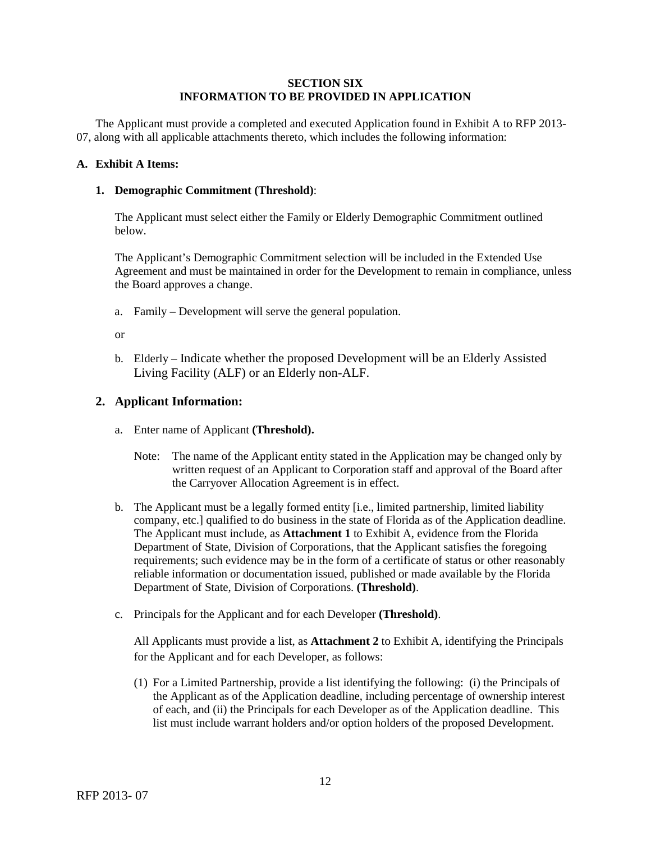# **SECTION SIX INFORMATION TO BE PROVIDED IN APPLICATION**

The Applicant must provide a completed and executed Application found in Exhibit A to RFP 2013- 07, along with all applicable attachments thereto, which includes the following information:

# **A. Exhibit A Items:**

### **1. Demographic Commitment (Threshold)**:

The Applicant must select either the Family or Elderly Demographic Commitment outlined below.

The Applicant's Demographic Commitment selection will be included in the Extended Use Agreement and must be maintained in order for the Development to remain in compliance, unless the Board approves a change.

a. Family – Development will serve the general population.

or

b. Elderly – Indicate whether the proposed Development will be an Elderly Assisted Living Facility (ALF) or an Elderly non-ALF.

# **2. Applicant Information:**

- a. Enter name of Applicant **(Threshold).**
	- Note: The name of the Applicant entity stated in the Application may be changed only by written request of an Applicant to Corporation staff and approval of the Board after the Carryover Allocation Agreement is in effect.
- b. The Applicant must be a legally formed entity [i.e., limited partnership, limited liability company, etc.] qualified to do business in the state of Florida as of the Application deadline. The Applicant must include, as **Attachment 1** to Exhibit A, evidence from the Florida Department of State, Division of Corporations, that the Applicant satisfies the foregoing requirements; such evidence may be in the form of a certificate of status or other reasonably reliable information or documentation issued, published or made available by the Florida Department of State, Division of Corporations. **(Threshold)**.
- c. Principals for the Applicant and for each Developer **(Threshold)**.

All Applicants must provide a list, as **Attachment 2** to Exhibit A, identifying the Principals for the Applicant and for each Developer, as follows:

(1) For a Limited Partnership, provide a list identifying the following: (i) the Principals of the Applicant as of the Application deadline, including percentage of ownership interest of each, and (ii) the Principals for each Developer as of the Application deadline. This list must include warrant holders and/or option holders of the proposed Development.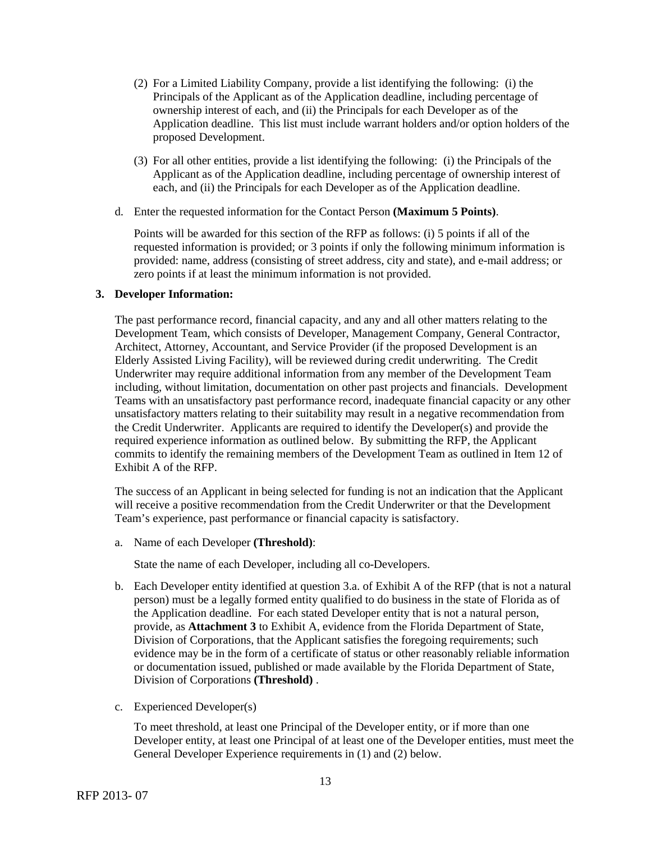- (2) For a Limited Liability Company, provide a list identifying the following: (i) the Principals of the Applicant as of the Application deadline, including percentage of ownership interest of each, and (ii) the Principals for each Developer as of the Application deadline. This list must include warrant holders and/or option holders of the proposed Development.
- (3) For all other entities, provide a list identifying the following: (i) the Principals of the Applicant as of the Application deadline, including percentage of ownership interest of each, and (ii) the Principals for each Developer as of the Application deadline.
- d. Enter the requested information for the Contact Person **(Maximum 5 Points)**.

Points will be awarded for this section of the RFP as follows: (i) 5 points if all of the requested information is provided; or 3 points if only the following minimum information is provided: name, address (consisting of street address, city and state), and e-mail address; or zero points if at least the minimum information is not provided.

### **3. Developer Information:**

The past performance record, financial capacity, and any and all other matters relating to the Development Team, which consists of Developer, Management Company, General Contractor, Architect, Attorney, Accountant, and Service Provider (if the proposed Development is an Elderly Assisted Living Facility), will be reviewed during credit underwriting. The Credit Underwriter may require additional information from any member of the Development Team including, without limitation, documentation on other past projects and financials. Development Teams with an unsatisfactory past performance record, inadequate financial capacity or any other unsatisfactory matters relating to their suitability may result in a negative recommendation from the Credit Underwriter. Applicants are required to identify the Developer(s) and provide the required experience information as outlined below. By submitting the RFP, the Applicant commits to identify the remaining members of the Development Team as outlined in Item 12 of Exhibit A of the RFP.

The success of an Applicant in being selected for funding is not an indication that the Applicant will receive a positive recommendation from the Credit Underwriter or that the Development Team's experience, past performance or financial capacity is satisfactory.

a. Name of each Developer **(Threshold)**:

State the name of each Developer, including all co-Developers.

- b. Each Developer entity identified at question 3.a. of Exhibit A of the RFP (that is not a natural person) must be a legally formed entity qualified to do business in the state of Florida as of the Application deadline. For each stated Developer entity that is not a natural person, provide, as **Attachment 3** to Exhibit A, evidence from the Florida Department of State, Division of Corporations, that the Applicant satisfies the foregoing requirements; such evidence may be in the form of a certificate of status or other reasonably reliable information or documentation issued, published or made available by the Florida Department of State, Division of Corporations **(Threshold)** .
- c. Experienced Developer(s)

To meet threshold, at least one Principal of the Developer entity, or if more than one Developer entity, at least one Principal of at least one of the Developer entities, must meet the General Developer Experience requirements in (1) and (2) below.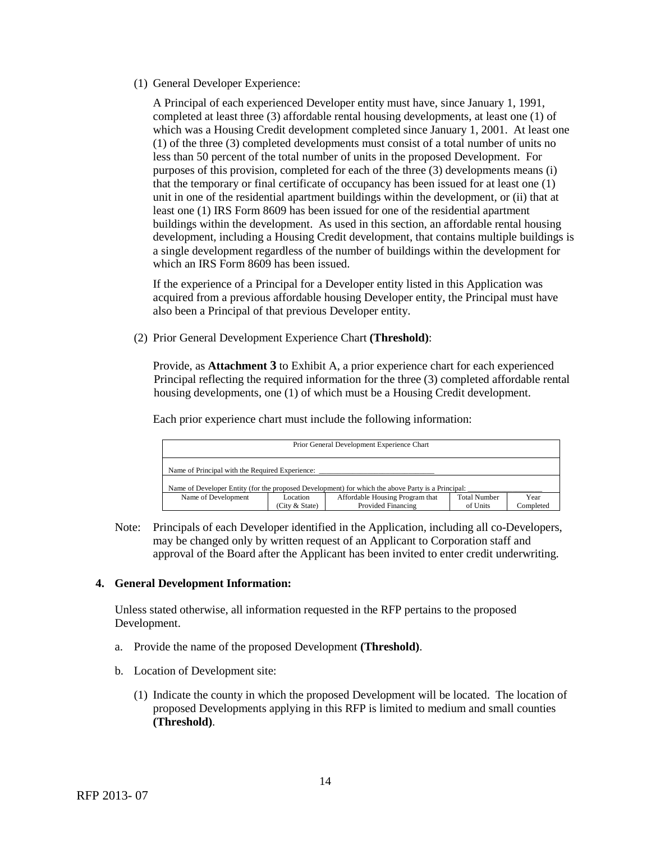(1) General Developer Experience:

A Principal of each experienced Developer entity must have, since January 1, 1991, completed at least three (3) affordable rental housing developments, at least one (1) of which was a Housing Credit development completed since January 1, 2001. At least one (1) of the three (3) completed developments must consist of a total number of units no less than 50 percent of the total number of units in the proposed Development. For purposes of this provision, completed for each of the three (3) developments means (i) that the temporary or final certificate of occupancy has been issued for at least one (1) unit in one of the residential apartment buildings within the development, or (ii) that at least one (1) IRS Form 8609 has been issued for one of the residential apartment buildings within the development. As used in this section, an affordable rental housing development, including a Housing Credit development, that contains multiple buildings is a single development regardless of the number of buildings within the development for which an IRS Form 8609 has been issued.

If the experience of a Principal for a Developer entity listed in this Application was acquired from a previous affordable housing Developer entity, the Principal must have also been a Principal of that previous Developer entity.

(2) Prior General Development Experience Chart **(Threshold)**:

Provide, as **Attachment 3** to Exhibit A, a prior experience chart for each experienced Principal reflecting the required information for the three (3) completed affordable rental housing developments, one (1) of which must be a Housing Credit development.

Each prior experience chart must include the following information:

| Prior General Development Experience Chart                                                        |                              |                                                       |                                 |                   |
|---------------------------------------------------------------------------------------------------|------------------------------|-------------------------------------------------------|---------------------------------|-------------------|
| Name of Principal with the Required Experience:                                                   |                              |                                                       |                                 |                   |
| Name of Developer Entity (for the proposed Development) for which the above Party is a Principal: |                              |                                                       |                                 |                   |
| Name of Development                                                                               | Location<br>(City $&$ State) | Affordable Housing Program that<br>Provided Financing | <b>Total Number</b><br>of Units | Year<br>Completed |

Note: Principals of each Developer identified in the Application, including all co-Developers, may be changed only by written request of an Applicant to Corporation staff and approval of the Board after the Applicant has been invited to enter credit underwriting.

# **4. General Development Information:**

Unless stated otherwise, all information requested in the RFP pertains to the proposed Development.

- a. Provide the name of the proposed Development **(Threshold)**.
- b. Location of Development site:
	- (1) Indicate the county in which the proposed Development will be located. The location of proposed Developments applying in this RFP is limited to medium and small counties **(Threshold)**.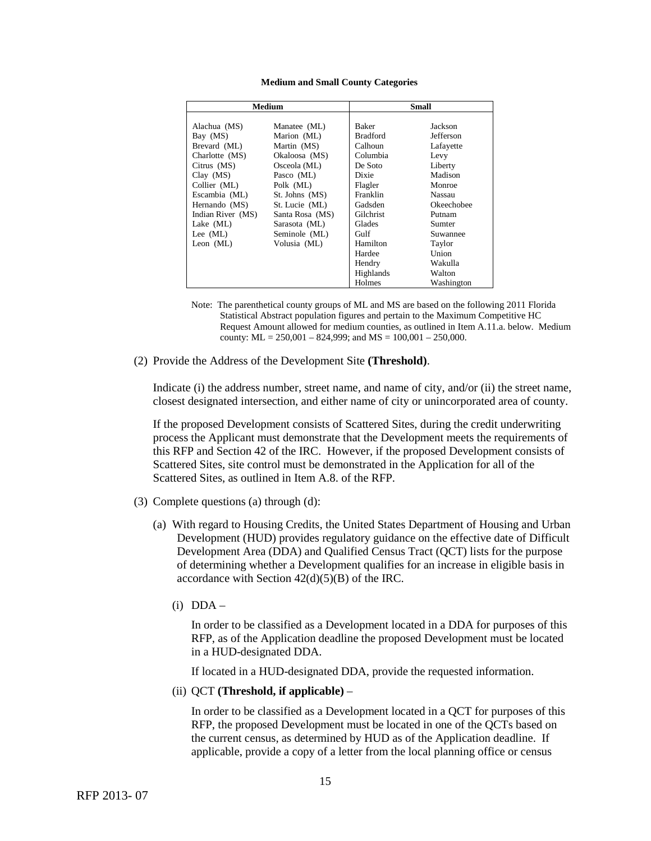#### **Medium and Small County Categories**

| Medium            |                 | Small           |            |
|-------------------|-----------------|-----------------|------------|
|                   |                 |                 |            |
| Alachua (MS)      | Manatee (ML)    | <b>Baker</b>    | Jackson    |
| Bay (MS)          | Marion (ML)     | <b>Bradford</b> | Jefferson  |
| Brevard (ML)      | Martin (MS)     | Calhoun         | Lafayette  |
| Charlotte (MS)    | Okaloosa (MS)   | Columbia        | Levy       |
| Citrus (MS)       | Osceola (ML)    | De Soto         | Liberty    |
| $Clay$ $(MS)$     | Pasco (ML)      | Dixie           | Madison    |
| Collier (ML)      | Polk (ML)       | Flagler         | Monroe     |
| Escambia (ML)     | St. Johns (MS)  | Franklin        | Nassau     |
| Hernando (MS)     | St. Lucie (ML)  | Gadsden         | Okeechobee |
| Indian River (MS) | Santa Rosa (MS) | Gilchrist       | Putnam     |
| Lake $(ML)$       | Sarasota (ML)   | Glades          | Sumter     |
| Lee $(ML)$        | Seminole (ML)   | Gulf            | Suwannee   |
| Leon $(ML)$       | Volusia (ML)    | Hamilton        | Taylor     |
|                   |                 | Hardee          | Union      |
|                   |                 | Hendry          | Wakulla    |
|                   |                 | Highlands       | Walton     |
|                   |                 | Holmes          | Washington |

Note: The parenthetical county groups of ML and MS are based on the following 2011 Florida Statistical Abstract population figures and pertain to the Maximum Competitive HC Request Amount allowed for medium counties, as outlined in Item A.11.a. below. Medium county:  $ML = 250,001 - 824,999$ ; and  $MS = 100,001 - 250,000$ .

(2) Provide the Address of the Development Site **(Threshold)**.

Indicate (i) the address number, street name, and name of city, and/or (ii) the street name, closest designated intersection, and either name of city or unincorporated area of county.

If the proposed Development consists of Scattered Sites, during the credit underwriting process the Applicant must demonstrate that the Development meets the requirements of this RFP and Section 42 of the IRC. However, if the proposed Development consists of Scattered Sites, site control must be demonstrated in the Application for all of the Scattered Sites, as outlined in Item A.8. of the RFP.

- (3) Complete questions (a) through (d):
	- (a) With regard to Housing Credits, the United States Department of Housing and Urban Development (HUD) provides regulatory guidance on the effective date of Difficult Development Area (DDA) and Qualified Census Tract (QCT) lists for the purpose of determining whether a Development qualifies for an increase in eligible basis in accordance with Section  $42(d)(5)(B)$  of the IRC.
		- $(i)$  DDA –

In order to be classified as a Development located in a DDA for purposes of this RFP, as of the Application deadline the proposed Development must be located in a HUD-designated DDA.

If located in a HUD-designated DDA, provide the requested information.

(ii) QCT **(Threshold, if applicable)** –

In order to be classified as a Development located in a QCT for purposes of this RFP, the proposed Development must be located in one of the QCTs based on the current census, as determined by HUD as of the Application deadline. If applicable, provide a copy of a letter from the local planning office or census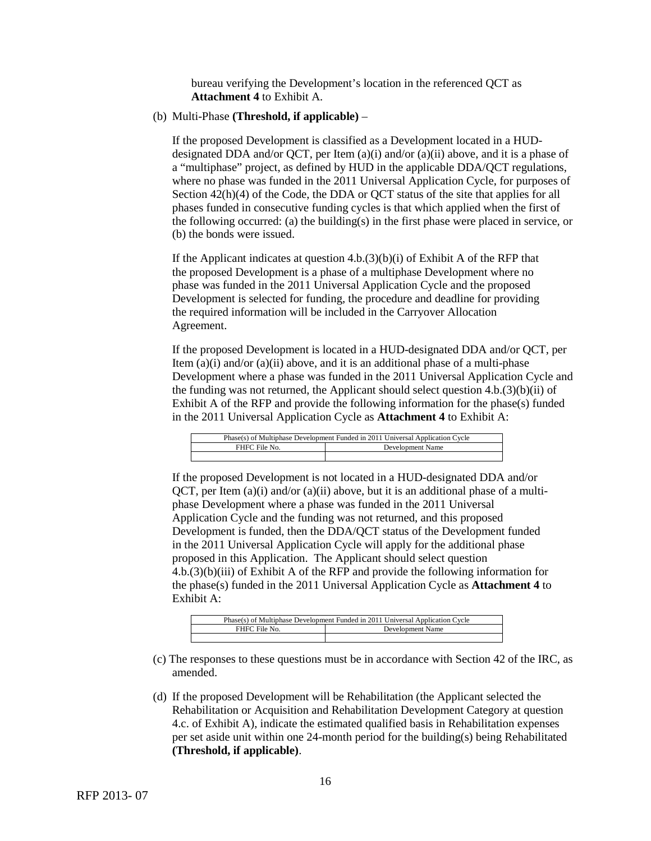bureau verifying the Development's location in the referenced QCT as **Attachment 4** to Exhibit A.

(b) Multi-Phase **(Threshold, if applicable)** –

If the proposed Development is classified as a Development located in a HUDdesignated DDA and/or QCT, per Item  $(a)(i)$  and/or  $(a)(ii)$  above, and it is a phase of a "multiphase" project, as defined by HUD in the applicable DDA/QCT regulations, where no phase was funded in the 2011 Universal Application Cycle, for purposes of Section 42(h)(4) of the Code, the DDA or QCT status of the site that applies for all phases funded in consecutive funding cycles is that which applied when the first of the following occurred: (a) the building(s) in the first phase were placed in service, or (b) the bonds were issued.

If the Applicant indicates at question  $4.b.(3)(b)(i)$  of Exhibit A of the RFP that the proposed Development is a phase of a multiphase Development where no phase was funded in the 2011 Universal Application Cycle and the proposed Development is selected for funding, the procedure and deadline for providing the required information will be included in the Carryover Allocation Agreement.

If the proposed Development is located in a HUD-designated DDA and/or QCT, per Item  $(a)(i)$  and/or  $(a)(ii)$  above, and it is an additional phase of a multi-phase Development where a phase was funded in the 2011 Universal Application Cycle and the funding was not returned, the Applicant should select question  $4.b.(3)(b)(ii)$  of Exhibit A of the RFP and provide the following information for the phase(s) funded in the 2011 Universal Application Cycle as **Attachment 4** to Exhibit A:

| Phase(s) of Multiphase Development Funded in 2011 Universal Application Cycle |                  |  |
|-------------------------------------------------------------------------------|------------------|--|
| FHFC File No.                                                                 | Development Name |  |
|                                                                               |                  |  |

If the proposed Development is not located in a HUD-designated DDA and/or QCT, per Item  $(a)(i)$  and/or  $(a)(ii)$  above, but it is an additional phase of a multiphase Development where a phase was funded in the 2011 Universal Application Cycle and the funding was not returned, and this proposed Development is funded, then the DDA/QCT status of the Development funded in the 2011 Universal Application Cycle will apply for the additional phase proposed in this Application. The Applicant should select question 4.b.(3)(b)(iii) of Exhibit A of the RFP and provide the following information for the phase(s) funded in the 2011 Universal Application Cycle as **Attachment 4** to Exhibit A:

| Phase(s) of Multiphase Development Funded in 2011 Universal Application Cycle |                  |  |
|-------------------------------------------------------------------------------|------------------|--|
| FHFC File No.                                                                 | Development Name |  |
|                                                                               |                  |  |

- (c) The responses to these questions must be in accordance with Section 42 of the IRC, as amended.
- (d) If the proposed Development will be Rehabilitation (the Applicant selected the Rehabilitation or Acquisition and Rehabilitation Development Category at question 4.c. of Exhibit A), indicate the estimated qualified basis in Rehabilitation expenses per set aside unit within one 24-month period for the building(s) being Rehabilitated **(Threshold, if applicable)**.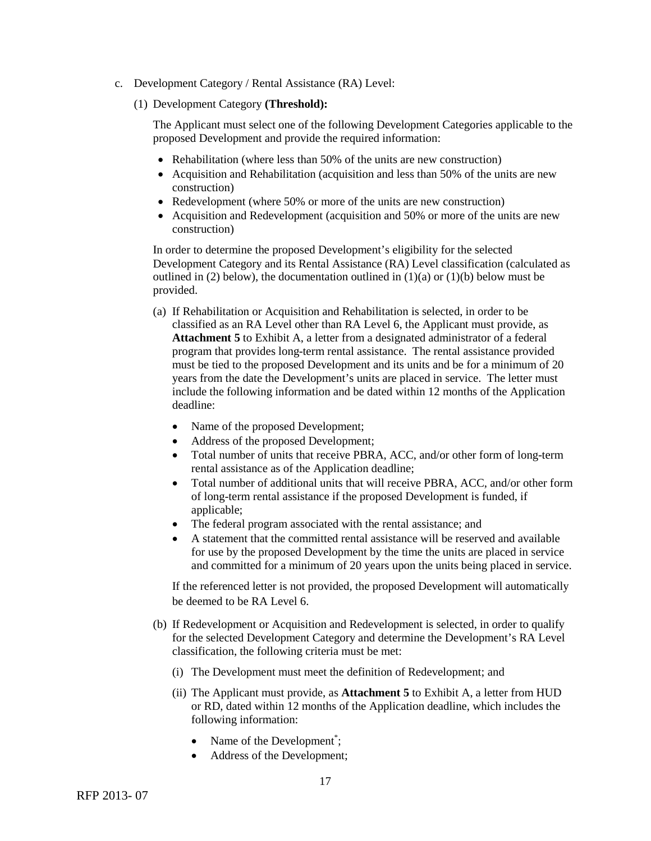- c. Development Category / Rental Assistance (RA) Level:
	- (1) Development Category **(Threshold):**

The Applicant must select one of the following Development Categories applicable to the proposed Development and provide the required information:

- Rehabilitation (where less than 50% of the units are new construction)
- Acquisition and Rehabilitation (acquisition and less than 50% of the units are new construction)
- Redevelopment (where 50% or more of the units are new construction)
- Acquisition and Redevelopment (acquisition and 50% or more of the units are new construction)

In order to determine the proposed Development's eligibility for the selected Development Category and its Rental Assistance (RA) Level classification (calculated as outlined in (2) below), the documentation outlined in  $(1)(a)$  or  $(1)(b)$  below must be provided.

- (a) If Rehabilitation or Acquisition and Rehabilitation is selected, in order to be classified as an RA Level other than RA Level 6, the Applicant must provide, as **Attachment 5** to Exhibit A, a letter from a designated administrator of a federal program that provides long-term rental assistance. The rental assistance provided must be tied to the proposed Development and its units and be for a minimum of 20 years from the date the Development's units are placed in service. The letter must include the following information and be dated within 12 months of the Application deadline:
	- Name of the proposed Development;
	- Address of the proposed Development;
	- Total number of units that receive PBRA, ACC, and/or other form of long-term rental assistance as of the Application deadline;
	- Total number of additional units that will receive PBRA, ACC, and/or other form of long-term rental assistance if the proposed Development is funded, if applicable;
	- The federal program associated with the rental assistance; and
	- A statement that the committed rental assistance will be reserved and available for use by the proposed Development by the time the units are placed in service and committed for a minimum of 20 years upon the units being placed in service.

If the referenced letter is not provided, the proposed Development will automatically be deemed to be RA Level 6.

- (b) If Redevelopment or Acquisition and Redevelopment is selected, in order to qualify for the selected Development Category and determine the Development's RA Level classification, the following criteria must be met:
	- (i) The Development must meet the definition of Redevelopment; and
	- (ii) The Applicant must provide, as **Attachment 5** to Exhibit A, a letter from HUD or RD, dated within 12 months of the Application deadline, which includes the following information:
		- Name of the Development<sup>\*</sup>;
		- Address of the Development;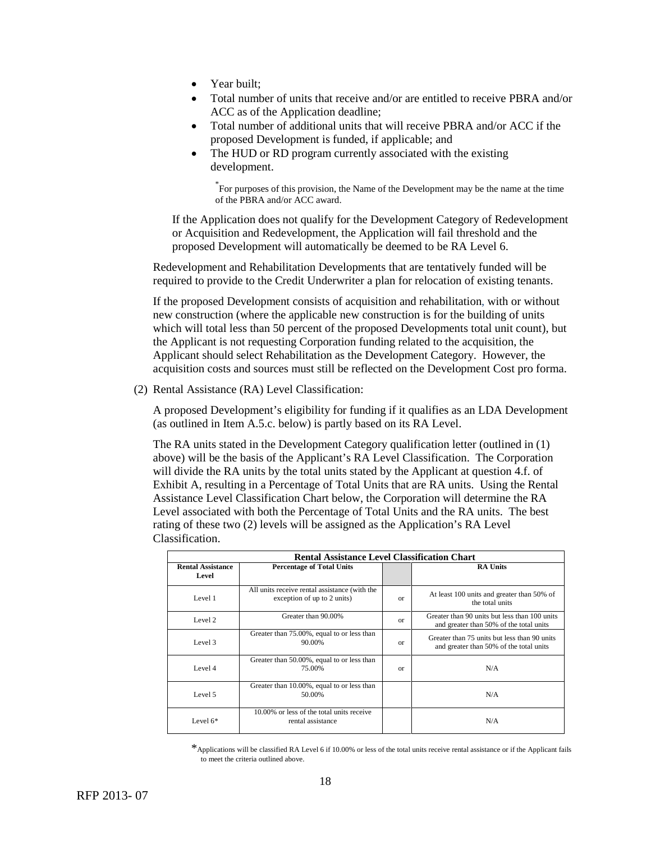- Year built:
- Total number of units that receive and/or are entitled to receive PBRA and/or ACC as of the Application deadline;
- Total number of additional units that will receive PBRA and/or ACC if the proposed Development is funded, if applicable; and
- The HUD or RD program currently associated with the existing development.

\* For purposes of this provision, the Name of the Development may be the name at the time of the PBRA and/or ACC award.

If the Application does not qualify for the Development Category of Redevelopment or Acquisition and Redevelopment, the Application will fail threshold and the proposed Development will automatically be deemed to be RA Level 6.

Redevelopment and Rehabilitation Developments that are tentatively funded will be required to provide to the Credit Underwriter a plan for relocation of existing tenants.

If the proposed Development consists of acquisition and rehabilitation, with or without new construction (where the applicable new construction is for the building of units which will total less than 50 percent of the proposed Developments total unit count), but the Applicant is not requesting Corporation funding related to the acquisition, the Applicant should select Rehabilitation as the Development Category. However, the acquisition costs and sources must still be reflected on the Development Cost pro forma.

(2) Rental Assistance (RA) Level Classification:

A proposed Development's eligibility for funding if it qualifies as an LDA Development (as outlined in Item A.5.c. below) is partly based on its RA Level.

The RA units stated in the Development Category qualification letter (outlined in (1) above) will be the basis of the Applicant's RA Level Classification. The Corporation will divide the RA units by the total units stated by the Applicant at question 4.f. of Exhibit A, resulting in a Percentage of Total Units that are RA units. Using the Rental Assistance Level Classification Chart below, the Corporation will determine the RA Level associated with both the Percentage of Total Units and the RA units. The best rating of these two (2) levels will be assigned as the Application's RA Level Classification.

| <b>Rental Assistance Level Classification Chart</b> |                                                                              |          |                                                                                          |  |  |  |
|-----------------------------------------------------|------------------------------------------------------------------------------|----------|------------------------------------------------------------------------------------------|--|--|--|
| <b>Rental Assistance</b><br>Level                   | <b>Percentage of Total Units</b>                                             |          | <b>RA Units</b>                                                                          |  |  |  |
| Level 1                                             | All units receive rental assistance (with the<br>exception of up to 2 units) | $\alpha$ | At least 100 units and greater than 50% of<br>the total units                            |  |  |  |
| Level <sub>2</sub>                                  | Greater than 90.00%                                                          | $\alpha$ | Greater than 90 units but less than 100 units<br>and greater than 50% of the total units |  |  |  |
| Level 3                                             | Greater than 75.00%, equal to or less than<br>90.00%                         | $\alpha$ | Greater than 75 units but less than 90 units<br>and greater than 50% of the total units  |  |  |  |
| Level 4                                             | Greater than 50.00%, equal to or less than<br>75.00%                         | 0r       | N/A                                                                                      |  |  |  |
| Level 5                                             | Greater than 10.00%, equal to or less than<br>50.00%                         |          | N/A                                                                                      |  |  |  |
| Level $6*$                                          | 10,00% or less of the total units receive<br>rental assistance               |          | N/A                                                                                      |  |  |  |

\*Applications will be classified RA Level 6 if 10.00% or less of the total units receive rental assistance or if the Applicant fails to meet the criteria outlined above.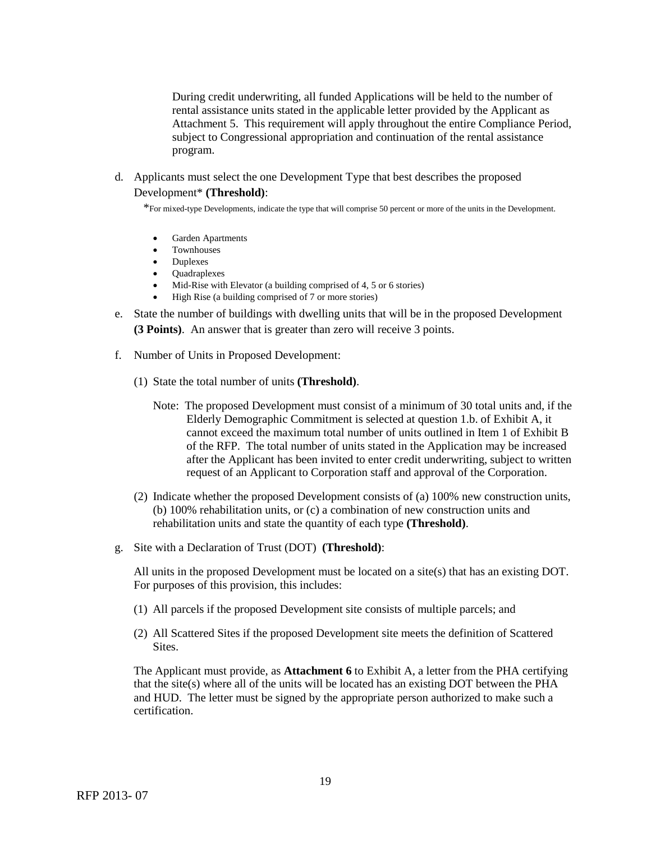During credit underwriting, all funded Applications will be held to the number of rental assistance units stated in the applicable letter provided by the Applicant as Attachment 5. This requirement will apply throughout the entire Compliance Period, subject to Congressional appropriation and continuation of the rental assistance program.

d. Applicants must select the one Development Type that best describes the proposed Development\* **(Threshold)**:

\*For mixed-type Developments, indicate the type that will comprise 50 percent or more of the units in the Development.

- Garden Apartments
- **Townhouses**
- Duplexes
- Quadraplexes<br>• Mid-Rise with
- Mid-Rise with Elevator (a building comprised of 4, 5 or 6 stories)
- High Rise (a building comprised of 7 or more stories)
- e. State the number of buildings with dwelling units that will be in the proposed Development **(3 Points)**. An answer that is greater than zero will receive 3 points.
- f. Number of Units in Proposed Development:
	- (1) State the total number of units **(Threshold)**.
		- Note: The proposed Development must consist of a minimum of 30 total units and, if the Elderly Demographic Commitment is selected at question 1.b. of Exhibit A, it cannot exceed the maximum total number of units outlined in Item 1 of Exhibit B of the RFP. The total number of units stated in the Application may be increased after the Applicant has been invited to enter credit underwriting, subject to written request of an Applicant to Corporation staff and approval of the Corporation.
	- (2) Indicate whether the proposed Development consists of (a) 100% new construction units, (b) 100% rehabilitation units, or (c) a combination of new construction units and rehabilitation units and state the quantity of each type **(Threshold)**.
- g. Site with a Declaration of Trust (DOT) **(Threshold)**:

All units in the proposed Development must be located on a site(s) that has an existing DOT. For purposes of this provision, this includes:

- (1) All parcels if the proposed Development site consists of multiple parcels; and
- (2) All Scattered Sites if the proposed Development site meets the definition of Scattered Sites.

The Applicant must provide, as **Attachment 6** to Exhibit A, a letter from the PHA certifying that the site(s) where all of the units will be located has an existing DOT between the PHA and HUD. The letter must be signed by the appropriate person authorized to make such a certification.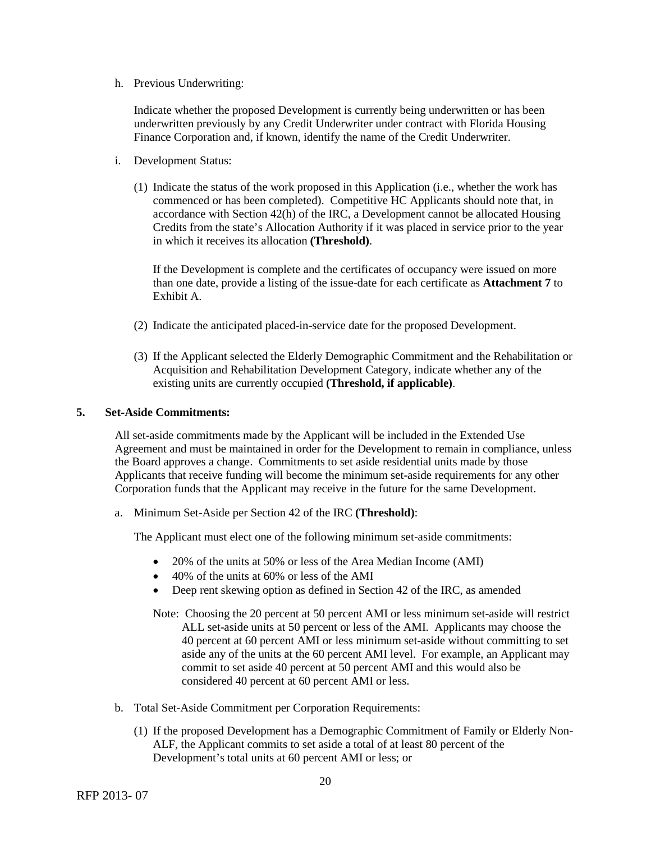h. Previous Underwriting:

Indicate whether the proposed Development is currently being underwritten or has been underwritten previously by any Credit Underwriter under contract with Florida Housing Finance Corporation and, if known, identify the name of the Credit Underwriter.

- i. Development Status:
	- (1) Indicate the status of the work proposed in this Application (i.e., whether the work has commenced or has been completed). Competitive HC Applicants should note that, in accordance with Section 42(h) of the IRC, a Development cannot be allocated Housing Credits from the state's Allocation Authority if it was placed in service prior to the year in which it receives its allocation **(Threshold)**.

If the Development is complete and the certificates of occupancy were issued on more than one date, provide a listing of the issue-date for each certificate as **Attachment 7** to Exhibit A.

- (2) Indicate the anticipated placed-in-service date for the proposed Development.
- (3) If the Applicant selected the Elderly Demographic Commitment and the Rehabilitation or Acquisition and Rehabilitation Development Category, indicate whether any of the existing units are currently occupied **(Threshold, if applicable)**.

### **5. Set-Aside Commitments:**

All set-aside commitments made by the Applicant will be included in the Extended Use Agreement and must be maintained in order for the Development to remain in compliance, unless the Board approves a change. Commitments to set aside residential units made by those Applicants that receive funding will become the minimum set-aside requirements for any other Corporation funds that the Applicant may receive in the future for the same Development.

a. Minimum Set-Aside per Section 42 of the IRC **(Threshold)**:

The Applicant must elect one of the following minimum set-aside commitments:

- 20% of the units at 50% or less of the Area Median Income (AMI)
- 40% of the units at 60% or less of the AMI
- Deep rent skewing option as defined in Section 42 of the IRC, as amended
- Note: Choosing the 20 percent at 50 percent AMI or less minimum set-aside will restrict ALL set-aside units at 50 percent or less of the AMI. Applicants may choose the 40 percent at 60 percent AMI or less minimum set-aside without committing to set aside any of the units at the 60 percent AMI level. For example, an Applicant may commit to set aside 40 percent at 50 percent AMI and this would also be considered 40 percent at 60 percent AMI or less.
- b. Total Set-Aside Commitment per Corporation Requirements:
	- (1) If the proposed Development has a Demographic Commitment of Family or Elderly Non-ALF, the Applicant commits to set aside a total of at least 80 percent of the Development's total units at 60 percent AMI or less; or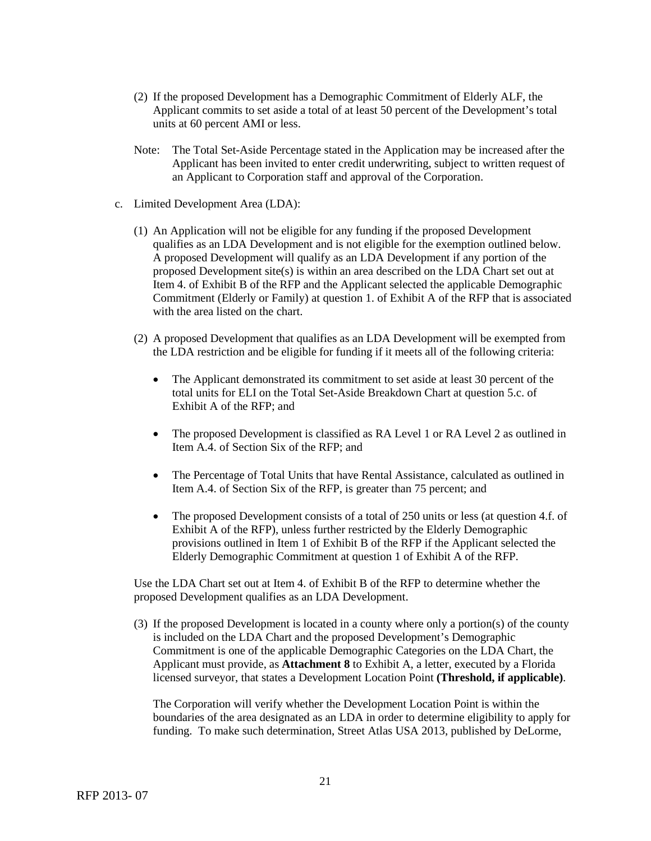- (2) If the proposed Development has a Demographic Commitment of Elderly ALF, the Applicant commits to set aside a total of at least 50 percent of the Development's total units at 60 percent AMI or less.
- Note: The Total Set-Aside Percentage stated in the Application may be increased after the Applicant has been invited to enter credit underwriting, subject to written request of an Applicant to Corporation staff and approval of the Corporation.
- c. Limited Development Area (LDA):
	- (1) An Application will not be eligible for any funding if the proposed Development qualifies as an LDA Development and is not eligible for the exemption outlined below. A proposed Development will qualify as an LDA Development if any portion of the proposed Development site(s) is within an area described on the LDA Chart set out at Item 4. of Exhibit B of the RFP and the Applicant selected the applicable Demographic Commitment (Elderly or Family) at question 1. of Exhibit A of the RFP that is associated with the area listed on the chart.
	- (2) A proposed Development that qualifies as an LDA Development will be exempted from the LDA restriction and be eligible for funding if it meets all of the following criteria:
		- The Applicant demonstrated its commitment to set aside at least 30 percent of the total units for ELI on the Total Set-Aside Breakdown Chart at question 5.c. of Exhibit A of the RFP; and
		- The proposed Development is classified as RA Level 1 or RA Level 2 as outlined in Item A.4. of Section Six of the RFP; and
		- The Percentage of Total Units that have Rental Assistance, calculated as outlined in Item A.4. of Section Six of the RFP, is greater than 75 percent; and
		- The proposed Development consists of a total of 250 units or less (at question 4.f. of Exhibit A of the RFP), unless further restricted by the Elderly Demographic provisions outlined in Item 1 of Exhibit B of the RFP if the Applicant selected the Elderly Demographic Commitment at question 1 of Exhibit A of the RFP.

Use the LDA Chart set out at Item 4. of Exhibit B of the RFP to determine whether the proposed Development qualifies as an LDA Development.

(3) If the proposed Development is located in a county where only a portion(s) of the county is included on the LDA Chart and the proposed Development's Demographic Commitment is one of the applicable Demographic Categories on the LDA Chart, the Applicant must provide, as **Attachment 8** to Exhibit A, a letter, executed by a Florida licensed surveyor, that states a Development Location Point **(Threshold, if applicable)**.

The Corporation will verify whether the Development Location Point is within the boundaries of the area designated as an LDA in order to determine eligibility to apply for funding. To make such determination, Street Atlas USA 2013, published by DeLorme,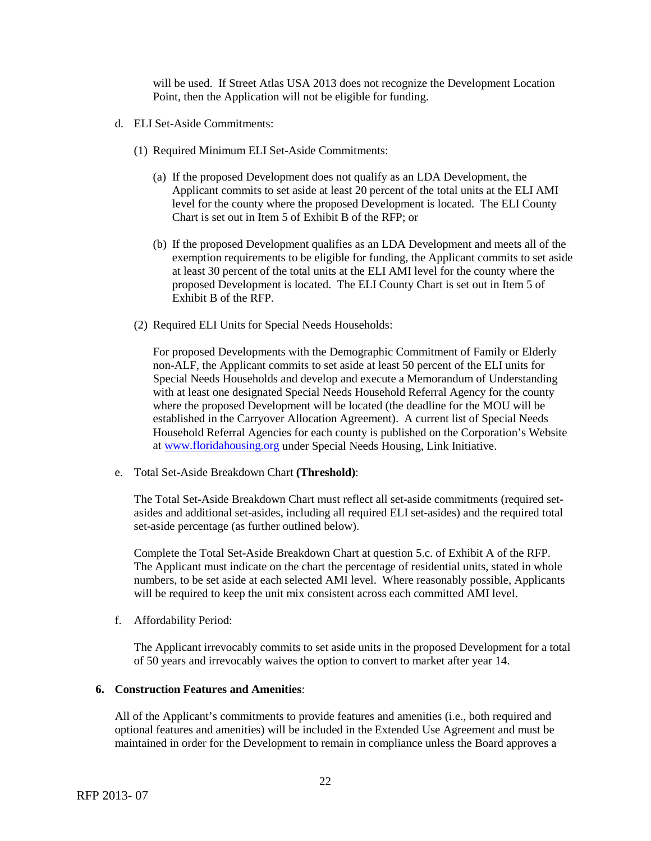will be used. If Street Atlas USA 2013 does not recognize the Development Location Point, then the Application will not be eligible for funding.

- d. ELI Set-Aside Commitments:
	- (1) Required Minimum ELI Set-Aside Commitments:
		- (a) If the proposed Development does not qualify as an LDA Development, the Applicant commits to set aside at least 20 percent of the total units at the ELI AMI level for the county where the proposed Development is located. The ELI County Chart is set out in Item 5 of Exhibit B of the RFP; or
		- (b) If the proposed Development qualifies as an LDA Development and meets all of the exemption requirements to be eligible for funding, the Applicant commits to set aside at least 30 percent of the total units at the ELI AMI level for the county where the proposed Development is located. The ELI County Chart is set out in Item 5 of Exhibit B of the RFP.
	- (2) Required ELI Units for Special Needs Households:

For proposed Developments with the Demographic Commitment of Family or Elderly non-ALF, the Applicant commits to set aside at least 50 percent of the ELI units for Special Needs Households and develop and execute a Memorandum of Understanding with at least one designated Special Needs Household Referral Agency for the county where the proposed Development will be located (the deadline for the MOU will be established in the Carryover Allocation Agreement). A current list of Special Needs Household Referral Agencies for each county is published on the Corporation's Website at [www.floridahousing.org](http://www.floridahousing.org/) under Special Needs Housing, Link Initiative.

e. Total Set-Aside Breakdown Chart **(Threshold)**:

The Total Set-Aside Breakdown Chart must reflect all set-aside commitments (required setasides and additional set-asides, including all required ELI set-asides) and the required total set-aside percentage (as further outlined below).

Complete the Total Set-Aside Breakdown Chart at question 5.c. of Exhibit A of the RFP. The Applicant must indicate on the chart the percentage of residential units, stated in whole numbers, to be set aside at each selected AMI level. Where reasonably possible, Applicants will be required to keep the unit mix consistent across each committed AMI level.

f. Affordability Period:

The Applicant irrevocably commits to set aside units in the proposed Development for a total of 50 years and irrevocably waives the option to convert to market after year 14.

# **6. Construction Features and Amenities**:

All of the Applicant's commitments to provide features and amenities (i.e., both required and optional features and amenities) will be included in the Extended Use Agreement and must be maintained in order for the Development to remain in compliance unless the Board approves a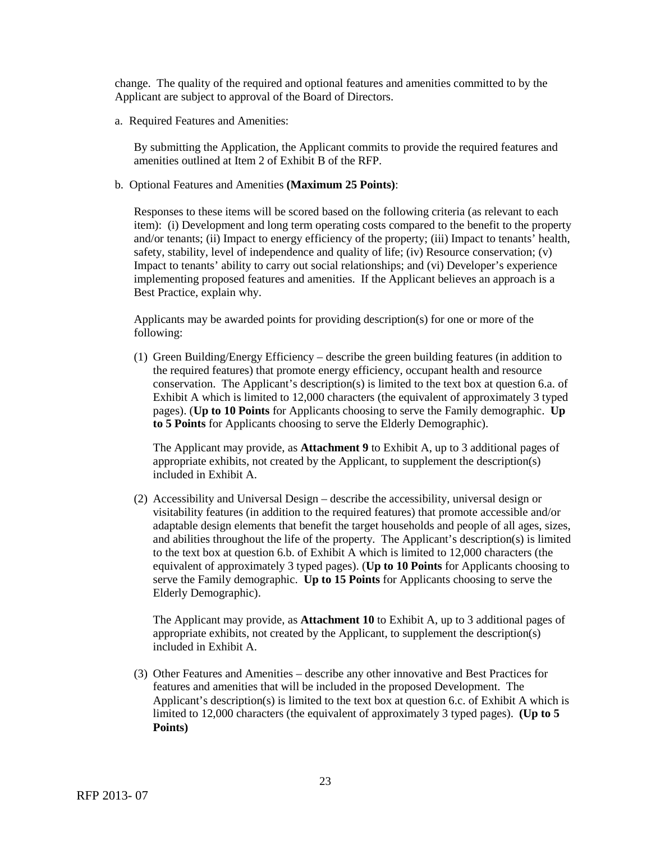change. The quality of the required and optional features and amenities committed to by the Applicant are subject to approval of the Board of Directors.

a. Required Features and Amenities:

By submitting the Application, the Applicant commits to provide the required features and amenities outlined at Item 2 of Exhibit B of the RFP.

b. Optional Features and Amenities **(Maximum 25 Points)**:

Responses to these items will be scored based on the following criteria (as relevant to each item): (i) Development and long term operating costs compared to the benefit to the property and/or tenants; (ii) Impact to energy efficiency of the property; (iii) Impact to tenants' health, safety, stability, level of independence and quality of life; (iv) Resource conservation; (v) Impact to tenants' ability to carry out social relationships; and (vi) Developer's experience implementing proposed features and amenities. If the Applicant believes an approach is a Best Practice, explain why.

Applicants may be awarded points for providing description(s) for one or more of the following:

(1) Green Building/Energy Efficiency – describe the green building features (in addition to the required features) that promote energy efficiency, occupant health and resource conservation. The Applicant's description(s) is limited to the text box at question 6.a. of Exhibit A which is limited to 12,000 characters (the equivalent of approximately 3 typed pages). (**Up to 10 Points** for Applicants choosing to serve the Family demographic. **Up to 5 Points** for Applicants choosing to serve the Elderly Demographic).

The Applicant may provide, as **Attachment 9** to Exhibit A, up to 3 additional pages of appropriate exhibits, not created by the Applicant, to supplement the description(s) included in Exhibit A.

(2) Accessibility and Universal Design – describe the accessibility, universal design or visitability features (in addition to the required features) that promote accessible and/or adaptable design elements that benefit the target households and people of all ages, sizes, and abilities throughout the life of the property. The Applicant's description(s) is limited to the text box at question 6.b. of Exhibit A which is limited to 12,000 characters (the equivalent of approximately 3 typed pages). (**Up to 10 Points** for Applicants choosing to serve the Family demographic. **Up to 15 Points** for Applicants choosing to serve the Elderly Demographic).

The Applicant may provide, as **Attachment 10** to Exhibit A, up to 3 additional pages of appropriate exhibits, not created by the Applicant, to supplement the description(s) included in Exhibit A.

(3) Other Features and Amenities – describe any other innovative and Best Practices for features and amenities that will be included in the proposed Development. The Applicant's description(s) is limited to the text box at question 6.c. of Exhibit A which is limited to 12,000 characters (the equivalent of approximately 3 typed pages). **(Up to 5 Points)**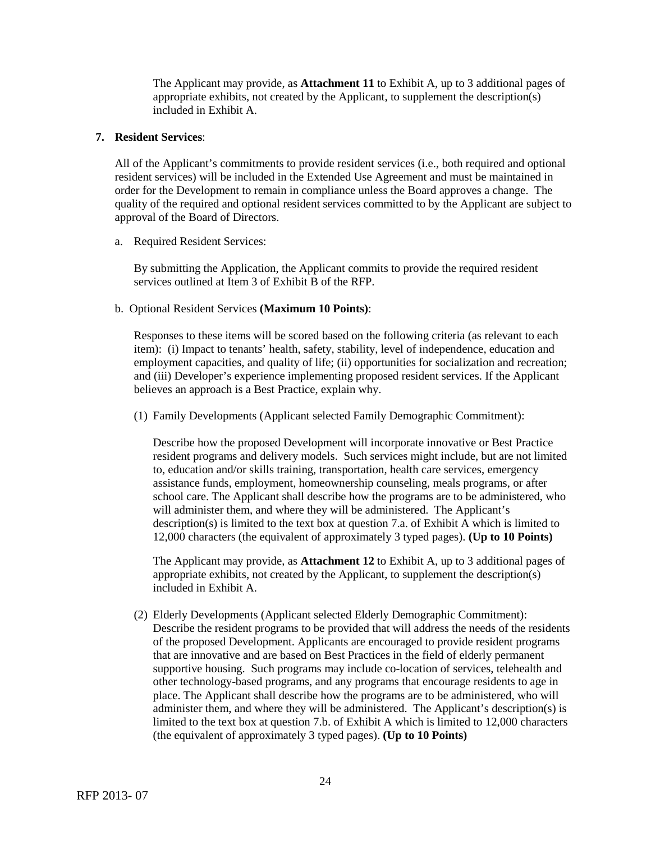The Applicant may provide, as **Attachment 11** to Exhibit A, up to 3 additional pages of appropriate exhibits, not created by the Applicant, to supplement the description(s) included in Exhibit A.

# **7. Resident Services**:

All of the Applicant's commitments to provide resident services (i.e., both required and optional resident services) will be included in the Extended Use Agreement and must be maintained in order for the Development to remain in compliance unless the Board approves a change. The quality of the required and optional resident services committed to by the Applicant are subject to approval of the Board of Directors.

### a. Required Resident Services:

By submitting the Application, the Applicant commits to provide the required resident services outlined at Item 3 of Exhibit B of the RFP.

### b. Optional Resident Services **(Maximum 10 Points)**:

Responses to these items will be scored based on the following criteria (as relevant to each item): (i) Impact to tenants' health, safety, stability, level of independence, education and employment capacities, and quality of life; (ii) opportunities for socialization and recreation; and (iii) Developer's experience implementing proposed resident services. If the Applicant believes an approach is a Best Practice, explain why.

(1) Family Developments (Applicant selected Family Demographic Commitment):

Describe how the proposed Development will incorporate innovative or Best Practice resident programs and delivery models. Such services might include, but are not limited to, education and/or skills training, transportation, health care services, emergency assistance funds, employment, homeownership counseling, meals programs, or after school care. The Applicant shall describe how the programs are to be administered, who will administer them, and where they will be administered. The Applicant's description(s) is limited to the text box at question 7.a. of Exhibit A which is limited to 12,000 characters (the equivalent of approximately 3 typed pages). **(Up to 10 Points)**

The Applicant may provide, as **Attachment 12** to Exhibit A, up to 3 additional pages of appropriate exhibits, not created by the Applicant, to supplement the description(s) included in Exhibit A.

(2) Elderly Developments (Applicant selected Elderly Demographic Commitment): Describe the resident programs to be provided that will address the needs of the residents of the proposed Development. Applicants are encouraged to provide resident programs that are innovative and are based on Best Practices in the field of elderly permanent supportive housing. Such programs may include co-location of services, telehealth and other technology-based programs, and any programs that encourage residents to age in place. The Applicant shall describe how the programs are to be administered, who will administer them, and where they will be administered. The Applicant's description(s) is limited to the text box at question 7.b. of Exhibit A which is limited to 12,000 characters (the equivalent of approximately 3 typed pages). **(Up to 10 Points)**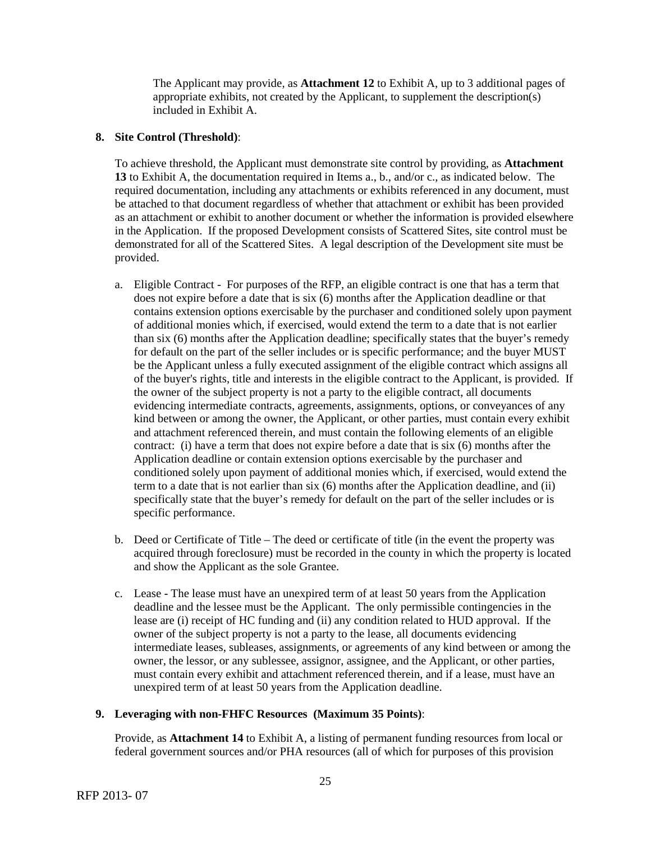The Applicant may provide, as **Attachment 12** to Exhibit A, up to 3 additional pages of appropriate exhibits, not created by the Applicant, to supplement the description(s) included in Exhibit A.

# **8. Site Control (Threshold)**:

To achieve threshold, the Applicant must demonstrate site control by providing, as **Attachment 13** to Exhibit A, the documentation required in Items a., b., and/or c., as indicated below. The required documentation, including any attachments or exhibits referenced in any document, must be attached to that document regardless of whether that attachment or exhibit has been provided as an attachment or exhibit to another document or whether the information is provided elsewhere in the Application. If the proposed Development consists of Scattered Sites, site control must be demonstrated for all of the Scattered Sites. A legal description of the Development site must be provided.

- a. Eligible Contract For purposes of the RFP, an eligible contract is one that has a term that does not expire before a date that is six (6) months after the Application deadline or that contains extension options exercisable by the purchaser and conditioned solely upon payment of additional monies which, if exercised, would extend the term to a date that is not earlier than six (6) months after the Application deadline; specifically states that the buyer's remedy for default on the part of the seller includes or is specific performance; and the buyer MUST be the Applicant unless a fully executed assignment of the eligible contract which assigns all of the buyer's rights, title and interests in the eligible contract to the Applicant, is provided. If the owner of the subject property is not a party to the eligible contract, all documents evidencing intermediate contracts, agreements, assignments, options, or conveyances of any kind between or among the owner, the Applicant, or other parties, must contain every exhibit and attachment referenced therein, and must contain the following elements of an eligible contract: (i) have a term that does not expire before a date that is six (6) months after the Application deadline or contain extension options exercisable by the purchaser and conditioned solely upon payment of additional monies which, if exercised, would extend the term to a date that is not earlier than six (6) months after the Application deadline, and (ii) specifically state that the buyer's remedy for default on the part of the seller includes or is specific performance.
- b. Deed or Certificate of Title The deed or certificate of title (in the event the property was acquired through foreclosure) must be recorded in the county in which the property is located and show the Applicant as the sole Grantee.
- c. Lease The lease must have an unexpired term of at least 50 years from the Application deadline and the lessee must be the Applicant. The only permissible contingencies in the lease are (i) receipt of HC funding and (ii) any condition related to HUD approval. If the owner of the subject property is not a party to the lease, all documents evidencing intermediate leases, subleases, assignments, or agreements of any kind between or among the owner, the lessor, or any sublessee, assignor, assignee, and the Applicant, or other parties, must contain every exhibit and attachment referenced therein, and if a lease, must have an unexpired term of at least 50 years from the Application deadline.

# **9. Leveraging with non-FHFC Resources (Maximum 35 Points)**:

Provide, as **Attachment 14** to Exhibit A, a listing of permanent funding resources from local or federal government sources and/or PHA resources (all of which for purposes of this provision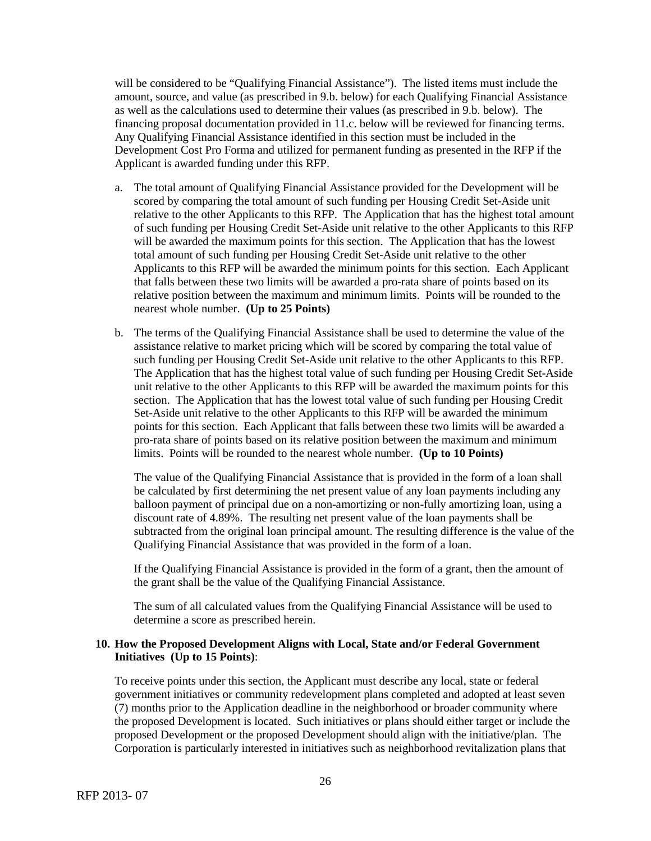will be considered to be "Qualifying Financial Assistance"). The listed items must include the amount, source, and value (as prescribed in 9.b. below) for each Qualifying Financial Assistance as well as the calculations used to determine their values (as prescribed in 9.b. below). The financing proposal documentation provided in 11.c. below will be reviewed for financing terms. Any Qualifying Financial Assistance identified in this section must be included in the Development Cost Pro Forma and utilized for permanent funding as presented in the RFP if the Applicant is awarded funding under this RFP.

- a. The total amount of Qualifying Financial Assistance provided for the Development will be scored by comparing the total amount of such funding per Housing Credit Set-Aside unit relative to the other Applicants to this RFP. The Application that has the highest total amount of such funding per Housing Credit Set-Aside unit relative to the other Applicants to this RFP will be awarded the maximum points for this section. The Application that has the lowest total amount of such funding per Housing Credit Set-Aside unit relative to the other Applicants to this RFP will be awarded the minimum points for this section. Each Applicant that falls between these two limits will be awarded a pro-rata share of points based on its relative position between the maximum and minimum limits. Points will be rounded to the nearest whole number. **(Up to 25 Points)**
- b. The terms of the Qualifying Financial Assistance shall be used to determine the value of the assistance relative to market pricing which will be scored by comparing the total value of such funding per Housing Credit Set-Aside unit relative to the other Applicants to this RFP. The Application that has the highest total value of such funding per Housing Credit Set-Aside unit relative to the other Applicants to this RFP will be awarded the maximum points for this section. The Application that has the lowest total value of such funding per Housing Credit Set-Aside unit relative to the other Applicants to this RFP will be awarded the minimum points for this section. Each Applicant that falls between these two limits will be awarded a pro-rata share of points based on its relative position between the maximum and minimum limits. Points will be rounded to the nearest whole number. **(Up to 10 Points)**

The value of the Qualifying Financial Assistance that is provided in the form of a loan shall be calculated by first determining the net present value of any loan payments including any balloon payment of principal due on a non-amortizing or non-fully amortizing loan, using a discount rate of 4.89%. The resulting net present value of the loan payments shall be subtracted from the original loan principal amount. The resulting difference is the value of the Qualifying Financial Assistance that was provided in the form of a loan.

If the Qualifying Financial Assistance is provided in the form of a grant, then the amount of the grant shall be the value of the Qualifying Financial Assistance.

The sum of all calculated values from the Qualifying Financial Assistance will be used to determine a score as prescribed herein.

# **10. How the Proposed Development Aligns with Local, State and/or Federal Government Initiatives (Up to 15 Points)**:

 To receive points under this section, the Applicant must describe any local, state or federal government initiatives or community redevelopment plans completed and adopted at least seven (7) months prior to the Application deadline in the neighborhood or broader community where the proposed Development is located. Such initiatives or plans should either target or include the proposed Development or the proposed Development should align with the initiative/plan. The Corporation is particularly interested in initiatives such as neighborhood revitalization plans that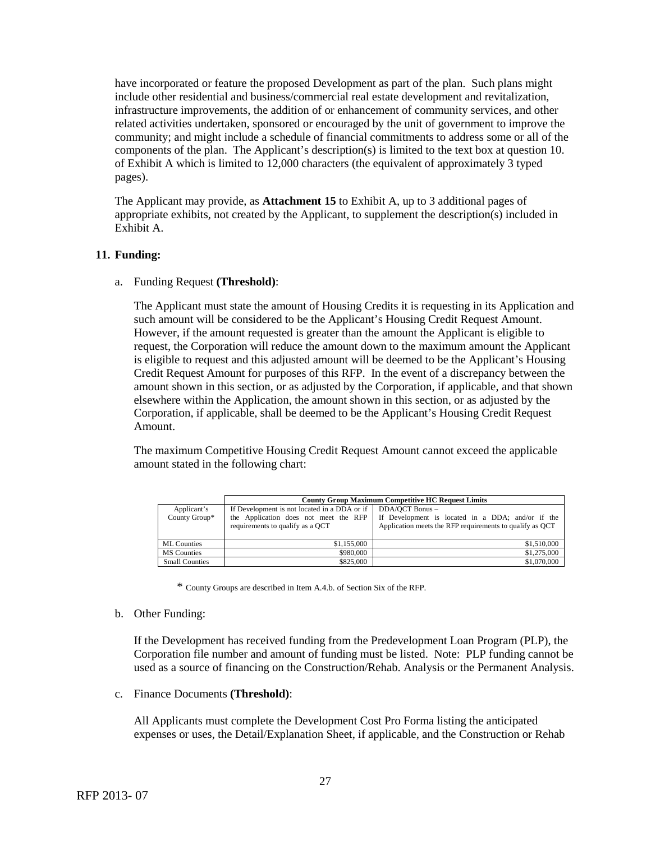have incorporated or feature the proposed Development as part of the plan. Such plans might include other residential and business/commercial real estate development and revitalization, infrastructure improvements, the addition of or enhancement of community services, and other related activities undertaken, sponsored or encouraged by the unit of government to improve the community; and might include a schedule of financial commitments to address some or all of the components of the plan. The Applicant's description(s) is limited to the text box at question 10. of Exhibit A which is limited to 12,000 characters (the equivalent of approximately 3 typed pages).

The Applicant may provide, as **Attachment 15** to Exhibit A, up to 3 additional pages of appropriate exhibits, not created by the Applicant, to supplement the description(s) included in Exhibit A.

# **11. Funding:**

a. Funding Request **(Threshold)**:

The Applicant must state the amount of Housing Credits it is requesting in its Application and such amount will be considered to be the Applicant's Housing Credit Request Amount. However, if the amount requested is greater than the amount the Applicant is eligible to request, the Corporation will reduce the amount down to the maximum amount the Applicant is eligible to request and this adjusted amount will be deemed to be the Applicant's Housing Credit Request Amount for purposes of this RFP. In the event of a discrepancy between the amount shown in this section, or as adjusted by the Corporation, if applicable, and that shown elsewhere within the Application, the amount shown in this section, or as adjusted by the Corporation, if applicable, shall be deemed to be the Applicant's Housing Credit Request Amount.

The maximum Competitive Housing Credit Request Amount cannot exceed the applicable amount stated in the following chart:

|                              | <b>County Group Maximum Competitive HC Request Limits</b>                                                                 |                                                                                                                                  |  |  |
|------------------------------|---------------------------------------------------------------------------------------------------------------------------|----------------------------------------------------------------------------------------------------------------------------------|--|--|
| Applicant's<br>County Group* | If Development is not located in a DDA or if<br>the Application does not meet the RFP<br>requirements to qualify as a OCT | DDA/OCT Bonus -<br>If Development is located in a DDA; and/or if the<br>Application meets the RFP requirements to qualify as OCT |  |  |
| <b>ML</b> Counties           | \$1,155,000                                                                                                               | \$1,510,000                                                                                                                      |  |  |
| <b>MS</b> Counties           | \$980,000                                                                                                                 | \$1,275,000                                                                                                                      |  |  |
| <b>Small Counties</b>        | \$825,000                                                                                                                 | \$1,070,000                                                                                                                      |  |  |

\* County Groups are described in Item A.4.b. of Section Six of the RFP.

#### b. Other Funding:

If the Development has received funding from the Predevelopment Loan Program (PLP), the Corporation file number and amount of funding must be listed. Note: PLP funding cannot be used as a source of financing on the Construction/Rehab. Analysis or the Permanent Analysis.

c. Finance Documents **(Threshold)**:

All Applicants must complete the Development Cost Pro Forma listing the anticipated expenses or uses, the Detail/Explanation Sheet, if applicable, and the Construction or Rehab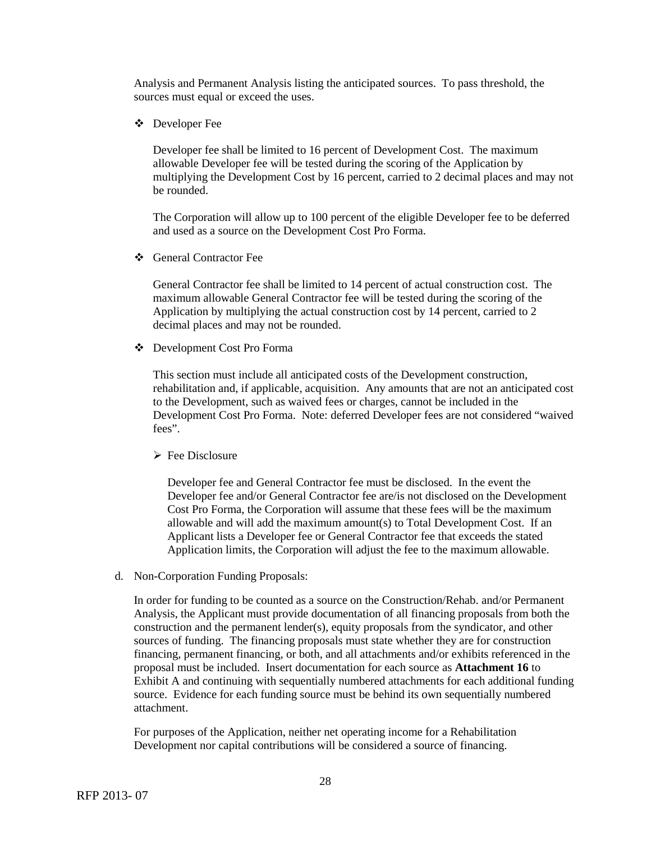Analysis and Permanent Analysis listing the anticipated sources. To pass threshold, the sources must equal or exceed the uses.

Developer Fee

Developer fee shall be limited to 16 percent of Development Cost. The maximum allowable Developer fee will be tested during the scoring of the Application by multiplying the Development Cost by 16 percent, carried to 2 decimal places and may not be rounded.

The Corporation will allow up to 100 percent of the eligible Developer fee to be deferred and used as a source on the Development Cost Pro Forma.

General Contractor Fee

General Contractor fee shall be limited to 14 percent of actual construction cost. The maximum allowable General Contractor fee will be tested during the scoring of the Application by multiplying the actual construction cost by 14 percent, carried to 2 decimal places and may not be rounded.

Development Cost Pro Forma

This section must include all anticipated costs of the Development construction, rehabilitation and, if applicable, acquisition. Any amounts that are not an anticipated cost to the Development, such as waived fees or charges, cannot be included in the Development Cost Pro Forma. Note: deferred Developer fees are not considered "waived fees".

 $\triangleright$  Fee Disclosure

Developer fee and General Contractor fee must be disclosed. In the event the Developer fee and/or General Contractor fee are/is not disclosed on the Development Cost Pro Forma, the Corporation will assume that these fees will be the maximum allowable and will add the maximum amount(s) to Total Development Cost. If an Applicant lists a Developer fee or General Contractor fee that exceeds the stated Application limits, the Corporation will adjust the fee to the maximum allowable.

d. Non-Corporation Funding Proposals:

In order for funding to be counted as a source on the Construction/Rehab. and/or Permanent Analysis, the Applicant must provide documentation of all financing proposals from both the construction and the permanent lender(s), equity proposals from the syndicator, and other sources of funding. The financing proposals must state whether they are for construction financing, permanent financing, or both, and all attachments and/or exhibits referenced in the proposal must be included. Insert documentation for each source as **Attachment 16** to Exhibit A and continuing with sequentially numbered attachments for each additional funding source. Evidence for each funding source must be behind its own sequentially numbered attachment.

For purposes of the Application, neither net operating income for a Rehabilitation Development nor capital contributions will be considered a source of financing.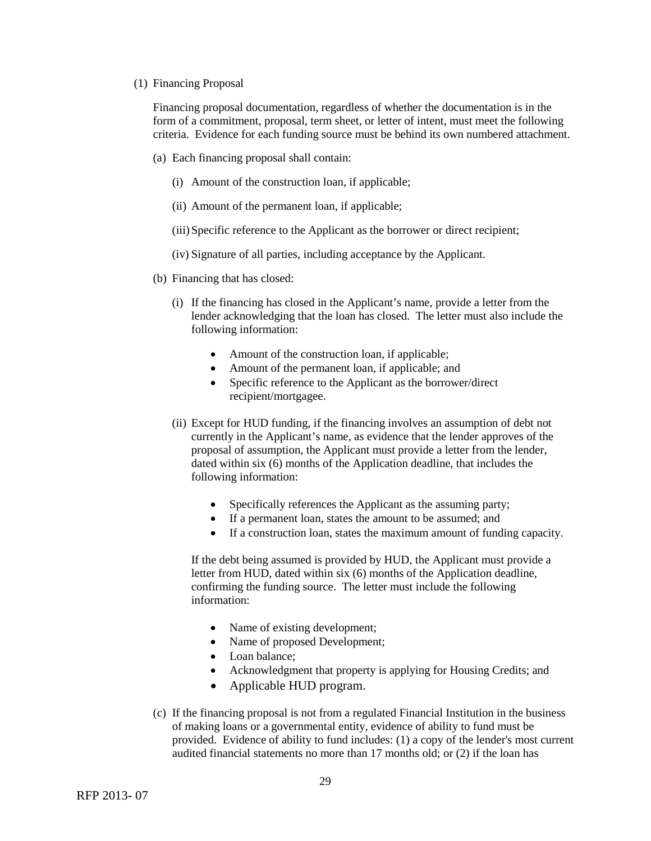#### (1) Financing Proposal

Financing proposal documentation, regardless of whether the documentation is in the form of a commitment, proposal, term sheet, or letter of intent, must meet the following criteria. Evidence for each funding source must be behind its own numbered attachment.

- (a) Each financing proposal shall contain:
	- (i) Amount of the construction loan, if applicable;
	- (ii) Amount of the permanent loan, if applicable;
	- (iii)Specific reference to the Applicant as the borrower or direct recipient;
	- (iv) Signature of all parties, including acceptance by the Applicant.
- (b) Financing that has closed:
	- (i) If the financing has closed in the Applicant's name, provide a letter from the lender acknowledging that the loan has closed. The letter must also include the following information:
		- Amount of the construction loan, if applicable;
		- Amount of the permanent loan, if applicable; and
		- Specific reference to the Applicant as the borrower/direct recipient/mortgagee.
	- (ii) Except for HUD funding, if the financing involves an assumption of debt not currently in the Applicant's name, as evidence that the lender approves of the proposal of assumption, the Applicant must provide a letter from the lender, dated within six (6) months of the Application deadline, that includes the following information:
		- Specifically references the Applicant as the assuming party;
		- If a permanent loan, states the amount to be assumed; and
		- If a construction loan, states the maximum amount of funding capacity.

If the debt being assumed is provided by HUD, the Applicant must provide a letter from HUD, dated within six (6) months of the Application deadline, confirming the funding source. The letter must include the following information:

- Name of existing development;
- Name of proposed Development;
- Loan balance;
- Acknowledgment that property is applying for Housing Credits; and
- Applicable HUD program.
- (c) If the financing proposal is not from a regulated Financial Institution in the business of making loans or a governmental entity, evidence of ability to fund must be provided. Evidence of ability to fund includes: (1) a copy of the lender's most current audited financial statements no more than 17 months old; or (2) if the loan has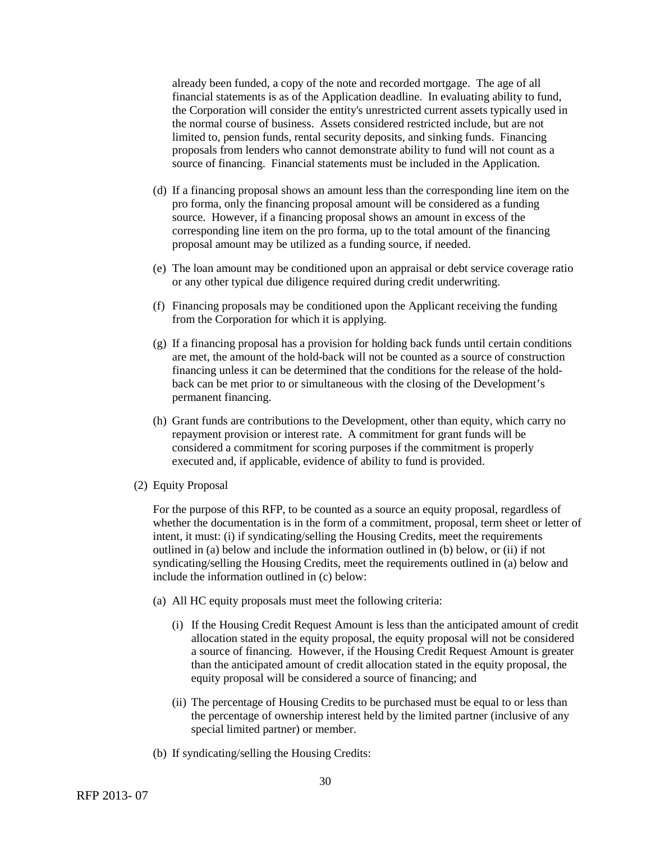already been funded, a copy of the note and recorded mortgage. The age of all financial statements is as of the Application deadline. In evaluating ability to fund, the Corporation will consider the entity's unrestricted current assets typically used in the normal course of business. Assets considered restricted include, but are not limited to, pension funds, rental security deposits, and sinking funds. Financing proposals from lenders who cannot demonstrate ability to fund will not count as a source of financing. Financial statements must be included in the Application.

- (d) If a financing proposal shows an amount less than the corresponding line item on the pro forma, only the financing proposal amount will be considered as a funding source. However, if a financing proposal shows an amount in excess of the corresponding line item on the pro forma, up to the total amount of the financing proposal amount may be utilized as a funding source, if needed.
- (e) The loan amount may be conditioned upon an appraisal or debt service coverage ratio or any other typical due diligence required during credit underwriting.
- (f) Financing proposals may be conditioned upon the Applicant receiving the funding from the Corporation for which it is applying.
- (g) If a financing proposal has a provision for holding back funds until certain conditions are met, the amount of the hold-back will not be counted as a source of construction financing unless it can be determined that the conditions for the release of the holdback can be met prior to or simultaneous with the closing of the Development's permanent financing.
- (h) Grant funds are contributions to the Development, other than equity, which carry no repayment provision or interest rate. A commitment for grant funds will be considered a commitment for scoring purposes if the commitment is properly executed and, if applicable, evidence of ability to fund is provided.
- (2) Equity Proposal

For the purpose of this RFP, to be counted as a source an equity proposal, regardless of whether the documentation is in the form of a commitment, proposal, term sheet or letter of intent, it must: (i) if syndicating/selling the Housing Credits, meet the requirements outlined in (a) below and include the information outlined in (b) below, or (ii) if not syndicating/selling the Housing Credits, meet the requirements outlined in (a) below and include the information outlined in (c) below:

- (a) All HC equity proposals must meet the following criteria:
	- (i) If the Housing Credit Request Amount is less than the anticipated amount of credit allocation stated in the equity proposal, the equity proposal will not be considered a source of financing. However, if the Housing Credit Request Amount is greater than the anticipated amount of credit allocation stated in the equity proposal, the equity proposal will be considered a source of financing; and
	- (ii) The percentage of Housing Credits to be purchased must be equal to or less than the percentage of ownership interest held by the limited partner (inclusive of any special limited partner) or member.
- (b) If syndicating/selling the Housing Credits: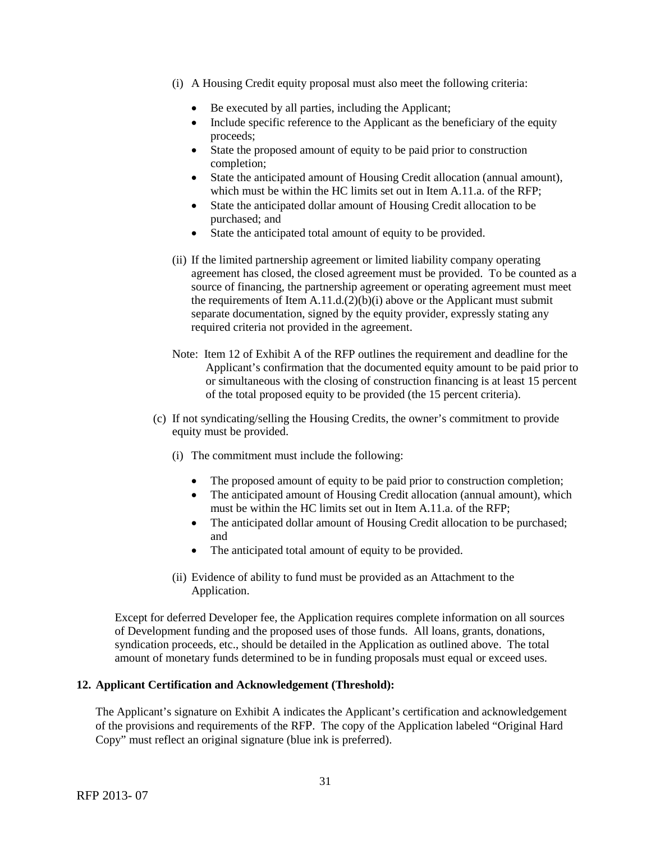- (i) A Housing Credit equity proposal must also meet the following criteria:
	- Be executed by all parties, including the Applicant;
	- Include specific reference to the Applicant as the beneficiary of the equity proceeds;
	- State the proposed amount of equity to be paid prior to construction completion;
	- State the anticipated amount of Housing Credit allocation (annual amount), which must be within the HC limits set out in Item A.11.a. of the RFP;
	- State the anticipated dollar amount of Housing Credit allocation to be purchased; and
	- State the anticipated total amount of equity to be provided.
- (ii) If the limited partnership agreement or limited liability company operating agreement has closed, the closed agreement must be provided. To be counted as a source of financing, the partnership agreement or operating agreement must meet the requirements of Item  $A.11.d.(2)(b)(i)$  above or the Applicant must submit separate documentation, signed by the equity provider, expressly stating any required criteria not provided in the agreement.
- Note: Item 12 of Exhibit A of the RFP outlines the requirement and deadline for the Applicant's confirmation that the documented equity amount to be paid prior to or simultaneous with the closing of construction financing is at least 15 percent of the total proposed equity to be provided (the 15 percent criteria).
- (c) If not syndicating/selling the Housing Credits, the owner's commitment to provide equity must be provided.
	- (i) The commitment must include the following:
		- The proposed amount of equity to be paid prior to construction completion;
		- The anticipated amount of Housing Credit allocation (annual amount), which must be within the HC limits set out in Item A.11.a. of the RFP;
		- The anticipated dollar amount of Housing Credit allocation to be purchased; and
		- The anticipated total amount of equity to be provided.
	- (ii) Evidence of ability to fund must be provided as an Attachment to the Application.

Except for deferred Developer fee, the Application requires complete information on all sources of Development funding and the proposed uses of those funds. All loans, grants, donations, syndication proceeds, etc., should be detailed in the Application as outlined above. The total amount of monetary funds determined to be in funding proposals must equal or exceed uses.

# **12. Applicant Certification and Acknowledgement (Threshold):**

The Applicant's signature on Exhibit A indicates the Applicant's certification and acknowledgement of the provisions and requirements of the RFP. The copy of the Application labeled "Original Hard Copy" must reflect an original signature (blue ink is preferred).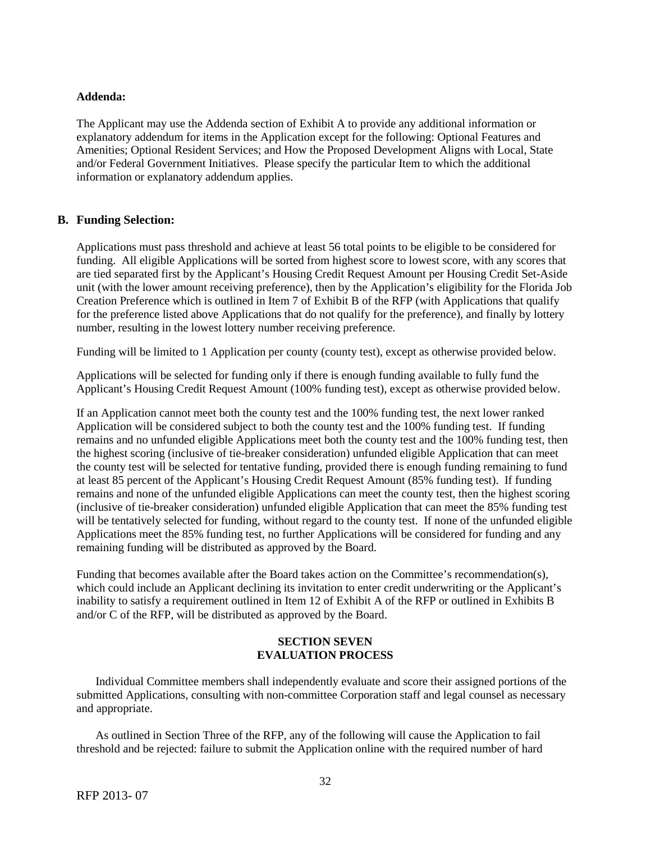# **Addenda:**

The Applicant may use the Addenda section of Exhibit A to provide any additional information or explanatory addendum for items in the Application except for the following: Optional Features and Amenities; Optional Resident Services; and How the Proposed Development Aligns with Local, State and/or Federal Government Initiatives. Please specify the particular Item to which the additional information or explanatory addendum applies.

# **B. Funding Selection:**

Applications must pass threshold and achieve at least 56 total points to be eligible to be considered for funding. All eligible Applications will be sorted from highest score to lowest score, with any scores that are tied separated first by the Applicant's Housing Credit Request Amount per Housing Credit Set-Aside unit (with the lower amount receiving preference), then by the Application's eligibility for the Florida Job Creation Preference which is outlined in Item 7 of Exhibit B of the RFP (with Applications that qualify for the preference listed above Applications that do not qualify for the preference), and finally by lottery number, resulting in the lowest lottery number receiving preference.

Funding will be limited to 1 Application per county (county test), except as otherwise provided below.

Applications will be selected for funding only if there is enough funding available to fully fund the Applicant's Housing Credit Request Amount (100% funding test), except as otherwise provided below.

If an Application cannot meet both the county test and the 100% funding test, the next lower ranked Application will be considered subject to both the county test and the 100% funding test. If funding remains and no unfunded eligible Applications meet both the county test and the 100% funding test, then the highest scoring (inclusive of tie-breaker consideration) unfunded eligible Application that can meet the county test will be selected for tentative funding, provided there is enough funding remaining to fund at least 85 percent of the Applicant's Housing Credit Request Amount (85% funding test). If funding remains and none of the unfunded eligible Applications can meet the county test, then the highest scoring (inclusive of tie-breaker consideration) unfunded eligible Application that can meet the 85% funding test will be tentatively selected for funding, without regard to the county test. If none of the unfunded eligible Applications meet the 85% funding test, no further Applications will be considered for funding and any remaining funding will be distributed as approved by the Board.

Funding that becomes available after the Board takes action on the Committee's recommendation(s), which could include an Applicant declining its invitation to enter credit underwriting or the Applicant's inability to satisfy a requirement outlined in Item 12 of Exhibit A of the RFP or outlined in Exhibits B and/or C of the RFP, will be distributed as approved by the Board.

# **SECTION SEVEN EVALUATION PROCESS**

Individual Committee members shall independently evaluate and score their assigned portions of the submitted Applications, consulting with non-committee Corporation staff and legal counsel as necessary and appropriate.

As outlined in Section Three of the RFP, any of the following will cause the Application to fail threshold and be rejected: failure to submit the Application online with the required number of hard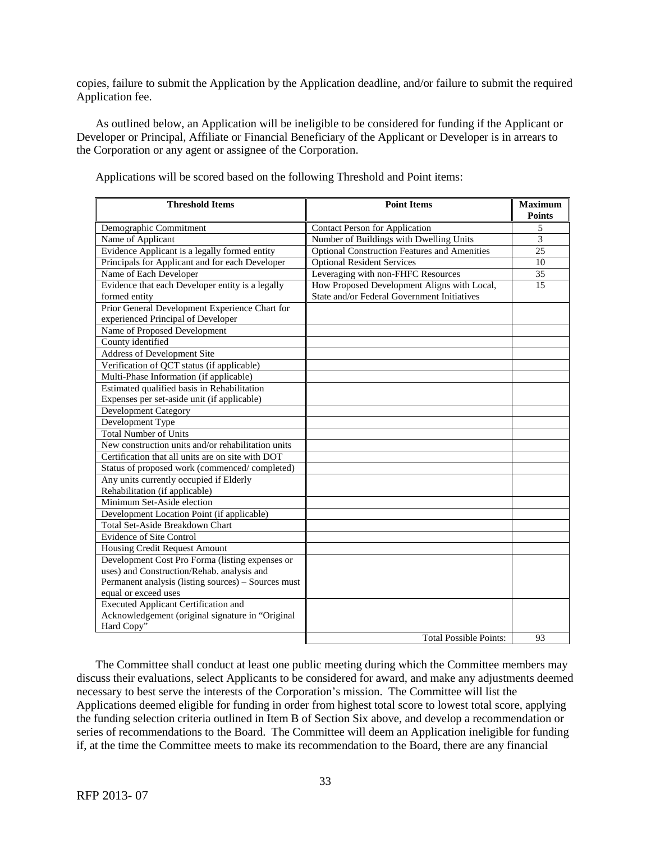copies, failure to submit the Application by the Application deadline, and/or failure to submit the required Application fee.

As outlined below, an Application will be ineligible to be considered for funding if the Applicant or Developer or Principal, Affiliate or Financial Beneficiary of the Applicant or Developer is in arrears to the Corporation or any agent or assignee of the Corporation.

| <b>Threshold Items</b>                                                               | <b>Point Items</b>                                  | <b>Maximum</b><br><b>Points</b> |
|--------------------------------------------------------------------------------------|-----------------------------------------------------|---------------------------------|
| Demographic Commitment                                                               | <b>Contact Person for Application</b>               | 5                               |
| Name of Applicant                                                                    | Number of Buildings with Dwelling Units             | $\overline{3}$                  |
| Evidence Applicant is a legally formed entity                                        | <b>Optional Construction Features and Amenities</b> | 25                              |
| Principals for Applicant and for each Developer                                      | <b>Optional Resident Services</b>                   | 10                              |
| Name of Each Developer                                                               | Leveraging with non-FHFC Resources                  | 35                              |
| Evidence that each Developer entity is a legally                                     | How Proposed Development Aligns with Local,         | 15                              |
| formed entity                                                                        | State and/or Federal Government Initiatives         |                                 |
| Prior General Development Experience Chart for<br>experienced Principal of Developer |                                                     |                                 |
| Name of Proposed Development                                                         |                                                     |                                 |
| County identified                                                                    |                                                     |                                 |
| <b>Address of Development Site</b>                                                   |                                                     |                                 |
| Verification of QCT status (if applicable)                                           |                                                     |                                 |
| Multi-Phase Information (if applicable)                                              |                                                     |                                 |
| Estimated qualified basis in Rehabilitation                                          |                                                     |                                 |
| Expenses per set-aside unit (if applicable)                                          |                                                     |                                 |
| <b>Development Category</b>                                                          |                                                     |                                 |
| Development Type                                                                     |                                                     |                                 |
| <b>Total Number of Units</b>                                                         |                                                     |                                 |
| New construction units and/or rehabilitation units                                   |                                                     |                                 |
| Certification that all units are on site with DOT                                    |                                                     |                                 |
| Status of proposed work (commenced/completed)                                        |                                                     |                                 |
| Any units currently occupied if Elderly                                              |                                                     |                                 |
| Rehabilitation (if applicable)                                                       |                                                     |                                 |
| Minimum Set-Aside election                                                           |                                                     |                                 |
| Development Location Point (if applicable)                                           |                                                     |                                 |
| Total Set-Aside Breakdown Chart                                                      |                                                     |                                 |
| <b>Evidence of Site Control</b>                                                      |                                                     |                                 |
| <b>Housing Credit Request Amount</b>                                                 |                                                     |                                 |
| Development Cost Pro Forma (listing expenses or                                      |                                                     |                                 |
| uses) and Construction/Rehab. analysis and                                           |                                                     |                                 |
| Permanent analysis (listing sources) - Sources must                                  |                                                     |                                 |
| equal or exceed uses                                                                 |                                                     |                                 |
| <b>Executed Applicant Certification and</b>                                          |                                                     |                                 |
| Acknowledgement (original signature in "Original                                     |                                                     |                                 |
| Hard Copy"                                                                           |                                                     |                                 |
|                                                                                      | <b>Total Possible Points:</b>                       | 93                              |

Applications will be scored based on the following Threshold and Point items:

The Committee shall conduct at least one public meeting during which the Committee members may discuss their evaluations, select Applicants to be considered for award, and make any adjustments deemed necessary to best serve the interests of the Corporation's mission. The Committee will list the Applications deemed eligible for funding in order from highest total score to lowest total score, applying the funding selection criteria outlined in Item B of Section Six above, and develop a recommendation or series of recommendations to the Board. The Committee will deem an Application ineligible for funding if, at the time the Committee meets to make its recommendation to the Board, there are any financial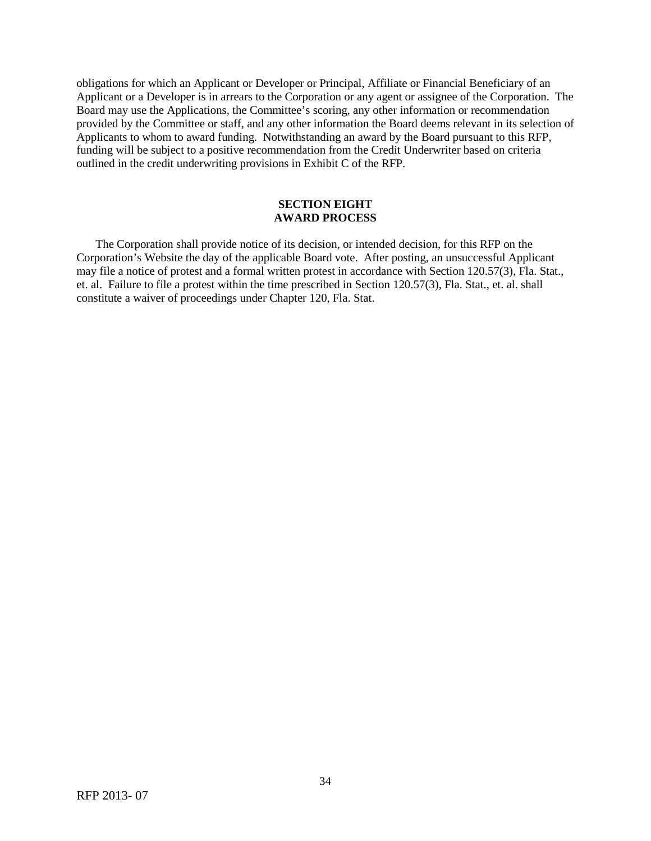obligations for which an Applicant or Developer or Principal, Affiliate or Financial Beneficiary of an Applicant or a Developer is in arrears to the Corporation or any agent or assignee of the Corporation. The Board may use the Applications, the Committee's scoring, any other information or recommendation provided by the Committee or staff, and any other information the Board deems relevant in its selection of Applicants to whom to award funding. Notwithstanding an award by the Board pursuant to this RFP, funding will be subject to a positive recommendation from the Credit Underwriter based on criteria outlined in the credit underwriting provisions in Exhibit C of the RFP.

# **SECTION EIGHT AWARD PROCESS**

The Corporation shall provide notice of its decision, or intended decision, for this RFP on the Corporation's Website the day of the applicable Board vote. After posting, an unsuccessful Applicant may file a notice of protest and a formal written protest in accordance with Section 120.57(3), Fla. Stat., et. al. Failure to file a protest within the time prescribed in Section 120.57(3), Fla. Stat., et. al. shall constitute a waiver of proceedings under Chapter 120, Fla. Stat.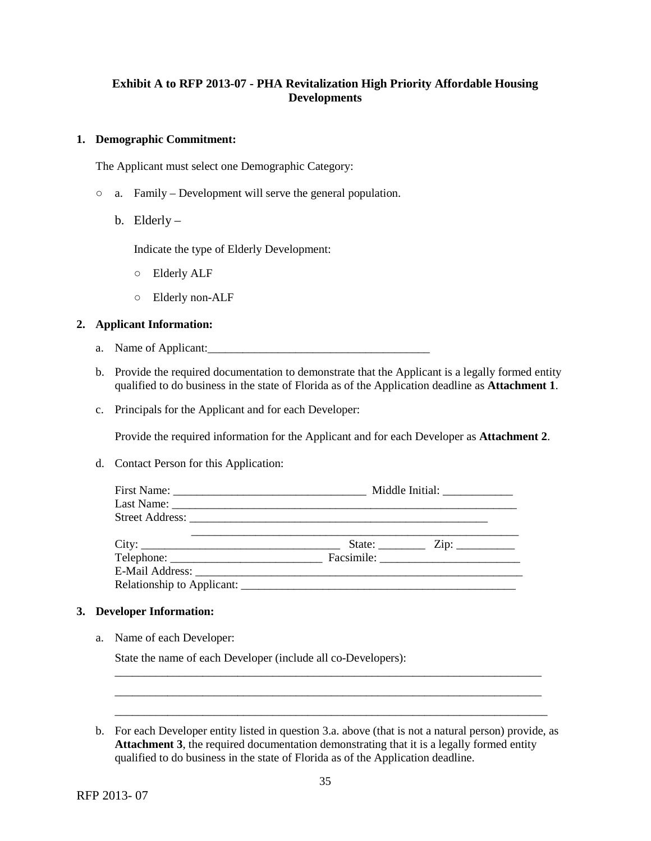# **Exhibit A to RFP 2013-07 - PHA Revitalization High Priority Affordable Housing Developments**

# **1. Demographic Commitment:**

The Applicant must select one Demographic Category:

- a. Family Development will serve the general population.
	- b. Elderly –

Indicate the type of Elderly Development:

- Elderly ALF
- Elderly non-ALF

# **2. Applicant Information:**

- a. Name of Applicant:\_\_\_\_\_\_\_\_\_\_\_\_\_\_\_\_\_\_\_\_\_\_\_\_\_\_\_\_\_\_\_\_\_\_\_\_\_\_
- b. Provide the required documentation to demonstrate that the Applicant is a legally formed entity qualified to do business in the state of Florida as of the Application deadline as **Attachment 1**.
- c. Principals for the Applicant and for each Developer:

Provide the required information for the Applicant and for each Developer as **Attachment 2**.

d. Contact Person for this Application:

|       | Middle Initial: _______________                                                                                                                                                                                                                                                                                                                                                                                                                                                       |  |  |
|-------|---------------------------------------------------------------------------------------------------------------------------------------------------------------------------------------------------------------------------------------------------------------------------------------------------------------------------------------------------------------------------------------------------------------------------------------------------------------------------------------|--|--|
|       |                                                                                                                                                                                                                                                                                                                                                                                                                                                                                       |  |  |
|       |                                                                                                                                                                                                                                                                                                                                                                                                                                                                                       |  |  |
| City: | State: $\frac{\text{Zip: } }{ \text{Up: } \text{Sup: } \text{Sup: } \text{Sup: } \text{Sup: } \text{Sup: } \text{Sup: } \text{Sup: } \text{Sup: } \text{Sup: } \text{Sup: } \text{Sup: } \text{Sup: } \text{Sup: } \text{Sup: } \text{Sup: } \text{Sup: } \text{Sup: } \text{Sup: } \text{Sup: } \text{Sup: } \text{Sup: } \text{Sup: } \text{Sup: } \text{Sup: } \text{Sup: } \text{Sup: } \text{Sup: } \text{Sup: } \text{Sup: } \text{Sup: } \text{Sup: } \text{Sup: } \text{Sup:$ |  |  |
|       |                                                                                                                                                                                                                                                                                                                                                                                                                                                                                       |  |  |
|       |                                                                                                                                                                                                                                                                                                                                                                                                                                                                                       |  |  |
|       |                                                                                                                                                                                                                                                                                                                                                                                                                                                                                       |  |  |

# **3. Developer Information:**

a. Name of each Developer:

State the name of each Developer (include all co-Developers):

\_\_\_\_\_\_\_\_\_\_\_\_\_\_\_\_\_\_\_\_\_\_\_\_\_\_\_\_\_\_\_\_\_\_\_\_\_\_\_\_\_\_\_\_\_\_\_\_\_\_\_\_\_\_\_\_\_\_\_\_\_\_\_\_\_\_\_\_\_\_\_\_\_ \_\_\_\_\_\_\_\_\_\_\_\_\_\_\_\_\_\_\_\_\_\_\_\_\_\_\_\_\_\_\_\_\_\_\_\_\_\_\_\_\_\_\_\_\_\_\_\_\_\_\_\_\_\_\_\_\_\_\_\_\_\_\_\_\_\_\_\_\_\_\_\_\_ \_\_\_\_\_\_\_\_\_\_\_\_\_\_\_\_\_\_\_\_\_\_\_\_\_\_\_\_\_\_\_\_\_\_\_\_\_\_\_\_\_\_\_\_\_\_\_\_\_\_\_\_\_\_\_\_\_\_\_\_\_\_\_\_\_\_\_\_\_\_\_\_\_\_

b. For each Developer entity listed in question 3.a. above (that is not a natural person) provide, as **Attachment 3**, the required documentation demonstrating that it is a legally formed entity qualified to do business in the state of Florida as of the Application deadline.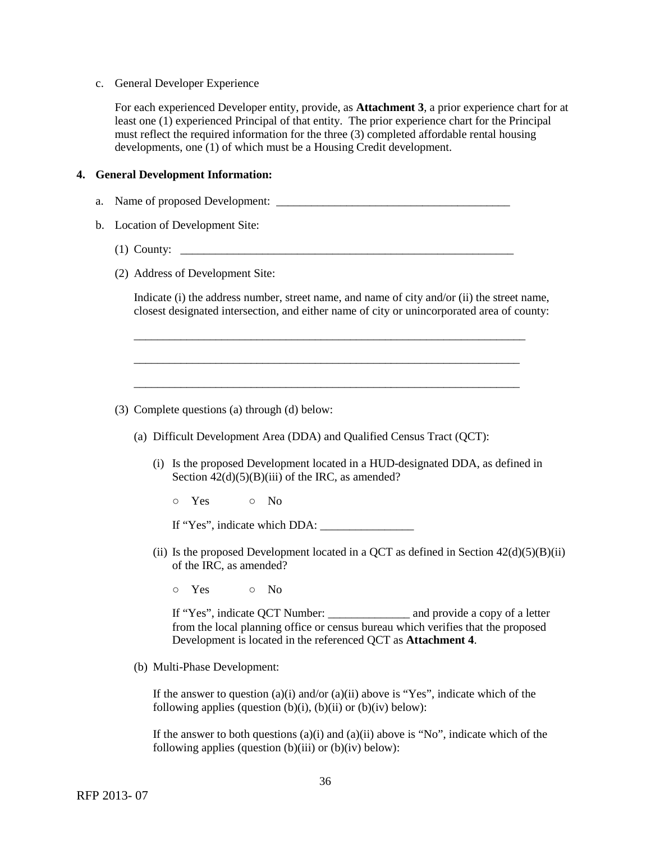#### c. General Developer Experience

For each experienced Developer entity, provide, as **Attachment 3**, a prior experience chart for at least one (1) experienced Principal of that entity. The prior experience chart for the Principal must reflect the required information for the three (3) completed affordable rental housing developments, one (1) of which must be a Housing Credit development.

# **4. General Development Information:**

- a. Name of proposed Development: \_\_\_\_\_\_\_\_\_\_\_\_\_\_\_\_\_\_\_\_\_\_\_\_\_\_\_\_\_\_\_\_\_\_\_\_\_\_\_\_
- b. Location of Development Site:
	- (1) County: \_\_\_\_\_\_\_\_\_\_\_\_\_\_\_\_\_\_\_\_\_\_\_\_\_\_\_\_\_\_\_\_\_\_\_\_\_\_\_\_\_\_\_\_\_\_\_\_\_\_\_\_\_\_\_\_\_
	- (2) Address of Development Site:

Indicate (i) the address number, street name, and name of city and/or (ii) the street name, closest designated intersection, and either name of city or unincorporated area of county:

\_\_\_\_\_\_\_\_\_\_\_\_\_\_\_\_\_\_\_\_\_\_\_\_\_\_\_\_\_\_\_\_\_\_\_\_\_\_\_\_\_\_\_\_\_\_\_\_\_\_\_\_\_\_\_\_\_\_\_\_\_\_\_\_\_\_\_

\_\_\_\_\_\_\_\_\_\_\_\_\_\_\_\_\_\_\_\_\_\_\_\_\_\_\_\_\_\_\_\_\_\_\_\_\_\_\_\_\_\_\_\_\_\_\_\_\_\_\_\_\_\_\_\_\_\_\_\_\_\_\_\_\_\_

\_\_\_\_\_\_\_\_\_\_\_\_\_\_\_\_\_\_\_\_\_\_\_\_\_\_\_\_\_\_\_\_\_\_\_\_\_\_\_\_\_\_\_\_\_\_\_\_\_\_\_\_\_\_\_\_\_\_\_\_\_\_\_\_\_\_

- (3) Complete questions (a) through (d) below:
	- (a) Difficult Development Area (DDA) and Qualified Census Tract (QCT):
		- (i) Is the proposed Development located in a HUD-designated DDA, as defined in Section  $42(d)(5)(B)(iii)$  of the IRC, as amended?
			- Yes No
			- If "Yes", indicate which DDA: \_\_\_\_\_\_\_\_\_\_\_\_\_\_\_\_
		- (ii) Is the proposed Development located in a QCT as defined in Section  $42(d)(5)(B)(ii)$ of the IRC, as amended?
			- Yes No

If "Yes", indicate QCT Number: \_\_\_\_\_\_\_\_\_\_\_\_\_\_ and provide a copy of a letter from the local planning office or census bureau which verifies that the proposed Development is located in the referenced QCT as **Attachment 4**.

(b) Multi-Phase Development:

If the answer to question (a)(i) and/or (a)(ii) above is "Yes", indicate which of the following applies (question  $(b)(i)$ ,  $(b)(ii)$  or  $(b)(iv)$  below):

If the answer to both questions  $(a)(i)$  and  $(a)(ii)$  above is "No", indicate which of the following applies (question  $(b)(iii)$  or  $(b)(iv)$  below):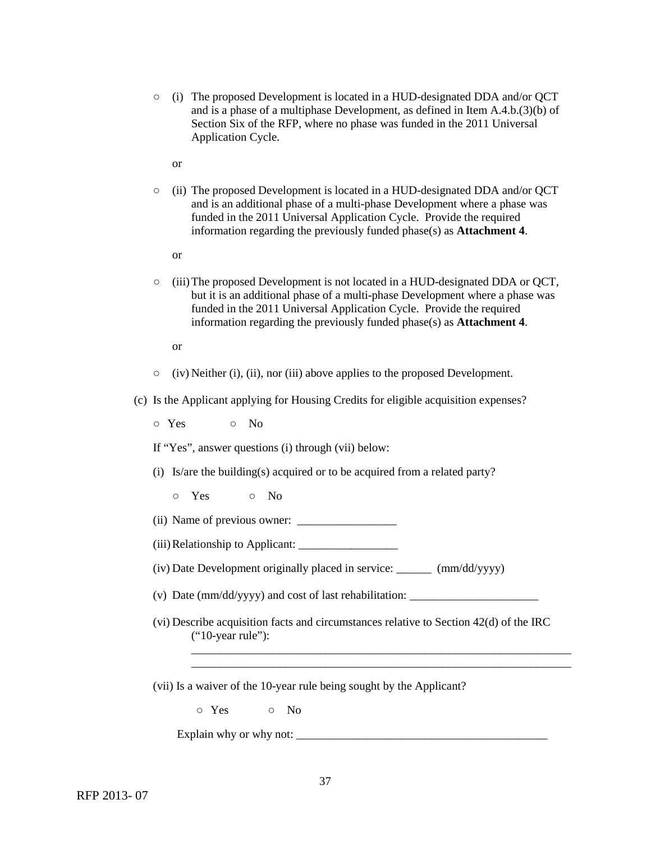- (i) The proposed Development is located in a HUD-designated DDA and/or QCT and is a phase of a multiphase Development, as defined in Item A.4.b.(3)(b) of Section Six of the RFP, where no phase was funded in the 2011 Universal Application Cycle.
	- or
- (ii) The proposed Development is located in a HUD-designated DDA and/or QCT and is an additional phase of a multi-phase Development where a phase was funded in the 2011 Universal Application Cycle. Provide the required information regarding the previously funded phase(s) as **Attachment 4**.
	- or
- (iii)The proposed Development is not located in a HUD-designated DDA or QCT, but it is an additional phase of a multi-phase Development where a phase was funded in the 2011 Universal Application Cycle. Provide the required information regarding the previously funded phase(s) as **Attachment 4**.

or

- $\circ$  (iv) Neither (i), (ii), nor (iii) above applies to the proposed Development.
- (c) Is the Applicant applying for Housing Credits for eligible acquisition expenses?
	- Yes No
	- If "Yes", answer questions (i) through (vii) below:
	- (i) Is/are the building(s) acquired or to be acquired from a related party?
		- Yes No
	- $(ii)$  Name of previous owner:  $\frac{1}{\sqrt{1-\frac{1}{2}}}\left| \frac{1}{\sqrt{1-\frac{1}{2}}}\right|$
	- (iii)Relationship to Applicant: \_\_\_\_\_\_\_\_\_\_\_\_\_\_\_\_\_
	- (iv) Date Development originally placed in service: \_\_\_\_\_\_ (mm/dd/yyyy)
	- (v) Date (mm/dd/yyyy) and cost of last rehabilitation: \_\_\_\_\_\_\_\_\_\_\_\_\_\_\_\_\_\_\_\_\_\_
	- (vi) Describe acquisition facts and circumstances relative to Section 42(d) of the IRC ("10-year rule"):

\_\_\_\_\_\_\_\_\_\_\_\_\_\_\_\_\_\_\_\_\_\_\_\_\_\_\_\_\_\_\_\_\_\_\_\_\_\_\_\_\_\_\_\_\_\_\_\_\_\_\_\_\_\_\_\_\_\_\_\_\_\_\_\_\_ \_\_\_\_\_\_\_\_\_\_\_\_\_\_\_\_\_\_\_\_\_\_\_\_\_\_\_\_\_\_\_\_\_\_\_\_\_\_\_\_\_\_\_\_\_\_\_\_\_\_\_\_\_\_\_\_\_\_\_\_\_\_\_\_\_

(vii) Is a waiver of the 10-year rule being sought by the Applicant?

○ Yes ○ No

Explain why or why not:  $\frac{1}{2}$  =  $\frac{1}{2}$  =  $\frac{1}{2}$  =  $\frac{1}{2}$  =  $\frac{1}{2}$  =  $\frac{1}{2}$  =  $\frac{1}{2}$  =  $\frac{1}{2}$  =  $\frac{1}{2}$  =  $\frac{1}{2}$  =  $\frac{1}{2}$  =  $\frac{1}{2}$  =  $\frac{1}{2}$  =  $\frac{1}{2}$  =  $\frac{1}{2}$  =  $\frac{1}{2}$  =  $\frac{1$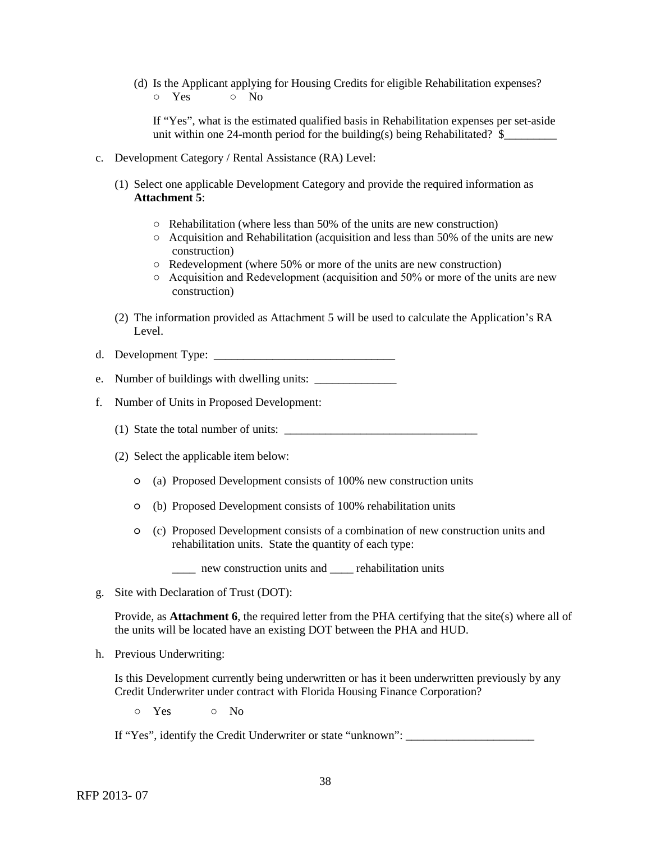(d) Is the Applicant applying for Housing Credits for eligible Rehabilitation expenses? ○ Yes ○ No

If "Yes", what is the estimated qualified basis in Rehabilitation expenses per set-aside unit within one 24-month period for the building(s) being Rehabilitated?  $\$ 

- c. Development Category / Rental Assistance (RA) Level:
	- (1) Select one applicable Development Category and provide the required information as **Attachment 5**:
		- $\circ$  Rehabilitation (where less than 50% of the units are new construction)
		- $\circ$  Acquisition and Rehabilitation (acquisition and less than 50% of the units are new construction)
		- Redevelopment (where 50% or more of the units are new construction)
		- $\circ$  Acquisition and Redevelopment (acquisition and 50% or more of the units are new construction)
	- (2) The information provided as Attachment 5 will be used to calculate the Application's RA Level.
- d. Development Type: \_\_\_\_\_\_\_\_\_\_\_\_\_\_\_\_\_\_\_\_\_\_\_\_\_\_\_\_\_\_\_
- e. Number of buildings with dwelling units:
- f. Number of Units in Proposed Development:
	- (1) State the total number of units:  $\frac{1}{\frac{1}{1-\frac{1}{1-\frac{1}{1-\frac{1}{1-\frac{1}{1-\frac{1}{1-\frac{1}{1-\frac{1}{1-\frac{1}{1-\frac{1}{1-\frac{1}{1-\frac{1}{1-\frac{1}{1-\frac{1}{1-\frac{1}{1-\frac{1}{1-\frac{1}{1-\frac{1}{1-\frac{1}{1-\frac{1}{1-\frac{1}{1-\frac{1}{1-\frac{1}{1-\frac{1}{1-\frac{1}{1-\frac{1}{1-\frac{1}{1-\frac{1}{1-\frac{1}{1-\frac{1$
	- (2) Select the applicable item below:
		- (a) Proposed Development consists of 100% new construction units
		- (b) Proposed Development consists of 100% rehabilitation units
		- (c) Proposed Development consists of a combination of new construction units and rehabilitation units. State the quantity of each type:

\_\_\_\_ new construction units and \_\_\_\_ rehabilitation units

g. Site with Declaration of Trust (DOT):

Provide, as **Attachment 6**, the required letter from the PHA certifying that the site(s) where all of the units will be located have an existing DOT between the PHA and HUD.

h. Previous Underwriting:

Is this Development currently being underwritten or has it been underwritten previously by any Credit Underwriter under contract with Florida Housing Finance Corporation?

○ Yes ○ No

If "Yes", identify the Credit Underwriter or state "unknown": \_\_\_\_\_\_\_\_\_\_\_\_\_\_\_\_\_\_\_\_\_\_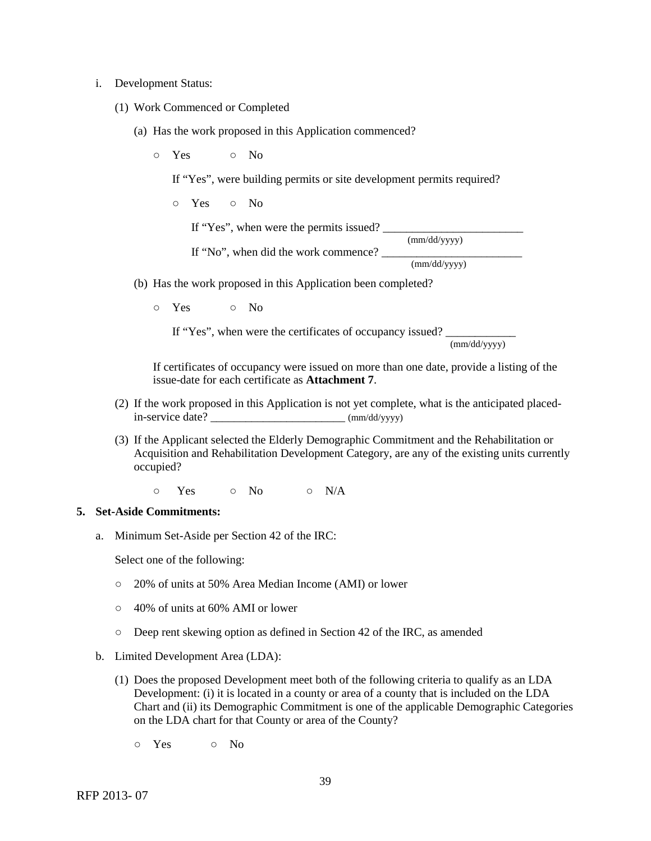### i. Development Status:

- (1) Work Commenced or Completed
	- (a) Has the work proposed in this Application commenced?
		- o Yes o No

If "Yes", were building permits or site development permits required?

○ Yes ○ No

If "Yes", when were the permits issued?

(mm/dd/yyyy)

If "No", when did the work commence? \_\_\_\_\_\_\_\_\_\_\_\_\_\_\_\_\_\_\_\_\_\_\_\_ (mm/dd/yyyy)

- (b) Has the work proposed in this Application been completed?
	- Yes No

If "Yes", when were the certificates of occupancy issued?  $\frac{1}{\text{(mm/dd/yyy)}}$ 

If certificates of occupancy were issued on more than one date, provide a listing of the issue-date for each certificate as **Attachment 7**.

- (2) If the work proposed in this Application is not yet complete, what is the anticipated placed $in$ -service date?  $(mm/dd/vyyy)$
- (3) If the Applicant selected the Elderly Demographic Commitment and the Rehabilitation or Acquisition and Rehabilitation Development Category, are any of the existing units currently occupied?

 $\circ$  Yes  $\circ$  No  $\circ$  N/A

#### **5. Set-Aside Commitments:**

a. Minimum Set-Aside per Section 42 of the IRC:

Select one of the following:

- 20% of units at 50% Area Median Income (AMI) or lower
- 40% of units at 60% AMI or lower
- Deep rent skewing option as defined in Section 42 of the IRC, as amended
- b. Limited Development Area (LDA):
	- (1) Does the proposed Development meet both of the following criteria to qualify as an LDA Development: (i) it is located in a county or area of a county that is included on the LDA Chart and (ii) its Demographic Commitment is one of the applicable Demographic Categories on the LDA chart for that County or area of the County?
		- $\circ$  Yes  $\circ$  No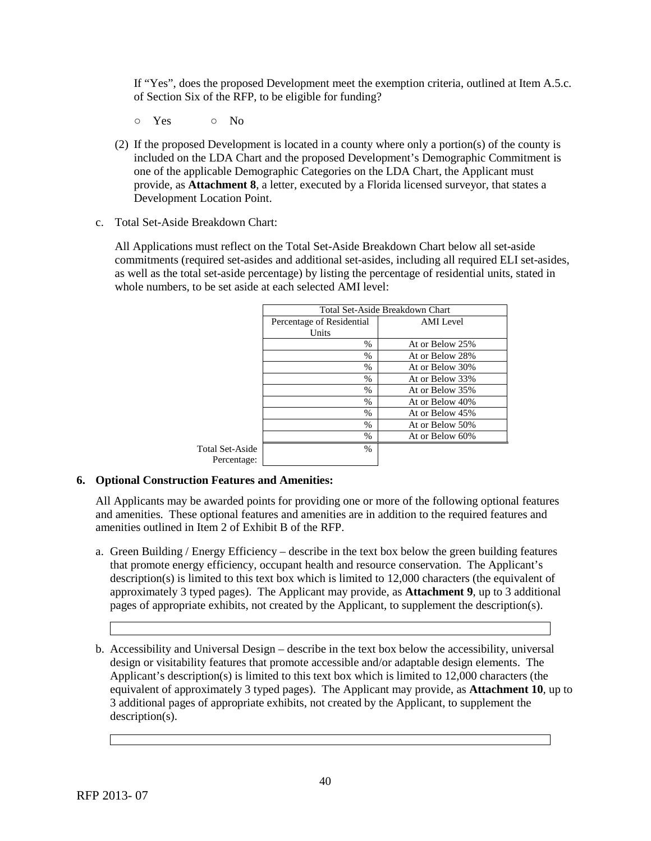If "Yes", does the proposed Development meet the exemption criteria, outlined at Item A.5.c. of Section Six of the RFP, to be eligible for funding?

- Yes No
- (2) If the proposed Development is located in a county where only a portion(s) of the county is included on the LDA Chart and the proposed Development's Demographic Commitment is one of the applicable Demographic Categories on the LDA Chart, the Applicant must provide, as **Attachment 8**, a letter, executed by a Florida licensed surveyor, that states a Development Location Point.
- c. Total Set-Aside Breakdown Chart:

All Applications must reflect on the Total Set-Aside Breakdown Chart below all set-aside commitments (required set-asides and additional set-asides, including all required ELI set-asides, as well as the total set-aside percentage) by listing the percentage of residential units, stated in whole numbers, to be set aside at each selected AMI level:

|                 |                           | Total Set-Aside Breakdown Chart |
|-----------------|---------------------------|---------------------------------|
|                 | Percentage of Residential | AMI Level                       |
|                 | Units                     |                                 |
|                 | $\%$                      | At or Below 25%                 |
|                 | $\%$                      | At or Below 28%                 |
|                 | $\%$                      | At or Below 30%                 |
|                 | $\%$                      | At or Below 33%                 |
|                 | $\%$                      | At or Below 35%                 |
|                 | $\frac{0}{0}$             | At or Below 40%                 |
|                 | $\%$                      | At or Below 45%                 |
|                 | %                         | At or Below 50%                 |
|                 | $\%$                      | At or Below 60%                 |
| Total Set-Aside | $\%$                      |                                 |
| Percentage:     |                           |                                 |

### **6. Optional Construction Features and Amenities:**

All Applicants may be awarded points for providing one or more of the following optional features and amenities. These optional features and amenities are in addition to the required features and amenities outlined in Item 2 of Exhibit B of the RFP.

- a. Green Building / Energy Efficiency describe in the text box below the green building features that promote energy efficiency, occupant health and resource conservation. The Applicant's description(s) is limited to this text box which is limited to 12,000 characters (the equivalent of approximately 3 typed pages). The Applicant may provide, as **Attachment 9**, up to 3 additional pages of appropriate exhibits, not created by the Applicant, to supplement the description(s).
- b. Accessibility and Universal Design describe in the text box below the accessibility, universal design or visitability features that promote accessible and/or adaptable design elements. The Applicant's description(s) is limited to this text box which is limited to 12,000 characters (the equivalent of approximately 3 typed pages). The Applicant may provide, as **Attachment 10**, up to 3 additional pages of appropriate exhibits, not created by the Applicant, to supplement the description(s).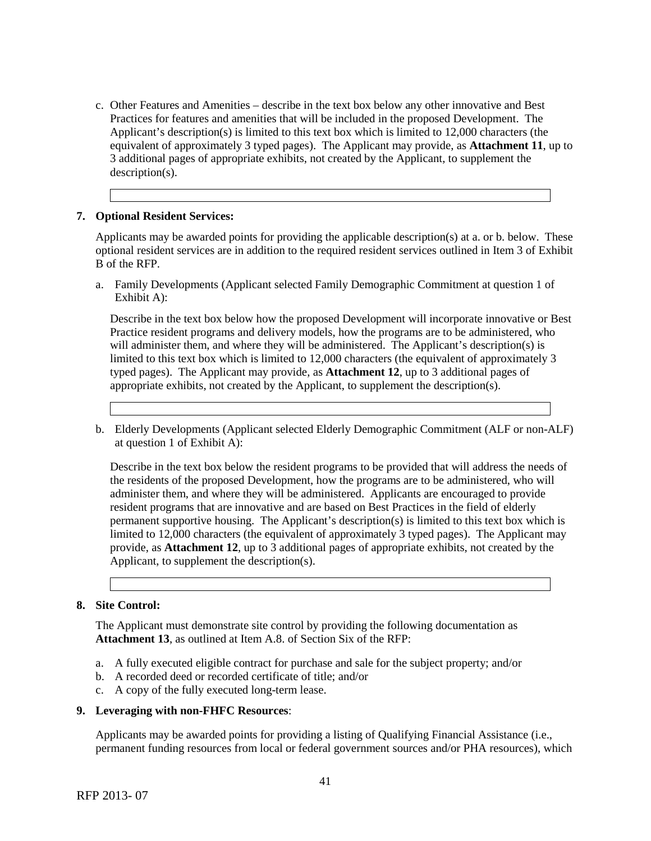c. Other Features and Amenities – describe in the text box below any other innovative and Best Practices for features and amenities that will be included in the proposed Development. The Applicant's description(s) is limited to this text box which is limited to 12,000 characters (the equivalent of approximately 3 typed pages). The Applicant may provide, as **Attachment 11**, up to 3 additional pages of appropriate exhibits, not created by the Applicant, to supplement the description(s).

## **7. Optional Resident Services:**

Applicants may be awarded points for providing the applicable description(s) at a. or b. below. These optional resident services are in addition to the required resident services outlined in Item 3 of Exhibit B of the RFP.

a. Family Developments (Applicant selected Family Demographic Commitment at question 1 of Exhibit A):

Describe in the text box below how the proposed Development will incorporate innovative or Best Practice resident programs and delivery models, how the programs are to be administered, who will administer them, and where they will be administered. The Applicant's description(s) is limited to this text box which is limited to 12,000 characters (the equivalent of approximately 3 typed pages). The Applicant may provide, as **Attachment 12**, up to 3 additional pages of appropriate exhibits, not created by the Applicant, to supplement the description(s).

b. Elderly Developments (Applicant selected Elderly Demographic Commitment (ALF or non-ALF) at question 1 of Exhibit A):

Describe in the text box below the resident programs to be provided that will address the needs of the residents of the proposed Development, how the programs are to be administered, who will administer them, and where they will be administered. Applicants are encouraged to provide resident programs that are innovative and are based on Best Practices in the field of elderly permanent supportive housing. The Applicant's description(s) is limited to this text box which is limited to 12,000 characters (the equivalent of approximately 3 typed pages). The Applicant may provide, as **Attachment 12**, up to 3 additional pages of appropriate exhibits, not created by the Applicant, to supplement the description(s).

### **8. Site Control:**

The Applicant must demonstrate site control by providing the following documentation as **Attachment 13**, as outlined at Item A.8. of Section Six of the RFP:

- a. A fully executed eligible contract for purchase and sale for the subject property; and/or
- b. A recorded deed or recorded certificate of title; and/or
- c. A copy of the fully executed long-term lease.

### **9. Leveraging with non-FHFC Resources**:

Applicants may be awarded points for providing a listing of Qualifying Financial Assistance (i.e., permanent funding resources from local or federal government sources and/or PHA resources), which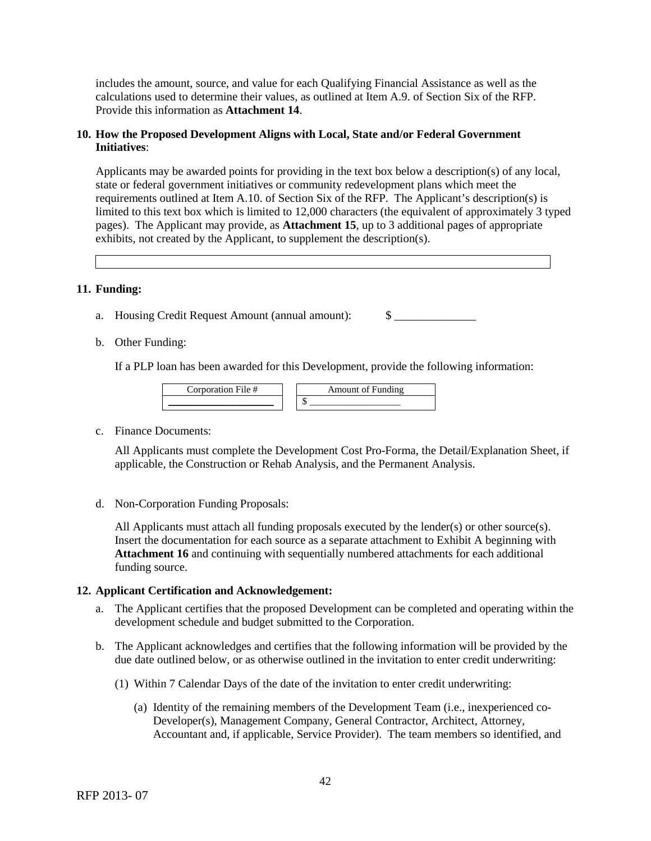includes the amount, source, and value for each Qualifying Financial Assistance as well as the calculations used to determine their values, as outlined at Item A.9. of Section Six of the RFP. Provide this information as **Attachment 14**.

### **10. How the Proposed Development Aligns with Local, State and/or Federal Government Initiatives**:

Applicants may be awarded points for providing in the text box below a description(s) of any local, state or federal government initiatives or community redevelopment plans which meet the requirements outlined at Item A.10. of Section Six of the RFP. The Applicant's description(s) is limited to this text box which is limited to 12,000 characters (the equivalent of approximately 3 typed pages). The Applicant may provide, as **Attachment 15**, up to 3 additional pages of appropriate exhibits, not created by the Applicant, to supplement the description(s).

### **11. Funding:**

a. Housing Credit Request Amount (annual amount):  $\qquad$ 

b. Other Funding:

If a PLP loan has been awarded for this Development, provide the following information:



c. Finance Documents:

All Applicants must complete the Development Cost Pro-Forma, the Detail/Explanation Sheet, if applicable, the Construction or Rehab Analysis, and the Permanent Analysis.

d. Non-Corporation Funding Proposals:

All Applicants must attach all funding proposals executed by the lender(s) or other source(s). Insert the documentation for each source as a separate attachment to Exhibit A beginning with **Attachment 16** and continuing with sequentially numbered attachments for each additional funding source.

## **12. Applicant Certification and Acknowledgement:**

- a. The Applicant certifies that the proposed Development can be completed and operating within the development schedule and budget submitted to the Corporation.
- b. The Applicant acknowledges and certifies that the following information will be provided by the due date outlined below, or as otherwise outlined in the invitation to enter credit underwriting:
	- (1) Within 7 Calendar Days of the date of the invitation to enter credit underwriting:
		- (a) Identity of the remaining members of the Development Team (i.e., inexperienced co-Developer(s), Management Company, General Contractor, Architect, Attorney, Accountant and, if applicable, Service Provider). The team members so identified, and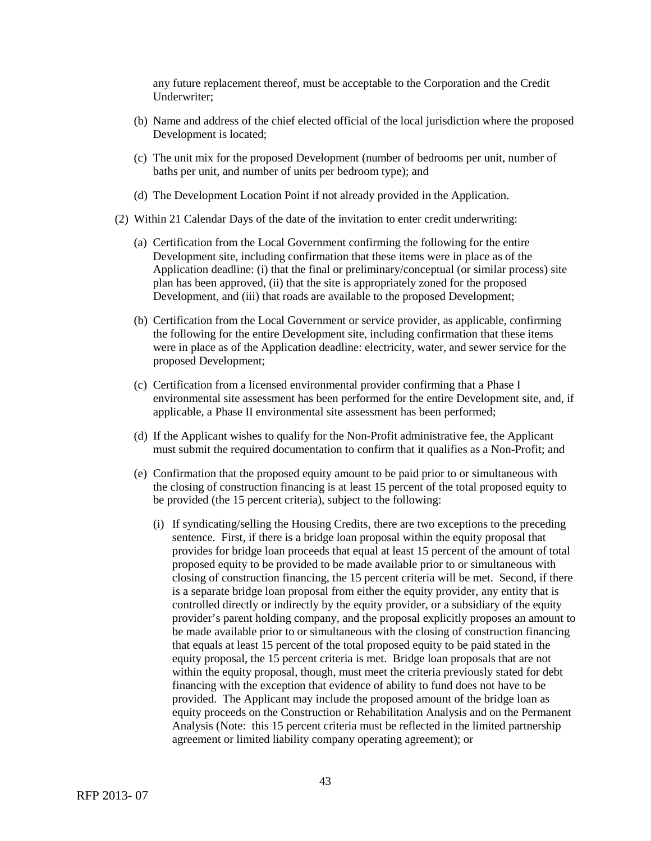any future replacement thereof, must be acceptable to the Corporation and the Credit Underwriter;

- (b) Name and address of the chief elected official of the local jurisdiction where the proposed Development is located;
- (c) The unit mix for the proposed Development (number of bedrooms per unit, number of baths per unit, and number of units per bedroom type); and
- (d) The Development Location Point if not already provided in the Application.
- (2) Within 21 Calendar Days of the date of the invitation to enter credit underwriting:
	- (a) Certification from the Local Government confirming the following for the entire Development site, including confirmation that these items were in place as of the Application deadline: (i) that the final or preliminary/conceptual (or similar process) site plan has been approved, (ii) that the site is appropriately zoned for the proposed Development, and (iii) that roads are available to the proposed Development;
	- (b) Certification from the Local Government or service provider, as applicable, confirming the following for the entire Development site, including confirmation that these items were in place as of the Application deadline: electricity, water, and sewer service for the proposed Development;
	- (c) Certification from a licensed environmental provider confirming that a Phase I environmental site assessment has been performed for the entire Development site, and, if applicable, a Phase II environmental site assessment has been performed;
	- (d) If the Applicant wishes to qualify for the Non-Profit administrative fee, the Applicant must submit the required documentation to confirm that it qualifies as a Non-Profit; and
	- (e) Confirmation that the proposed equity amount to be paid prior to or simultaneous with the closing of construction financing is at least 15 percent of the total proposed equity to be provided (the 15 percent criteria), subject to the following:
		- (i) If syndicating/selling the Housing Credits, there are two exceptions to the preceding sentence. First, if there is a bridge loan proposal within the equity proposal that provides for bridge loan proceeds that equal at least 15 percent of the amount of total proposed equity to be provided to be made available prior to or simultaneous with closing of construction financing, the 15 percent criteria will be met. Second, if there is a separate bridge loan proposal from either the equity provider, any entity that is controlled directly or indirectly by the equity provider, or a subsidiary of the equity provider's parent holding company, and the proposal explicitly proposes an amount to be made available prior to or simultaneous with the closing of construction financing that equals at least 15 percent of the total proposed equity to be paid stated in the equity proposal, the 15 percent criteria is met. Bridge loan proposals that are not within the equity proposal, though, must meet the criteria previously stated for debt financing with the exception that evidence of ability to fund does not have to be provided. The Applicant may include the proposed amount of the bridge loan as equity proceeds on the Construction or Rehabilitation Analysis and on the Permanent Analysis (Note: this 15 percent criteria must be reflected in the limited partnership agreement or limited liability company operating agreement); or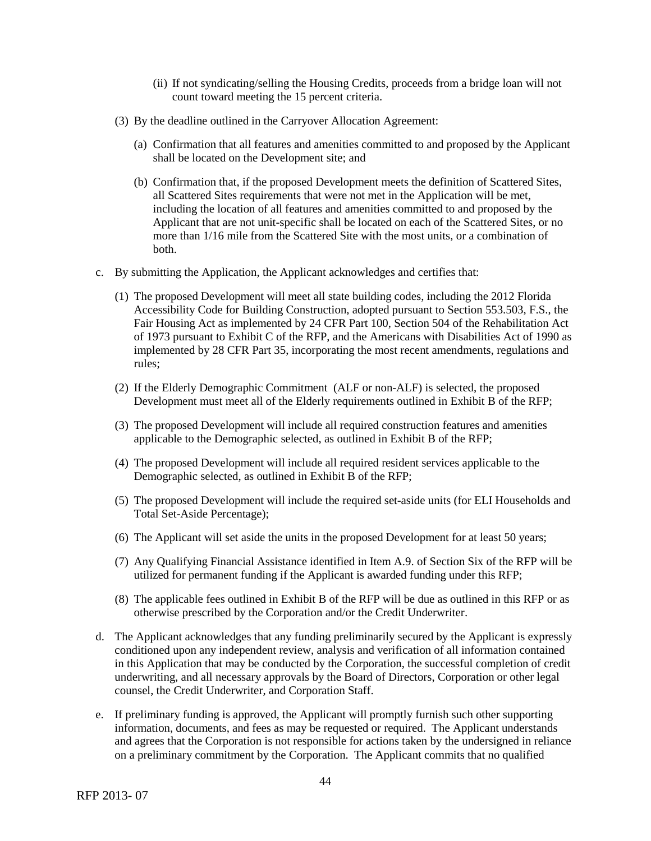- (ii) If not syndicating/selling the Housing Credits, proceeds from a bridge loan will not count toward meeting the 15 percent criteria.
- (3) By the deadline outlined in the Carryover Allocation Agreement:
	- (a) Confirmation that all features and amenities committed to and proposed by the Applicant shall be located on the Development site; and
	- (b) Confirmation that, if the proposed Development meets the definition of Scattered Sites, all Scattered Sites requirements that were not met in the Application will be met, including the location of all features and amenities committed to and proposed by the Applicant that are not unit-specific shall be located on each of the Scattered Sites, or no more than 1/16 mile from the Scattered Site with the most units, or a combination of both.
- c. By submitting the Application, the Applicant acknowledges and certifies that:
	- (1) The proposed Development will meet all state building codes, including the 2012 Florida Accessibility Code for Building Construction, adopted pursuant to Section 553.503, F.S., the Fair Housing Act as implemented by 24 CFR Part 100, Section 504 of the Rehabilitation Act of 1973 pursuant to Exhibit C of the RFP, and the Americans with Disabilities Act of 1990 as implemented by 28 CFR Part 35, incorporating the most recent amendments, regulations and rules;
	- (2) If the Elderly Demographic Commitment (ALF or non-ALF) is selected, the proposed Development must meet all of the Elderly requirements outlined in Exhibit B of the RFP;
	- (3) The proposed Development will include all required construction features and amenities applicable to the Demographic selected, as outlined in Exhibit B of the RFP;
	- (4) The proposed Development will include all required resident services applicable to the Demographic selected, as outlined in Exhibit B of the RFP;
	- (5) The proposed Development will include the required set-aside units (for ELI Households and Total Set-Aside Percentage);
	- (6) The Applicant will set aside the units in the proposed Development for at least 50 years;
	- (7) Any Qualifying Financial Assistance identified in Item A.9. of Section Six of the RFP will be utilized for permanent funding if the Applicant is awarded funding under this RFP;
	- (8) The applicable fees outlined in Exhibit B of the RFP will be due as outlined in this RFP or as otherwise prescribed by the Corporation and/or the Credit Underwriter.
- d. The Applicant acknowledges that any funding preliminarily secured by the Applicant is expressly conditioned upon any independent review, analysis and verification of all information contained in this Application that may be conducted by the Corporation, the successful completion of credit underwriting, and all necessary approvals by the Board of Directors, Corporation or other legal counsel, the Credit Underwriter, and Corporation Staff.
- e. If preliminary funding is approved, the Applicant will promptly furnish such other supporting information, documents, and fees as may be requested or required. The Applicant understands and agrees that the Corporation is not responsible for actions taken by the undersigned in reliance on a preliminary commitment by the Corporation. The Applicant commits that no qualified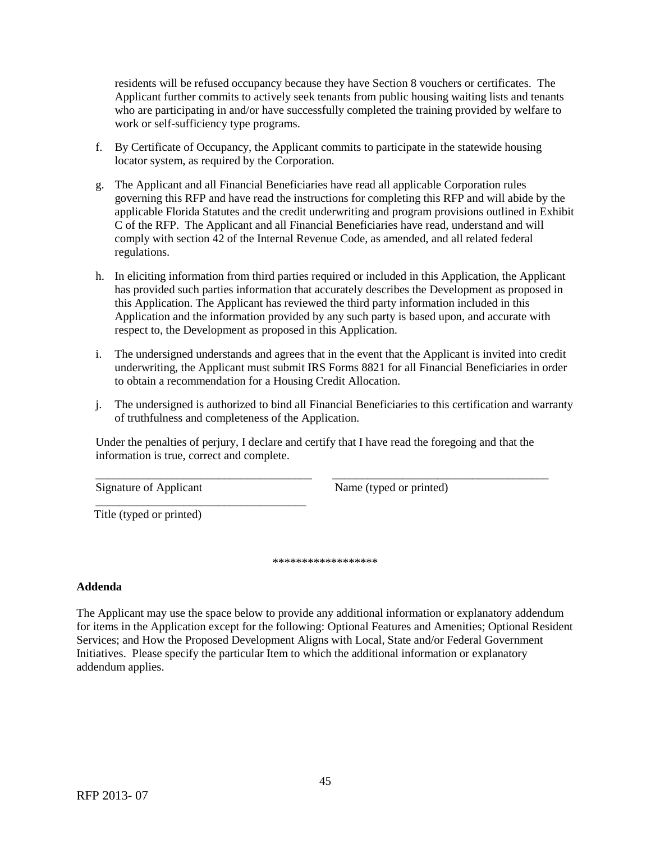residents will be refused occupancy because they have Section 8 vouchers or certificates. The Applicant further commits to actively seek tenants from public housing waiting lists and tenants who are participating in and/or have successfully completed the training provided by welfare to work or self-sufficiency type programs.

- f. By Certificate of Occupancy, the Applicant commits to participate in the statewide housing locator system, as required by the Corporation.
- g. The Applicant and all Financial Beneficiaries have read all applicable Corporation rules governing this RFP and have read the instructions for completing this RFP and will abide by the applicable Florida Statutes and the credit underwriting and program provisions outlined in Exhibit C of the RFP. The Applicant and all Financial Beneficiaries have read, understand and will comply with section 42 of the Internal Revenue Code, as amended, and all related federal regulations.
- h. In eliciting information from third parties required or included in this Application, the Applicant has provided such parties information that accurately describes the Development as proposed in this Application. The Applicant has reviewed the third party information included in this Application and the information provided by any such party is based upon, and accurate with respect to, the Development as proposed in this Application.
- i. The undersigned understands and agrees that in the event that the Applicant is invited into credit underwriting, the Applicant must submit IRS Forms 8821 for all Financial Beneficiaries in order to obtain a recommendation for a Housing Credit Allocation.
- j. The undersigned is authorized to bind all Financial Beneficiaries to this certification and warranty of truthfulness and completeness of the Application.

Under the penalties of perjury, I declare and certify that I have read the foregoing and that the information is true, correct and complete.

\_\_\_\_\_\_\_\_\_\_\_\_\_\_\_\_\_\_\_\_\_\_\_\_\_\_\_\_\_\_\_\_\_\_\_\_\_ \_\_\_\_\_\_\_\_\_\_\_\_\_\_\_\_\_\_\_\_\_\_\_\_\_\_\_\_\_\_\_\_\_\_\_\_\_

\_\_\_\_\_\_\_\_\_\_\_\_\_\_\_\_\_\_\_\_\_\_\_\_\_\_\_\_\_\_\_\_\_\_\_\_

Signature of Applicant Name (typed or printed)

Title (typed or printed)

\*\*\*\*\*\*\*\*\*\*\*\*\*\*\*\*\*\*

### **Addenda**

The Applicant may use the space below to provide any additional information or explanatory addendum for items in the Application except for the following: Optional Features and Amenities; Optional Resident Services; and How the Proposed Development Aligns with Local, State and/or Federal Government Initiatives. Please specify the particular Item to which the additional information or explanatory addendum applies.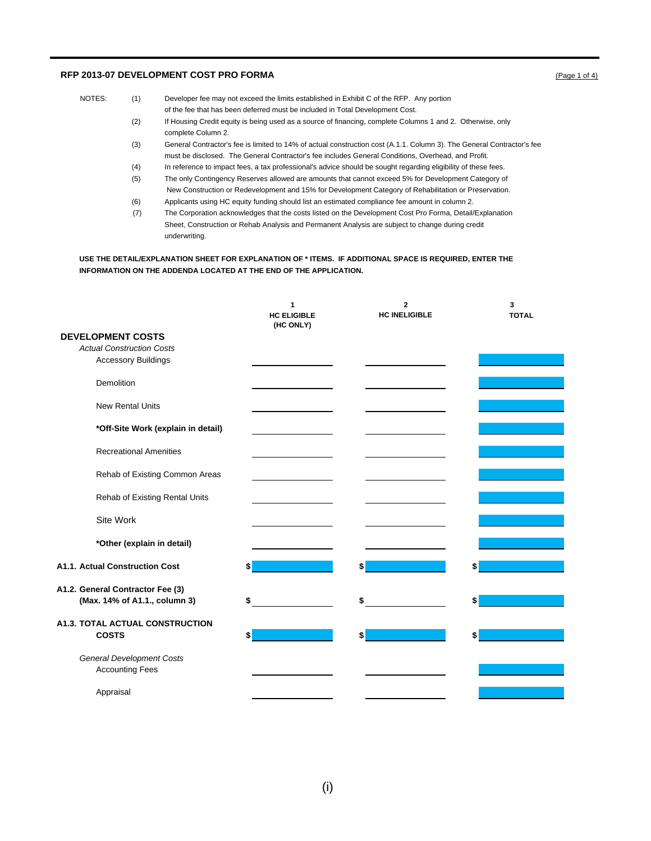#### **RFP 2013-07 DEVELOPMENT COST PRO FORMA** (Page 1 of 4)

- NOTES: (1) Developer fee may not exceed the limits established in Exhibit C of the RFP. Any portion of the fee that has been deferred must be included in Total Development Cost. (2) If Housing Credit equity is being used as a source of financing, complete Columns 1 and 2. Otherwise, only complete Column 2. (3) General Contractor's fee is limited to 14% of actual construction cost (A.1.1. Column 3). The General Contractor's fee must be disclosed. The General Contractor's fee includes General Conditions, Overhead, and Profit.
	-
	- (4) In reference to impact fees, a tax professional's advice should be sought regarding eligibility of these fees. (5) The only Contingency Reserves allowed are amounts that cannot exceed 5% for Development Category of
	- New Construction or Redevelopment and 15% for Development Category of Rehabilitation or Preservation.
	- (6) Applicants using HC equity funding should list an estimated compliance fee amount in column 2.
	- (7) The Corporation acknowledges that the costs listed on the Development Cost Pro Forma, Detail/Explanation Sheet, Construction or Rehab Analysis and Permanent Analysis are subject to change during credit underwriting.

**USE THE DETAIL/EXPLANATION SHEET FOR EXPLANATION OF \* ITEMS. IF ADDITIONAL SPACE IS REQUIRED, ENTER THE INFORMATION ON THE ADDENDA LOCATED AT THE END OF THE APPLICATION.** 

|                                       | 1<br><b>HC ELIGIBLE</b><br>(HC ONLY) | $\overline{2}$<br><b>HC INELIGIBLE</b> | 3<br><b>TOTAL</b> |
|---------------------------------------|--------------------------------------|----------------------------------------|-------------------|
| <b>DEVELOPMENT COSTS</b>              |                                      |                                        |                   |
| <b>Actual Construction Costs</b>      |                                      |                                        |                   |
| <b>Accessory Buildings</b>            |                                      |                                        |                   |
|                                       |                                      |                                        |                   |
| Demolition                            |                                      |                                        |                   |
|                                       |                                      |                                        |                   |
| <b>New Rental Units</b>               |                                      |                                        |                   |
|                                       |                                      |                                        |                   |
| *Off-Site Work (explain in detail)    |                                      |                                        |                   |
| <b>Recreational Amenities</b>         |                                      |                                        |                   |
|                                       |                                      |                                        |                   |
| Rehab of Existing Common Areas        |                                      |                                        |                   |
|                                       |                                      |                                        |                   |
| Rehab of Existing Rental Units        |                                      |                                        |                   |
|                                       |                                      |                                        |                   |
| Site Work                             |                                      |                                        |                   |
|                                       |                                      |                                        |                   |
| *Other (explain in detail)            |                                      |                                        |                   |
|                                       |                                      |                                        |                   |
| <b>A1.1. Actual Construction Cost</b> | \$                                   | \$                                     | \$                |
|                                       |                                      |                                        |                   |
| A1.2. General Contractor Fee (3)      |                                      |                                        |                   |
| (Max. 14% of A1.1., column 3)         |                                      | \$                                     | \$                |
|                                       |                                      |                                        |                   |
| A1.3. TOTAL ACTUAL CONSTRUCTION       |                                      |                                        |                   |
| <b>COSTS</b>                          | \$                                   | \$                                     | \$                |
| <b>General Development Costs</b>      |                                      |                                        |                   |
| <b>Accounting Fees</b>                |                                      |                                        |                   |
|                                       |                                      |                                        |                   |
| Appraisal                             |                                      |                                        |                   |
|                                       |                                      |                                        |                   |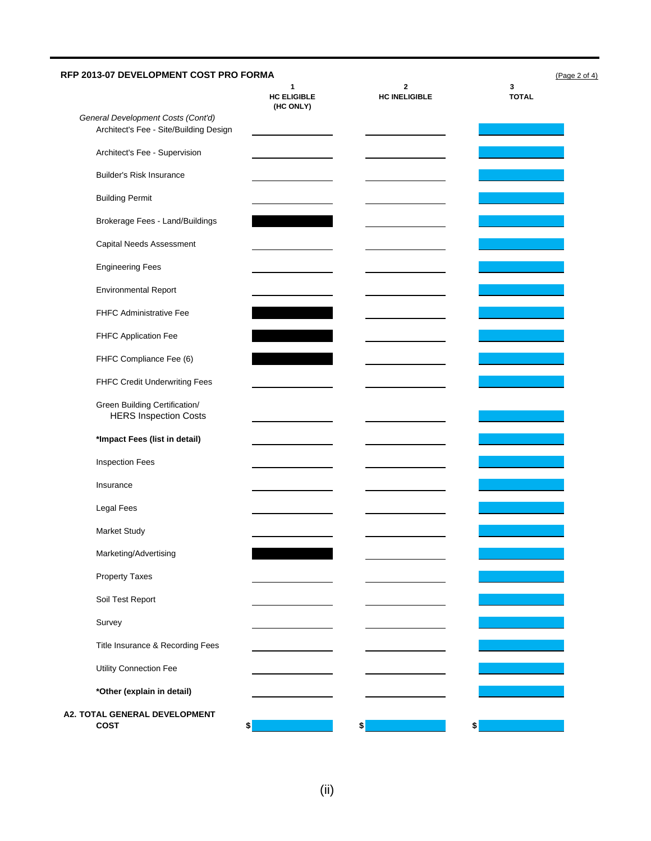|                                                                              | $\mathbf{1}$<br><b>HC ELIGIBLE</b><br>(HC ONLY) | $\mathbf{2}$<br><b>HC INELIGIBLE</b> | 3<br><b>TOTAL</b>                                                                                                       |
|------------------------------------------------------------------------------|-------------------------------------------------|--------------------------------------|-------------------------------------------------------------------------------------------------------------------------|
| General Development Costs (Cont'd)<br>Architect's Fee - Site/Building Design |                                                 |                                      |                                                                                                                         |
| Architect's Fee - Supervision                                                |                                                 |                                      |                                                                                                                         |
| <b>Builder's Risk Insurance</b>                                              |                                                 |                                      |                                                                                                                         |
| <b>Building Permit</b>                                                       |                                                 |                                      |                                                                                                                         |
| Brokerage Fees - Land/Buildings                                              |                                                 |                                      |                                                                                                                         |
| Capital Needs Assessment                                                     |                                                 |                                      |                                                                                                                         |
| <b>Engineering Fees</b>                                                      |                                                 |                                      |                                                                                                                         |
| <b>Environmental Report</b>                                                  |                                                 |                                      |                                                                                                                         |
| FHFC Administrative Fee                                                      |                                                 |                                      |                                                                                                                         |
| FHFC Application Fee                                                         |                                                 |                                      |                                                                                                                         |
| FHFC Compliance Fee (6)                                                      |                                                 |                                      | and the state of the state of the state of the state of the state of the state of the state of the state of th          |
| FHFC Credit Underwriting Fees                                                |                                                 |                                      |                                                                                                                         |
| Green Building Certification/<br><b>HERS Inspection Costs</b>                |                                                 |                                      | $\mathcal{L}(\mathcal{L})$ and $\mathcal{L}(\mathcal{L})$ and $\mathcal{L}(\mathcal{L})$ and $\mathcal{L}(\mathcal{L})$ |
| *Impact Fees (list in detail)                                                |                                                 |                                      |                                                                                                                         |
| <b>Inspection Fees</b>                                                       |                                                 |                                      |                                                                                                                         |
| Insurance                                                                    |                                                 |                                      |                                                                                                                         |
| Legal Fees                                                                   |                                                 |                                      |                                                                                                                         |
| Market Study                                                                 |                                                 |                                      |                                                                                                                         |
| Marketing/Advertising                                                        |                                                 |                                      |                                                                                                                         |
| Property Taxes                                                               |                                                 |                                      |                                                                                                                         |
| Soil Test Report                                                             |                                                 |                                      |                                                                                                                         |
| Survey                                                                       |                                                 |                                      |                                                                                                                         |
| Title Insurance & Recording Fees                                             |                                                 |                                      |                                                                                                                         |
| Utility Connection Fee                                                       |                                                 |                                      |                                                                                                                         |
| *Other (explain in detail)                                                   |                                                 |                                      |                                                                                                                         |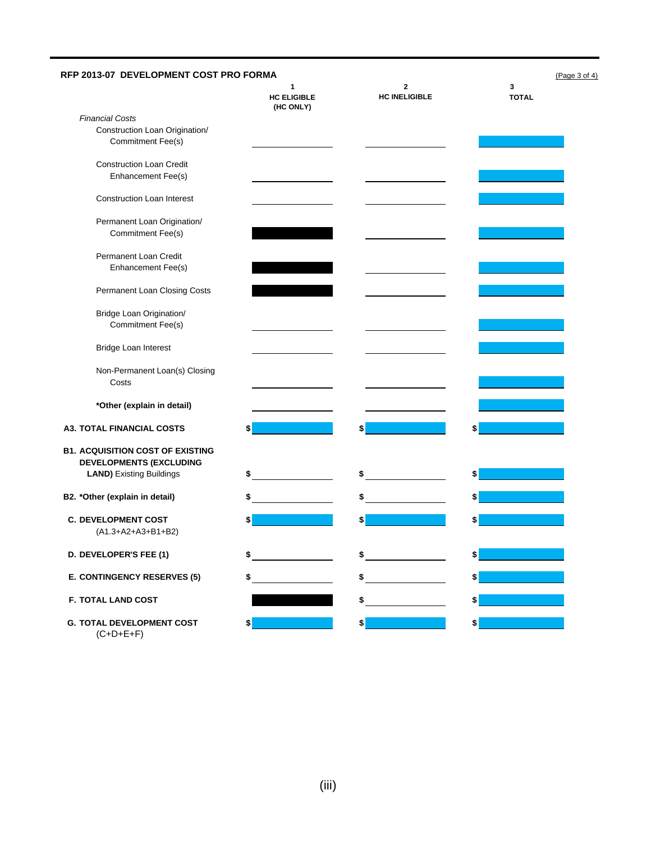| RFP 2013-07 DEVELOPMENT COST PRO FORMA                                                                       | (Page 3 of 4)                                                             |                           |                                                                                                                               |
|--------------------------------------------------------------------------------------------------------------|---------------------------------------------------------------------------|---------------------------|-------------------------------------------------------------------------------------------------------------------------------|
|                                                                                                              | 1<br><b>HC ELIGIBLE</b><br>(HC ONLY)                                      | 2<br><b>HC INELIGIBLE</b> | 3<br><b>TOTAL</b>                                                                                                             |
| <b>Financial Costs</b><br>Construction Loan Origination/<br><b>Commitment Fee(s)</b>                         |                                                                           |                           |                                                                                                                               |
| <b>Construction Loan Credit</b><br>Enhancement Fee(s)                                                        |                                                                           |                           |                                                                                                                               |
| <b>Construction Loan Interest</b>                                                                            |                                                                           |                           |                                                                                                                               |
| Permanent Loan Origination/<br><b>Commitment Fee(s)</b>                                                      |                                                                           |                           |                                                                                                                               |
| Permanent Loan Credit<br>Enhancement Fee(s)                                                                  |                                                                           |                           |                                                                                                                               |
| Permanent Loan Closing Costs                                                                                 |                                                                           |                           |                                                                                                                               |
| Bridge Loan Origination/<br>Commitment Fee(s)                                                                |                                                                           |                           |                                                                                                                               |
| Bridge Loan Interest                                                                                         |                                                                           |                           |                                                                                                                               |
| Non-Permanent Loan(s) Closing<br>Costs                                                                       |                                                                           |                           |                                                                                                                               |
| *Other (explain in detail)                                                                                   |                                                                           |                           |                                                                                                                               |
| <b>A3. TOTAL FINANCIAL COSTS</b>                                                                             | \$                                                                        | \$                        | \$                                                                                                                            |
| <b>B1. ACQUISITION COST OF EXISTING</b><br><b>DEVELOPMENTS (EXCLUDING</b><br><b>LAND)</b> Existing Buildings | \$                                                                        | \$                        | \$<br><b>Service Service</b>                                                                                                  |
| B2. *Other (explain in detail)                                                                               | $\overline{\phantom{a}}$ . The contract of $\overline{\phantom{a}}$<br>\$ | $\frac{1}{2}$             | $\mathcal{L}(\mathcal{L})$ and $\mathcal{L}(\mathcal{L})$ and $\mathcal{L}(\mathcal{L})$ and $\mathcal{L}(\mathcal{L})$<br>\$ |
| <b>C. DEVELOPMENT COST</b><br>$(A1.3+A2+A3+B1+B2)$                                                           |                                                                           |                           |                                                                                                                               |
| D. DEVELOPER'S FEE (1)                                                                                       | \$                                                                        |                           |                                                                                                                               |
| E. CONTINGENCY RESERVES (5)                                                                                  | \$                                                                        | \$                        | \$                                                                                                                            |
| F. TOTAL LAND COST                                                                                           |                                                                           | \$                        | \$                                                                                                                            |
| <b>G. TOTAL DEVELOPMENT COST</b><br>$(C+D+E+F)$                                                              | \$                                                                        | \$                        | \$                                                                                                                            |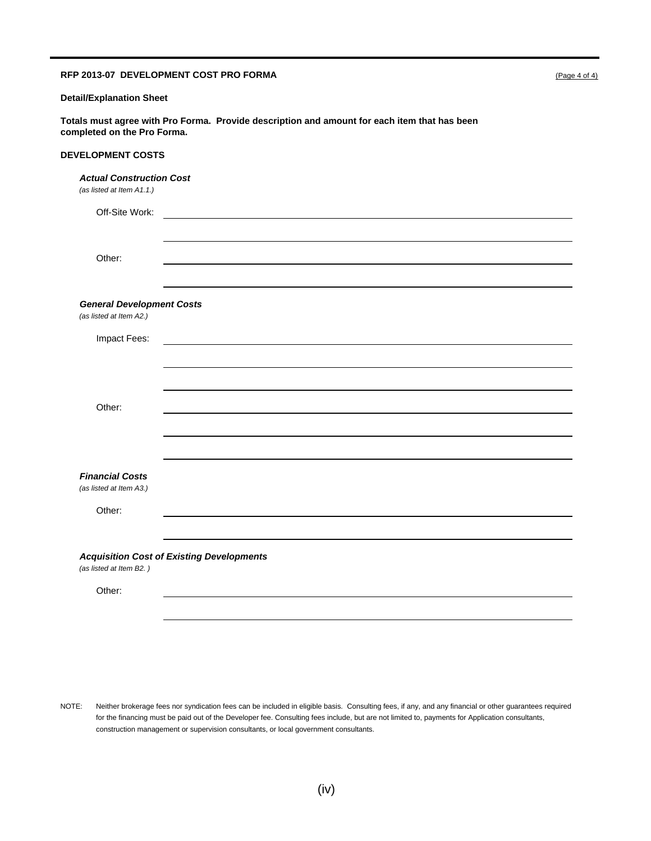#### **RFP 2013-07 DEVELOPMENT COST PRO FORMA** (Page 4 of 4)

#### **Detail/Explanation Sheet**

**Totals must agree with Pro Forma. Provide description and amount for each item that has been completed on the Pro Forma.**

### **DEVELOPMENT COSTS**

#### *Actual Construction Cost*

*(as listed at Item A1.1.)*

| Off-Site Work:                   |                                                  |  |  |
|----------------------------------|--------------------------------------------------|--|--|
|                                  |                                                  |  |  |
| Other:                           |                                                  |  |  |
|                                  |                                                  |  |  |
| <b>General Development Costs</b> |                                                  |  |  |
| (as listed at Item A2.)          |                                                  |  |  |
| Impact Fees:                     |                                                  |  |  |
|                                  |                                                  |  |  |
|                                  |                                                  |  |  |
| Other:                           |                                                  |  |  |
|                                  |                                                  |  |  |
|                                  |                                                  |  |  |
| <b>Financial Costs</b>           |                                                  |  |  |
| (as listed at Item A3.)          |                                                  |  |  |
| Other:                           |                                                  |  |  |
|                                  |                                                  |  |  |
| (as listed at Item B2.)          | <b>Acquisition Cost of Existing Developments</b> |  |  |
| Other:                           |                                                  |  |  |

NOTE: Neither brokerage fees nor syndication fees can be included in eligible basis. Consulting fees, if any, and any financial or other guarantees required for the financing must be paid out of the Developer fee. Consulting fees include, but are not limited to, payments for Application consultants, construction management or supervision consultants, or local government consultants.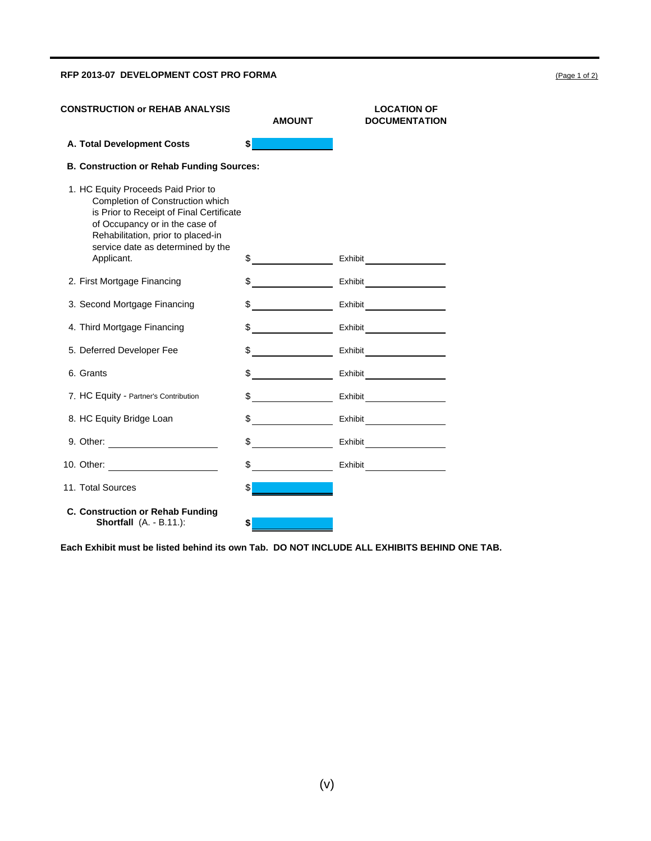#### **RFP 2013-07 DEVELOPMENT COST PRO FORMA** (Page 1 of 2)

**CONSTRUCTION or REHAB ANALYSIS LOCATION OF AMOUNT DOCUMENTATION A. Total Development Costs \$ B. Construction or Rehab Funding Sources:** 1. HC Equity Proceeds Paid Prior to Completion of Construction which is Prior to Receipt of Final Certificate of Occupancy or in the case of Rehabilitation, prior to placed-in service date as determined by the Applicant. S<br>
\$ 2. First Mortgage Financing  $\qquad \qquad \$ 3. Second Mortgage Financing  $\qquad \qquad \$ 4. Third Mortgage Financing  $\qquad \qquad \text{\$}$   $\qquad \qquad \text{\$}$  Exhibit 5. Deferred Developer Fee  $$$  \$ Exhibit <u> 1989 - Jan Jawa Barat, p</u> 6. Grants **\$** Exhibit 7. HC Equity - Partner's Contribution  $\$ 8. HC Equity Bridge Loan  $\quad \$ 9. Other: \$ Exhibit 10. Other: \$ Exhibit 11. Total Sources \$ **C. Construction or Rehab Funding Shortfall** (A. - B.11.): **\$**

**Each Exhibit must be listed behind its own Tab. DO NOT INCLUDE ALL EXHIBITS BEHIND ONE TAB.**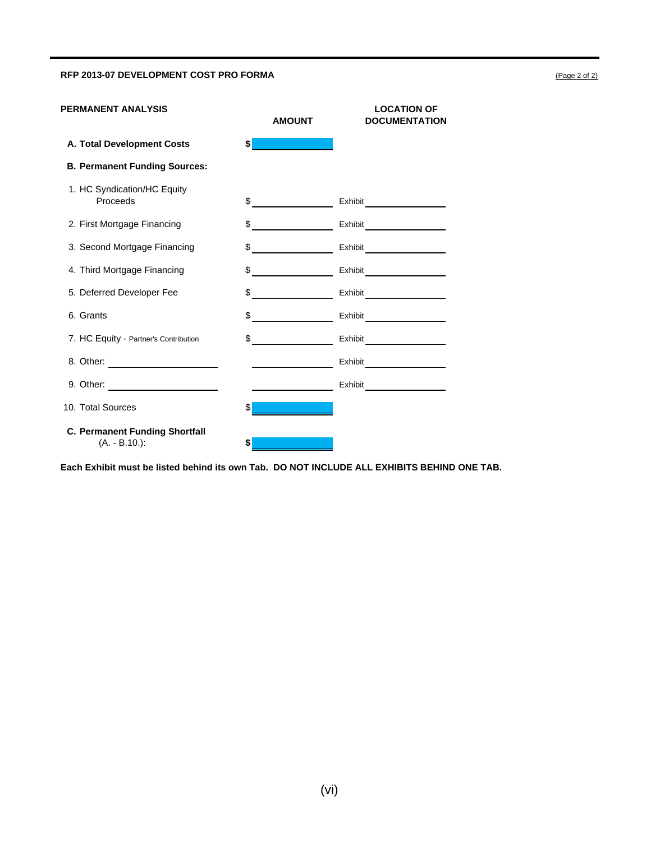### RFP 2013-07 DEVELOPMENT COST PRO FORMA **COST 2014** 2 OF 22 OF 22 OF 22 OF 2014 2 OF 2015 2 OF 2014 2 OF 2015 2 OF 2015 2 OF 2015 2 OF 2015 2 OF 2015 2 OF 2015 2 OF 2015 2 OF 2015 2 OF 2015 2 OF 2015 2 OF 2015 2 OF 2015 2 O

| <b>PERMANENT ANALYSIS</b>                                | <b>AMOUNT</b>                             | <b>LOCATION OF</b><br><b>DOCUMENTATION</b> |
|----------------------------------------------------------|-------------------------------------------|--------------------------------------------|
| A. Total Development Costs                               | s                                         |                                            |
| <b>B. Permanent Funding Sources:</b>                     |                                           |                                            |
| 1. HC Syndication/HC Equity<br>Proceeds                  | $\frac{1}{2}$                             | Exhibit_____________________               |
| 2. First Mortgage Financing                              | \$<br><u> 1980 - Jan Barat, politik e</u> |                                            |
| 3. Second Mortgage Financing                             | $\frac{1}{2}$                             |                                            |
| 4. Third Mortgage Financing                              | $\frac{1}{2}$                             | Exhibit                                    |
| 5. Deferred Developer Fee                                | \$                                        |                                            |
| 6. Grants                                                | $\frac{1}{\sqrt{2}}$                      | Exhibit_______________________             |
| 7. HC Equity - Partner's Contribution                    | $\frac{1}{2}$                             | Exhibit                                    |
|                                                          |                                           | Exhibit<br>$\overline{\phantom{a}}$        |
| 9. Other:                                                |                                           | Exhibit                                    |
| 10. Total Sources                                        | \$                                        |                                            |
| <b>C. Permanent Funding Shortfall</b><br>$(A. - B.10.):$ |                                           |                                            |

**Each Exhibit must be listed behind its own Tab. DO NOT INCLUDE ALL EXHIBITS BEHIND ONE TAB.**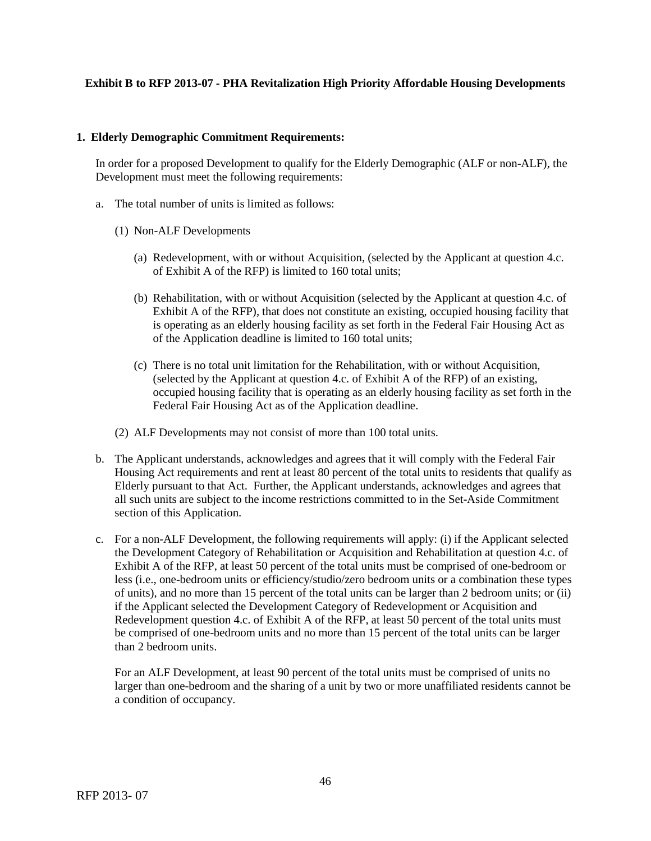## **Exhibit B to RFP 2013-07 - PHA Revitalization High Priority Affordable Housing Developments**

### **1. Elderly Demographic Commitment Requirements:**

In order for a proposed Development to qualify for the Elderly Demographic (ALF or non-ALF), the Development must meet the following requirements:

- a. The total number of units is limited as follows:
	- (1) Non-ALF Developments
		- (a) Redevelopment, with or without Acquisition, (selected by the Applicant at question 4.c. of Exhibit A of the RFP) is limited to 160 total units;
		- (b) Rehabilitation, with or without Acquisition (selected by the Applicant at question 4.c. of Exhibit A of the RFP), that does not constitute an existing, occupied housing facility that is operating as an elderly housing facility as set forth in the Federal Fair Housing Act as of the Application deadline is limited to 160 total units;
		- (c) There is no total unit limitation for the Rehabilitation, with or without Acquisition, (selected by the Applicant at question 4.c. of Exhibit A of the RFP) of an existing, occupied housing facility that is operating as an elderly housing facility as set forth in the Federal Fair Housing Act as of the Application deadline.
	- (2) ALF Developments may not consist of more than 100 total units.
- b. The Applicant understands, acknowledges and agrees that it will comply with the Federal Fair Housing Act requirements and rent at least 80 percent of the total units to residents that qualify as Elderly pursuant to that Act. Further, the Applicant understands, acknowledges and agrees that all such units are subject to the income restrictions committed to in the Set-Aside Commitment section of this Application.
- c. For a non-ALF Development, the following requirements will apply: (i) if the Applicant selected the Development Category of Rehabilitation or Acquisition and Rehabilitation at question 4.c. of Exhibit A of the RFP, at least 50 percent of the total units must be comprised of one-bedroom or less (i.e., one-bedroom units or efficiency/studio/zero bedroom units or a combination these types of units), and no more than 15 percent of the total units can be larger than 2 bedroom units; or (ii) if the Applicant selected the Development Category of Redevelopment or Acquisition and Redevelopment question 4.c. of Exhibit A of the RFP, at least 50 percent of the total units must be comprised of one-bedroom units and no more than 15 percent of the total units can be larger than 2 bedroom units.

For an ALF Development, at least 90 percent of the total units must be comprised of units no larger than one-bedroom and the sharing of a unit by two or more unaffiliated residents cannot be a condition of occupancy.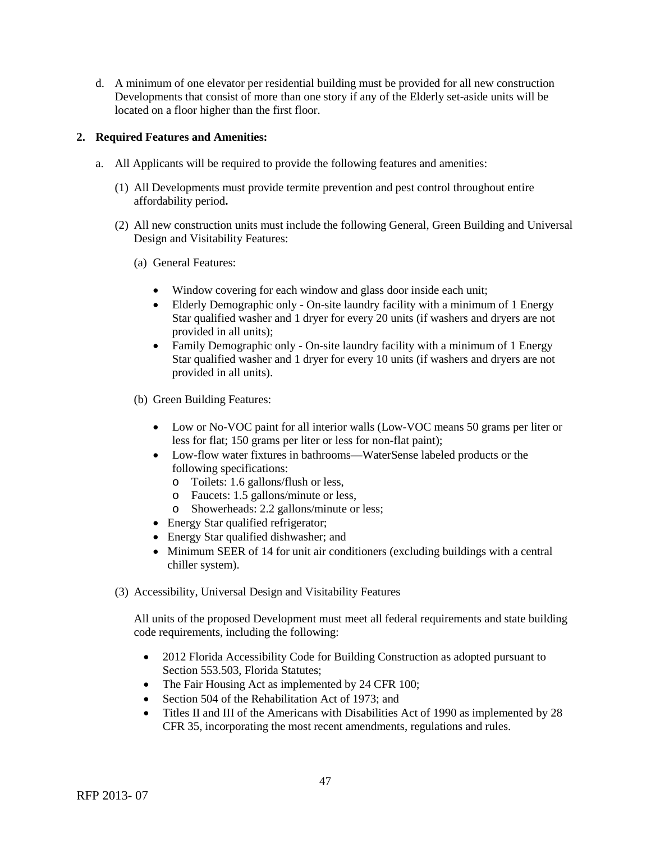d. A minimum of one elevator per residential building must be provided for all new construction Developments that consist of more than one story if any of the Elderly set-aside units will be located on a floor higher than the first floor.

# **2. Required Features and Amenities:**

- a. All Applicants will be required to provide the following features and amenities:
	- (1) All Developments must provide termite prevention and pest control throughout entire affordability period**.**
	- (2) All new construction units must include the following General, Green Building and Universal Design and Visitability Features:
		- (a) General Features:
			- Window covering for each window and glass door inside each unit;
			- Elderly Demographic only On-site laundry facility with a minimum of 1 Energy Star qualified washer and 1 dryer for every 20 units (if washers and dryers are not provided in all units);
			- Family Demographic only On-site laundry facility with a minimum of 1 Energy Star qualified washer and 1 dryer for every 10 units (if washers and dryers are not provided in all units).
		- (b) Green Building Features:
			- Low or No-VOC paint for all interior walls (Low-VOC means 50 grams per liter or less for flat; 150 grams per liter or less for non-flat paint);
			- Low-flow water fixtures in bathrooms—WaterSense labeled products or the following specifications:
				- o Toilets: 1.6 gallons/flush or less,
				- o Faucets: 1.5 gallons/minute or less,
				- o Showerheads: 2.2 gallons/minute or less;
			- Energy Star qualified refrigerator;
			- Energy Star qualified dishwasher; and
			- Minimum SEER of 14 for unit air conditioners (excluding buildings with a central chiller system).
	- (3) Accessibility, Universal Design and Visitability Features

All units of the proposed Development must meet all federal requirements and state building code requirements, including the following:

- 2012 Florida Accessibility Code for Building Construction as adopted pursuant to Section 553.503, Florida Statutes;
- The Fair Housing Act as implemented by 24 CFR 100;
- Section 504 of the Rehabilitation Act of 1973; and
- Titles II and III of the Americans with Disabilities Act of 1990 as implemented by 28 CFR 35, incorporating the most recent amendments, regulations and rules.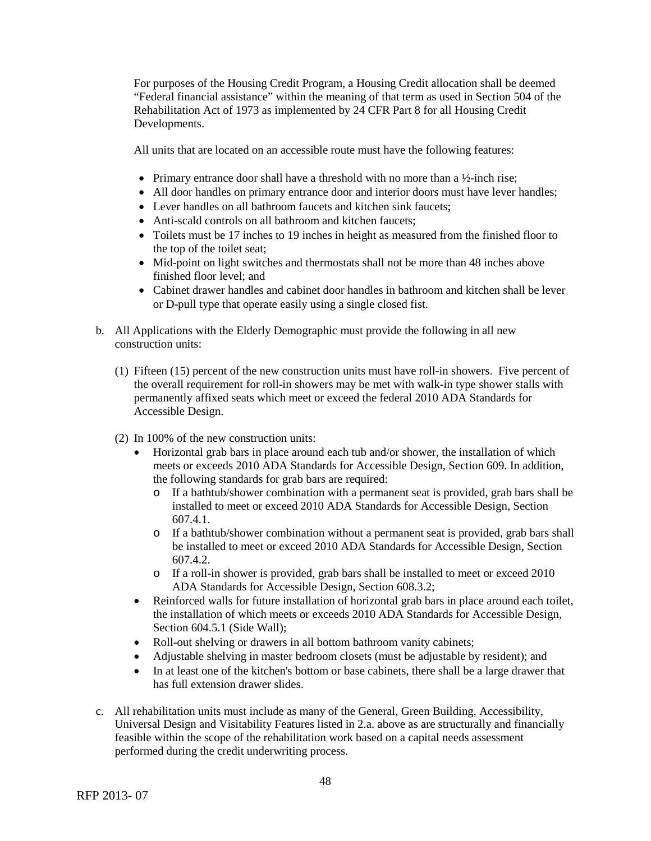For purposes of the Housing Credit Program, a Housing Credit allocation shall be deemed "Federal financial assistance" within the meaning of that term as used in Section 504 of the Rehabilitation Act of 1973 as implemented by 24 CFR Part 8 for all Housing Credit Developments.

All units that are located on an accessible route must have the following features:

- Primary entrance door shall have a threshold with no more than a  $\frac{1}{2}$ -inch rise;
- All door handles on primary entrance door and interior doors must have lever handles;
- Lever handles on all bathroom faucets and kitchen sink faucets:
- Anti-scald controls on all bathroom and kitchen faucets;
- Toilets must be 17 inches to 19 inches in height as measured from the finished floor to the top of the toilet seat;
- Mid-point on light switches and thermostats shall not be more than 48 inches above finished floor level; and
- Cabinet drawer handles and cabinet door handles in bathroom and kitchen shall be lever or D-pull type that operate easily using a single closed fist.
- b. All Applications with the Elderly Demographic must provide the following in all new construction units:
	- (1) Fifteen (15) percent of the new construction units must have roll-in showers. Five percent of the overall requirement for roll-in showers may be met with walk-in type shower stalls with permanently affixed seats which meet or exceed the federal 2010 ADA Standards for Accessible Design.
	- (2) In 100% of the new construction units:
		- Horizontal grab bars in place around each tub and/or shower, the installation of which meets or exceeds 2010 ADA Standards for Accessible Design, Section 609. In addition, the following standards for grab bars are required:
			- o If a bathtub/shower combination with a permanent seat is provided, grab bars shall be installed to meet or exceed 2010 ADA Standards for Accessible Design, Section 607.4.1.
			- o If a bathtub/shower combination without a permanent seat is provided, grab bars shall be installed to meet or exceed 2010 ADA Standards for Accessible Design, Section 607.4.2.
			- o If a roll-in shower is provided, grab bars shall be installed to meet or exceed 2010 ADA Standards for Accessible Design, Section 608.3.2;
		- Reinforced walls for future installation of horizontal grab bars in place around each toilet, the installation of which meets or exceeds 2010 ADA Standards for Accessible Design, Section 604.5.1 (Side Wall):
		- Roll-out shelving or drawers in all bottom bathroom vanity cabinets;
		- Adjustable shelving in master bedroom closets (must be adjustable by resident); and
		- In at least one of the kitchen's bottom or base cabinets, there shall be a large drawer that has full extension drawer slides.
- c. All rehabilitation units must include as many of the General, Green Building, Accessibility, Universal Design and Visitability Features listed in 2.a. above as are structurally and financially feasible within the scope of the rehabilitation work based on a capital needs assessment performed during the credit underwriting process.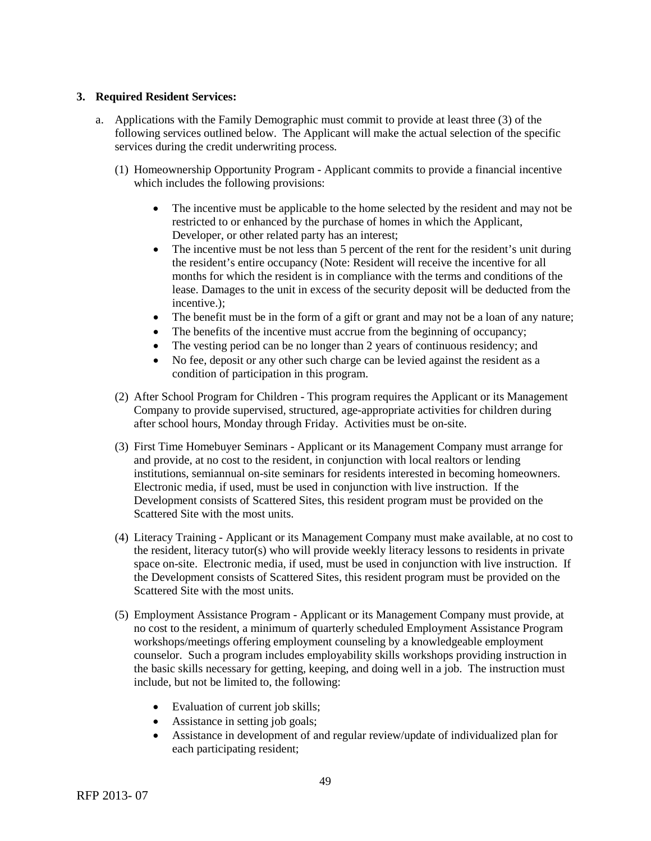## **3. Required Resident Services:**

- a. Applications with the Family Demographic must commit to provide at least three (3) of the following services outlined below. The Applicant will make the actual selection of the specific services during the credit underwriting process.
	- (1) Homeownership Opportunity Program Applicant commits to provide a financial incentive which includes the following provisions:
		- The incentive must be applicable to the home selected by the resident and may not be restricted to or enhanced by the purchase of homes in which the Applicant, Developer, or other related party has an interest;
		- The incentive must be not less than 5 percent of the rent for the resident's unit during the resident's entire occupancy (Note: Resident will receive the incentive for all months for which the resident is in compliance with the terms and conditions of the lease. Damages to the unit in excess of the security deposit will be deducted from the incentive.);
		- The benefit must be in the form of a gift or grant and may not be a loan of any nature;
		- The benefits of the incentive must accrue from the beginning of occupancy;
		- The vesting period can be no longer than 2 years of continuous residency; and
		- No fee, deposit or any other such charge can be levied against the resident as a condition of participation in this program.
	- (2) After School Program for Children This program requires the Applicant or its Management Company to provide supervised, structured, age-appropriate activities for children during after school hours, Monday through Friday. Activities must be on-site.
	- (3) First Time Homebuyer Seminars Applicant or its Management Company must arrange for and provide, at no cost to the resident, in conjunction with local realtors or lending institutions, semiannual on-site seminars for residents interested in becoming homeowners. Electronic media, if used, must be used in conjunction with live instruction. If the Development consists of Scattered Sites, this resident program must be provided on the Scattered Site with the most units.
	- (4) Literacy Training Applicant or its Management Company must make available, at no cost to the resident, literacy tutor(s) who will provide weekly literacy lessons to residents in private space on-site. Electronic media, if used, must be used in conjunction with live instruction. If the Development consists of Scattered Sites, this resident program must be provided on the Scattered Site with the most units.
	- (5) Employment Assistance Program Applicant or its Management Company must provide, at no cost to the resident, a minimum of quarterly scheduled Employment Assistance Program workshops/meetings offering employment counseling by a knowledgeable employment counselor. Such a program includes employability skills workshops providing instruction in the basic skills necessary for getting, keeping, and doing well in a job. The instruction must include, but not be limited to, the following:
		- Evaluation of current job skills;
		- Assistance in setting job goals;
		- Assistance in development of and regular review/update of individualized plan for each participating resident;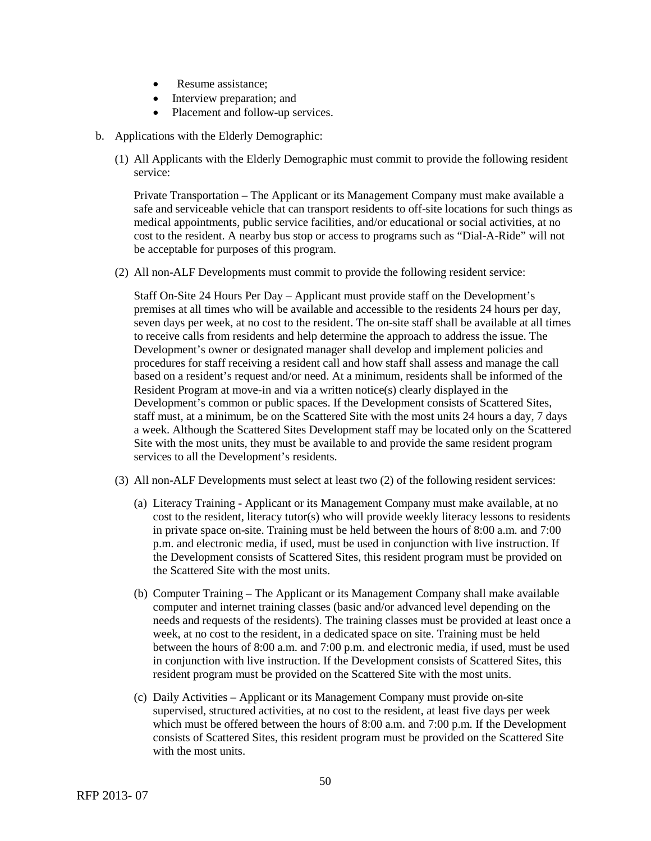- Resume assistance:
- Interview preparation; and
- Placement and follow-up services.
- b. Applications with the Elderly Demographic:
	- (1) All Applicants with the Elderly Demographic must commit to provide the following resident service:

Private Transportation – The Applicant or its Management Company must make available a safe and serviceable vehicle that can transport residents to off-site locations for such things as medical appointments, public service facilities, and/or educational or social activities, at no cost to the resident. A nearby bus stop or access to programs such as "Dial-A-Ride" will not be acceptable for purposes of this program.

(2) All non-ALF Developments must commit to provide the following resident service:

Staff On-Site 24 Hours Per Day – Applicant must provide staff on the Development's premises at all times who will be available and accessible to the residents 24 hours per day, seven days per week, at no cost to the resident. The on-site staff shall be available at all times to receive calls from residents and help determine the approach to address the issue. The Development's owner or designated manager shall develop and implement policies and procedures for staff receiving a resident call and how staff shall assess and manage the call based on a resident's request and/or need. At a minimum, residents shall be informed of the Resident Program at move-in and via a written notice(s) clearly displayed in the Development's common or public spaces. If the Development consists of Scattered Sites, staff must, at a minimum, be on the Scattered Site with the most units 24 hours a day, 7 days a week. Although the Scattered Sites Development staff may be located only on the Scattered Site with the most units, they must be available to and provide the same resident program services to all the Development's residents.

- (3) All non-ALF Developments must select at least two (2) of the following resident services:
	- (a) Literacy Training Applicant or its Management Company must make available, at no cost to the resident, literacy tutor(s) who will provide weekly literacy lessons to residents in private space on-site. Training must be held between the hours of 8:00 a.m. and 7:00 p.m. and electronic media, if used, must be used in conjunction with live instruction. If the Development consists of Scattered Sites, this resident program must be provided on the Scattered Site with the most units.
	- (b) Computer Training The Applicant or its Management Company shall make available computer and internet training classes (basic and/or advanced level depending on the needs and requests of the residents). The training classes must be provided at least once a week, at no cost to the resident, in a dedicated space on site. Training must be held between the hours of 8:00 a.m. and 7:00 p.m. and electronic media, if used, must be used in conjunction with live instruction. If the Development consists of Scattered Sites, this resident program must be provided on the Scattered Site with the most units.
	- (c) Daily Activities Applicant or its Management Company must provide on-site supervised, structured activities, at no cost to the resident, at least five days per week which must be offered between the hours of 8:00 a.m. and 7:00 p.m. If the Development consists of Scattered Sites, this resident program must be provided on the Scattered Site with the most units.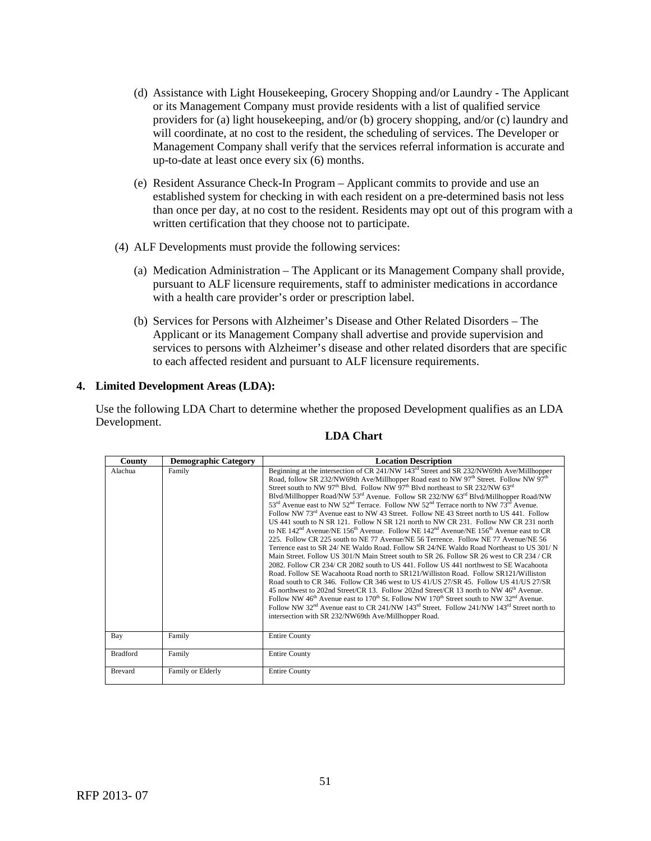- (d) Assistance with Light Housekeeping, Grocery Shopping and/or Laundry The Applicant or its Management Company must provide residents with a list of qualified service providers for (a) light housekeeping, and/or (b) grocery shopping, and/or (c) laundry and will coordinate, at no cost to the resident, the scheduling of services. The Developer or Management Company shall verify that the services referral information is accurate and up-to-date at least once every six (6) months.
- (e) Resident Assurance Check-In Program Applicant commits to provide and use an established system for checking in with each resident on a pre-determined basis not less than once per day, at no cost to the resident. Residents may opt out of this program with a written certification that they choose not to participate.
- (4) ALF Developments must provide the following services:
	- (a) Medication Administration The Applicant or its Management Company shall provide, pursuant to ALF licensure requirements, staff to administer medications in accordance with a health care provider's order or prescription label.
	- (b) Services for Persons with Alzheimer's Disease and Other Related Disorders The Applicant or its Management Company shall advertise and provide supervision and services to persons with Alzheimer's disease and other related disorders that are specific to each affected resident and pursuant to ALF licensure requirements.

### **4. Limited Development Areas (LDA):**

Use the following LDA Chart to determine whether the proposed Development qualifies as an LDA Development.

| County          | <b>Demographic Category</b> | <b>Location Description</b>                                                                                                                                                                                                                                                                                                                                                                                                                                                                                                                                                                                                                                                                                                                                                                                                                                                                                                                                                                                                                                                                                                                                                                                                                                                                                                                                                                                                                                                                                                                                                                                                                                                                                                                                                                                                                                                                                                                |
|-----------------|-----------------------------|--------------------------------------------------------------------------------------------------------------------------------------------------------------------------------------------------------------------------------------------------------------------------------------------------------------------------------------------------------------------------------------------------------------------------------------------------------------------------------------------------------------------------------------------------------------------------------------------------------------------------------------------------------------------------------------------------------------------------------------------------------------------------------------------------------------------------------------------------------------------------------------------------------------------------------------------------------------------------------------------------------------------------------------------------------------------------------------------------------------------------------------------------------------------------------------------------------------------------------------------------------------------------------------------------------------------------------------------------------------------------------------------------------------------------------------------------------------------------------------------------------------------------------------------------------------------------------------------------------------------------------------------------------------------------------------------------------------------------------------------------------------------------------------------------------------------------------------------------------------------------------------------------------------------------------------------|
| Alachua         | Family                      | Beginning at the intersection of CR 241/NW 143 <sup>rd</sup> Street and SR 232/NW69th Ave/Millhopper<br>Road, follow SR 232/NW69th Ave/Millhopper Road east to NW 97 <sup>th</sup> Street. Follow NW 97 <sup>th</sup><br>Street south to NW 97 <sup>th</sup> Blvd. Follow NW 97 <sup>th</sup> Blvd northeast to SR 232/NW 63 <sup>rd</sup><br>Blvd/Millhopper Road/NW 53 <sup>rd</sup> Avenue. Follow SR 232/NW 63 <sup>rd</sup> Blvd/Millhopper Road/NW<br>$53^{\text{rd}}$ Avenue east to NW $52^{\text{nd}}$ Terrace. Follow NW $52^{\text{nd}}$ Terrace north to NW $73^{\text{rd}}$ Avenue.<br>Follow NW 73 <sup>rd</sup> Avenue east to NW 43 Street. Follow NE 43 Street north to US 441. Follow<br>US 441 south to N SR 121. Follow N SR 121 north to NW CR 231. Follow NW CR 231 north<br>to NE 142 <sup>nd</sup> Avenue/NE 156 <sup>th</sup> Avenue. Follow NE 142 <sup>nd</sup> Avenue/NE 156 <sup>th</sup> Avenue east to CR<br>225. Follow CR 225 south to NE 77 Avenue/NE 56 Terrence. Follow NE 77 Avenue/NE 56<br>Terrence east to SR 24/ NE Waldo Road. Follow SR 24/NE Waldo Road Northeast to US 301/ N<br>Main Street. Follow US 301/N Main Street south to SR 26. Follow SR 26 west to CR 234 / CR<br>2082. Follow CR 234/ CR 2082 south to US 441. Follow US 441 northwest to SE Wacahoota<br>Road, Follow SE Wacahoota Road north to SR121/Williston Road. Follow SR121/Williston<br>Road south to CR 346. Follow CR 346 west to US 41/US 27/SR 45. Follow US 41/US 27/SR<br>45 northwest to 202nd Street/CR 13. Follow 202nd Street/CR 13 north to NW 46 <sup>th</sup> Avenue.<br>Follow NW 46 <sup>th</sup> Avenue east to 170 <sup>th</sup> St. Follow NW 170 <sup>th</sup> Street south to NW 32 <sup>nd</sup> Avenue.<br>Follow NW 32 <sup>nd</sup> Avenue east to CR 241/NW 143 <sup>rd</sup> Street. Follow 241/NW 143 <sup>rd</sup> Street north to<br>intersection with SR 232/NW69th Ave/Millhopper Road. |
| Bay             | Family                      | <b>Entire County</b>                                                                                                                                                                                                                                                                                                                                                                                                                                                                                                                                                                                                                                                                                                                                                                                                                                                                                                                                                                                                                                                                                                                                                                                                                                                                                                                                                                                                                                                                                                                                                                                                                                                                                                                                                                                                                                                                                                                       |
| <b>Bradford</b> | Family                      | <b>Entire County</b>                                                                                                                                                                                                                                                                                                                                                                                                                                                                                                                                                                                                                                                                                                                                                                                                                                                                                                                                                                                                                                                                                                                                                                                                                                                                                                                                                                                                                                                                                                                                                                                                                                                                                                                                                                                                                                                                                                                       |
| <b>Brevard</b>  | Family or Elderly           | <b>Entire County</b>                                                                                                                                                                                                                                                                                                                                                                                                                                                                                                                                                                                                                                                                                                                                                                                                                                                                                                                                                                                                                                                                                                                                                                                                                                                                                                                                                                                                                                                                                                                                                                                                                                                                                                                                                                                                                                                                                                                       |

### **LDA Chart**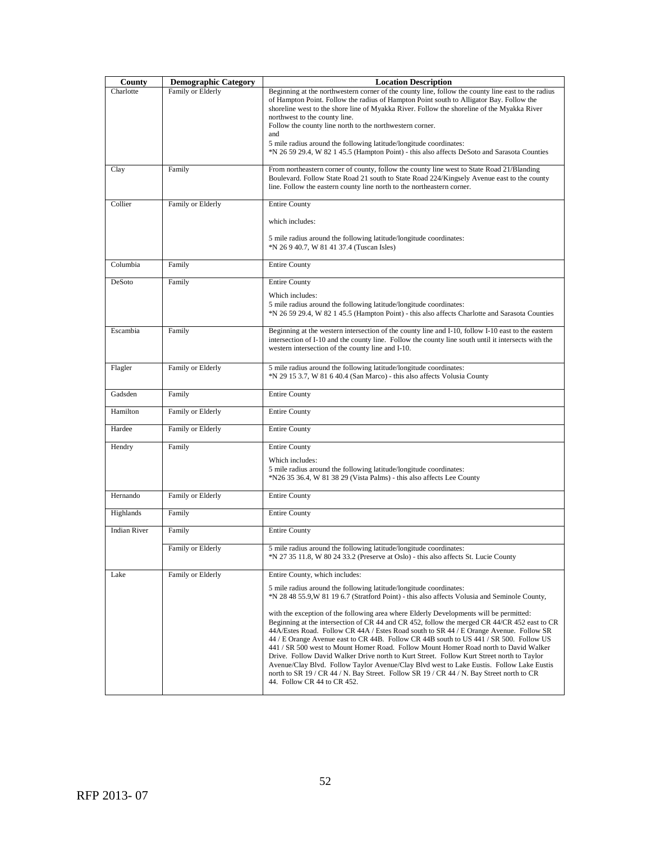|                     | <b>Demographic Category</b> | <b>Location Description</b>                                                                         |
|---------------------|-----------------------------|-----------------------------------------------------------------------------------------------------|
| County              |                             |                                                                                                     |
| Charlotte           | Family or Elderly           | Beginning at the northwestern corner of the county line, follow the county line east to the radius  |
|                     |                             | of Hampton Point. Follow the radius of Hampton Point south to Alligator Bay. Follow the             |
|                     |                             | shoreline west to the shore line of Myakka River. Follow the shoreline of the Myakka River          |
|                     |                             | northwest to the county line.                                                                       |
|                     |                             | Follow the county line north to the northwestern corner.<br>and                                     |
|                     |                             |                                                                                                     |
|                     |                             | 5 mile radius around the following latitude/longitude coordinates:                                  |
|                     |                             | *N 26 59 29.4, W 82 1 45.5 (Hampton Point) - this also affects DeSoto and Sarasota Counties         |
| Clay                | Family                      | From northeastern corner of county, follow the county line west to State Road 21/Blanding           |
|                     |                             | Boulevard. Follow State Road 21 south to State Road 224/Kingsely Avenue east to the county          |
|                     |                             | line. Follow the eastern county line north to the northeastern corner.                              |
|                     |                             |                                                                                                     |
| Collier             | Family or Elderly           | <b>Entire County</b>                                                                                |
|                     |                             |                                                                                                     |
|                     |                             | which includes:                                                                                     |
|                     |                             |                                                                                                     |
|                     |                             | 5 mile radius around the following latitude/longitude coordinates:                                  |
|                     |                             | *N 26 9 40.7, W 81 41 37.4 (Tuscan Isles)                                                           |
|                     |                             |                                                                                                     |
| Columbia            | Family                      | <b>Entire County</b>                                                                                |
|                     |                             |                                                                                                     |
| DeSoto              | Family                      | <b>Entire County</b>                                                                                |
|                     |                             | Which includes:                                                                                     |
|                     |                             | 5 mile radius around the following latitude/longitude coordinates:                                  |
|                     |                             | *N 26 59 29.4, W 82 1 45.5 (Hampton Point) - this also affects Charlotte and Sarasota Counties      |
|                     |                             |                                                                                                     |
| Escambia            | Family                      | Beginning at the western intersection of the county line and I-10, follow I-10 east to the eastern  |
|                     |                             | intersection of I-10 and the county line. Follow the county line south until it intersects with the |
|                     |                             | western intersection of the county line and I-10.                                                   |
|                     |                             |                                                                                                     |
| Flagler             | Family or Elderly           | 5 mile radius around the following latitude/longitude coordinates:                                  |
|                     |                             | *N 29 15 3.7, W 81 6 40.4 (San Marco) - this also affects Volusia County                            |
|                     |                             |                                                                                                     |
| Gadsden             | Family                      | <b>Entire County</b>                                                                                |
| Hamilton            |                             |                                                                                                     |
|                     | Family or Elderly           | <b>Entire County</b>                                                                                |
| Hardee              | Family or Elderly           | <b>Entire County</b>                                                                                |
|                     |                             |                                                                                                     |
| Hendry              | Family                      | <b>Entire County</b>                                                                                |
|                     |                             |                                                                                                     |
|                     |                             | Which includes:                                                                                     |
|                     |                             | 5 mile radius around the following latitude/longitude coordinates:                                  |
|                     |                             | *N26 35 36.4, W 81 38 29 (Vista Palms) - this also affects Lee County                               |
| Hernando            | Family or Elderly           |                                                                                                     |
|                     |                             | <b>Entire County</b>                                                                                |
| Highlands           | Family                      | <b>Entire County</b>                                                                                |
|                     |                             |                                                                                                     |
| <b>Indian River</b> | Family                      | <b>Entire County</b>                                                                                |
|                     |                             |                                                                                                     |
|                     | Family or Elderly           | 5 mile radius around the following latitude/longitude coordinates:                                  |
|                     |                             | *N 27 35 11.8, W 80 24 33.2 (Preserve at Oslo) - this also affects St. Lucie County                 |
|                     |                             |                                                                                                     |
| Lake                | Family or Elderly           | Entire County, which includes:                                                                      |
|                     |                             | 5 mile radius around the following latitude/longitude coordinates:                                  |
|                     |                             | *N 28 48 55.9, W 81 19 6.7 (Stratford Point) - this also affects Volusia and Seminole County,       |
|                     |                             |                                                                                                     |
|                     |                             | with the exception of the following area where Elderly Developments will be permitted:              |
|                     |                             | Beginning at the intersection of CR 44 and CR 452, follow the merged CR 44/CR 452 east to CR        |
|                     |                             | 44A/Estes Road. Follow CR 44A / Estes Road south to SR 44 / E Orange Avenue. Follow SR              |
|                     |                             | 44 / E Orange Avenue east to CR 44B. Follow CR 44B south to US 441 / SR 500. Follow US              |
|                     |                             | 441 / SR 500 west to Mount Homer Road. Follow Mount Homer Road north to David Walker                |
|                     |                             | Drive. Follow David Walker Drive north to Kurt Street. Follow Kurt Street north to Taylor           |
|                     |                             | Avenue/Clay Blvd. Follow Taylor Avenue/Clay Blvd west to Lake Eustis. Follow Lake Eustis            |
|                     |                             | north to SR 19 / CR 44 / N. Bay Street. Follow SR 19 / CR 44 / N. Bay Street north to CR            |
|                     |                             | 44. Follow CR 44 to CR 452.                                                                         |
|                     |                             |                                                                                                     |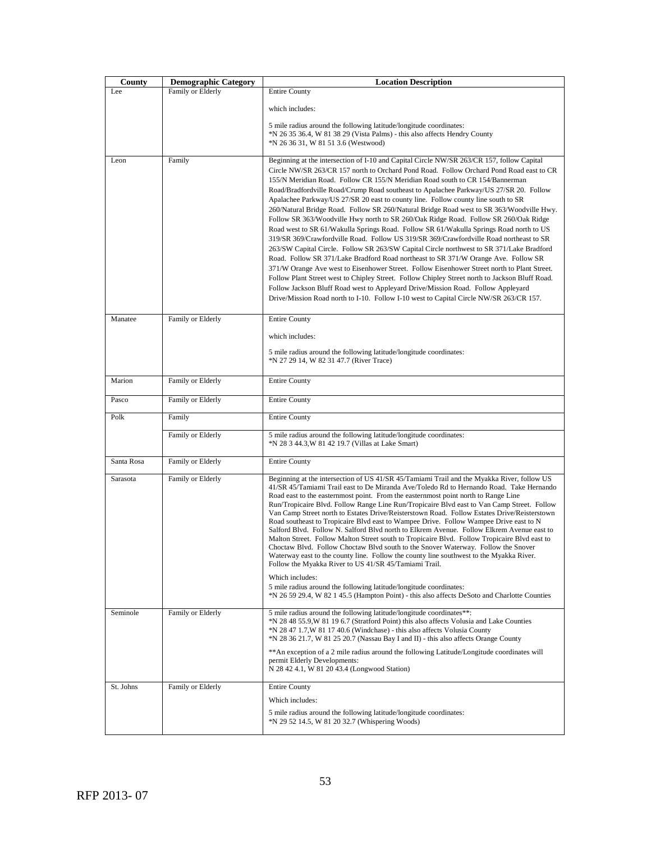| County     | <b>Demographic Category</b> | <b>Location Description</b>                                                                                                                                                                                                                                                                                                                                                                                                                                                                                                                                                                                                                                                                                                                                                                                                                                                                                                                                                                                                                                                                                                                                                                                                                                                                                                                                                                |  |  |
|------------|-----------------------------|--------------------------------------------------------------------------------------------------------------------------------------------------------------------------------------------------------------------------------------------------------------------------------------------------------------------------------------------------------------------------------------------------------------------------------------------------------------------------------------------------------------------------------------------------------------------------------------------------------------------------------------------------------------------------------------------------------------------------------------------------------------------------------------------------------------------------------------------------------------------------------------------------------------------------------------------------------------------------------------------------------------------------------------------------------------------------------------------------------------------------------------------------------------------------------------------------------------------------------------------------------------------------------------------------------------------------------------------------------------------------------------------|--|--|
| Lee        | Family or Elderly           | <b>Entire County</b>                                                                                                                                                                                                                                                                                                                                                                                                                                                                                                                                                                                                                                                                                                                                                                                                                                                                                                                                                                                                                                                                                                                                                                                                                                                                                                                                                                       |  |  |
|            |                             | which includes:                                                                                                                                                                                                                                                                                                                                                                                                                                                                                                                                                                                                                                                                                                                                                                                                                                                                                                                                                                                                                                                                                                                                                                                                                                                                                                                                                                            |  |  |
|            |                             | 5 mile radius around the following latitude/longitude coordinates:<br>*N 26 35 36.4, W 81 38 29 (Vista Palms) - this also affects Hendry County<br>*N 26 36 31, W 81 51 3.6 (Westwood)                                                                                                                                                                                                                                                                                                                                                                                                                                                                                                                                                                                                                                                                                                                                                                                                                                                                                                                                                                                                                                                                                                                                                                                                     |  |  |
| Leon       | Family                      | Beginning at the intersection of I-10 and Capital Circle NW/SR 263/CR 157, follow Capital<br>Circle NW/SR 263/CR 157 north to Orchard Pond Road. Follow Orchard Pond Road east to CR<br>155/N Meridian Road. Follow CR 155/N Meridian Road south to CR 154/Bannerman<br>Road/Bradfordville Road/Crump Road southeast to Apalachee Parkway/US 27/SR 20. Follow<br>Apalachee Parkway/US 27/SR 20 east to county line. Follow county line south to SR<br>260/Natural Bridge Road. Follow SR 260/Natural Bridge Road west to SR 363/Woodville Hwy.<br>Follow SR 363/Woodville Hwy north to SR 260/Oak Ridge Road. Follow SR 260/Oak Ridge<br>Road west to SR 61/Wakulla Springs Road. Follow SR 61/Wakulla Springs Road north to US<br>319/SR 369/Crawfordville Road. Follow US 319/SR 369/Crawfordville Road northeast to SR<br>263/SW Capital Circle. Follow SR 263/SW Capital Circle northwest to SR 371/Lake Bradford<br>Road. Follow SR 371/Lake Bradford Road northeast to SR 371/W Orange Ave. Follow SR<br>371/W Orange Ave west to Eisenhower Street. Follow Eisenhower Street north to Plant Street.<br>Follow Plant Street west to Chipley Street. Follow Chipley Street north to Jackson Bluff Road.<br>Follow Jackson Bluff Road west to Appleyard Drive/Mission Road. Follow Appleyard<br>Drive/Mission Road north to I-10. Follow I-10 west to Capital Circle NW/SR 263/CR 157. |  |  |
| Manatee    | Family or Elderly           | <b>Entire County</b>                                                                                                                                                                                                                                                                                                                                                                                                                                                                                                                                                                                                                                                                                                                                                                                                                                                                                                                                                                                                                                                                                                                                                                                                                                                                                                                                                                       |  |  |
|            |                             | which includes:<br>5 mile radius around the following latitude/longitude coordinates:<br>*N 27 29 14, W 82 31 47.7 (River Trace)                                                                                                                                                                                                                                                                                                                                                                                                                                                                                                                                                                                                                                                                                                                                                                                                                                                                                                                                                                                                                                                                                                                                                                                                                                                           |  |  |
| Marion     | Family or Elderly           | <b>Entire County</b>                                                                                                                                                                                                                                                                                                                                                                                                                                                                                                                                                                                                                                                                                                                                                                                                                                                                                                                                                                                                                                                                                                                                                                                                                                                                                                                                                                       |  |  |
| Pasco      | Family or Elderly           | <b>Entire County</b>                                                                                                                                                                                                                                                                                                                                                                                                                                                                                                                                                                                                                                                                                                                                                                                                                                                                                                                                                                                                                                                                                                                                                                                                                                                                                                                                                                       |  |  |
| Polk       | Family                      | <b>Entire County</b>                                                                                                                                                                                                                                                                                                                                                                                                                                                                                                                                                                                                                                                                                                                                                                                                                                                                                                                                                                                                                                                                                                                                                                                                                                                                                                                                                                       |  |  |
|            | Family or Elderly           | 5 mile radius around the following latitude/longitude coordinates:<br>*N 28 3 44.3, W 81 42 19.7 (Villas at Lake Smart)                                                                                                                                                                                                                                                                                                                                                                                                                                                                                                                                                                                                                                                                                                                                                                                                                                                                                                                                                                                                                                                                                                                                                                                                                                                                    |  |  |
| Santa Rosa | Family or Elderly           | <b>Entire County</b>                                                                                                                                                                                                                                                                                                                                                                                                                                                                                                                                                                                                                                                                                                                                                                                                                                                                                                                                                                                                                                                                                                                                                                                                                                                                                                                                                                       |  |  |
| Sarasota   | Family or Elderly           | Beginning at the intersection of US 41/SR 45/Tamiami Trail and the Myakka River, follow US<br>41/SR 45/Tamiami Trail east to De Miranda Ave/Toledo Rd to Hernando Road. Take Hernando<br>Road east to the easternmost point. From the easternmost point north to Range Line<br>Run/Tropicaire Blvd. Follow Range Line Run/Tropicaire Blvd east to Van Camp Street. Follow<br>Van Camp Street north to Estates Drive/Reisterstown Road. Follow Estates Drive/Reisterstown<br>Road southeast to Tropicaire Blvd east to Wampee Drive. Follow Wampee Drive east to N<br>Salford Blvd. Follow N. Salford Blvd north to Elkrem Avenue. Follow Elkrem Avenue east to<br>Malton Street. Follow Malton Street south to Tropicaire Blvd. Follow Tropicaire Blvd east to<br>Choctaw Blvd. Follow Choctaw Blvd south to the Snover Waterway. Follow the Snover<br>Waterway east to the county line. Follow the county line southwest to the Myakka River.<br>Follow the Myakka River to US 41/SR 45/Tamiami Trail.<br>Which includes:<br>5 mile radius around the following latitude/longitude coordinates:<br>*N 26 59 29.4, W 82 1 45.5 (Hampton Point) - this also affects DeSoto and Charlotte Counties                                                                                                                                                                                           |  |  |
| Seminole   | Family or Elderly           | 5 mile radius around the following latitude/longitude coordinates**:<br>*N 28 48 55.9, W 81 19 6.7 (Stratford Point) this also affects Volusia and Lake Counties<br>*N 28 47 1.7, W 81 17 40.6 (Windchase) - this also affects Volusia County<br>*N 28 36 21.7, W 81 25 20.7 (Nassau Bay I and II) - this also affects Orange County<br>** An exception of a 2 mile radius around the following Latitude/Longitude coordinates will<br>permit Elderly Developments:<br>N 28 42 4.1, W 81 20 43.4 (Longwood Station)                                                                                                                                                                                                                                                                                                                                                                                                                                                                                                                                                                                                                                                                                                                                                                                                                                                                        |  |  |
| St. Johns  | Family or Elderly           | <b>Entire County</b><br>Which includes:<br>5 mile radius around the following latitude/longitude coordinates:<br>*N 29 52 14.5, W 81 20 32.7 (Whispering Woods)                                                                                                                                                                                                                                                                                                                                                                                                                                                                                                                                                                                                                                                                                                                                                                                                                                                                                                                                                                                                                                                                                                                                                                                                                            |  |  |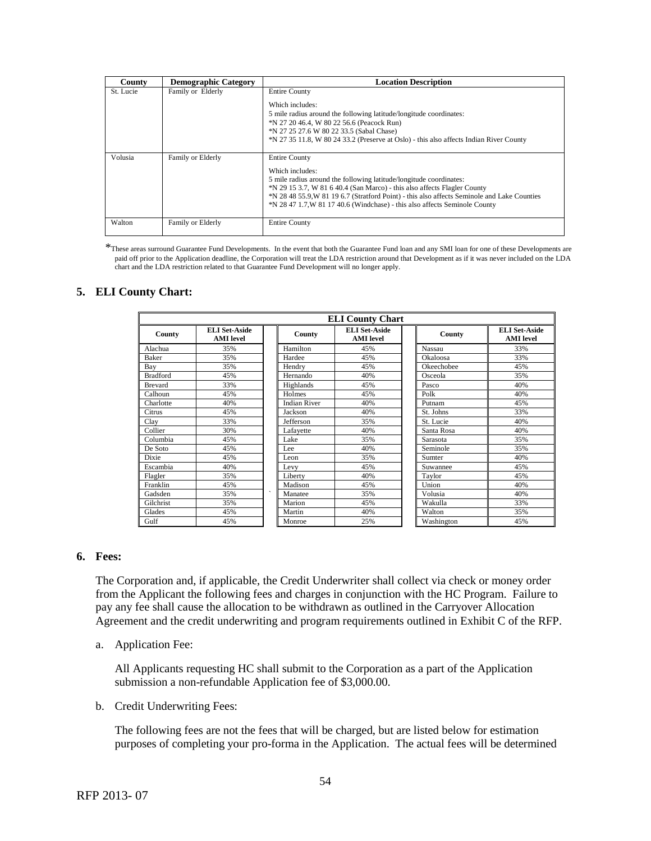| County    | <b>Demographic Category</b> | <b>Location Description</b>                                                                                                                                                                                                                                                                                                                                            |
|-----------|-----------------------------|------------------------------------------------------------------------------------------------------------------------------------------------------------------------------------------------------------------------------------------------------------------------------------------------------------------------------------------------------------------------|
| St. Lucie | Family or Elderly           | <b>Entire County</b>                                                                                                                                                                                                                                                                                                                                                   |
|           |                             | Which includes:<br>5 mile radius around the following latitude/longitude coordinates:<br>*N 27 20 46.4, W 80 22 56.6 (Peacock Run)<br>*N 27 25 27.6 W 80 22 33.5 (Sabal Chase)<br>*N 27 35 11.8, W 80 24 33.2 (Preserve at Oslo) - this also affects Indian River County                                                                                               |
| Volusia   | Family or Elderly           | <b>Entire County</b><br>Which includes:<br>5 mile radius around the following latitude/longitude coordinates:<br>*N 29 15 3.7, W 81 6 40.4 (San Marco) - this also affects Flagler County<br>*N 28 48 55.9, W 81 19 6.7 (Stratford Point) - this also affects Seminole and Lake Counties<br>*N 28 47 1.7, W 81 17 40.6 (Windchase) - this also affects Seminole County |
| Walton    | Family or Elderly           | <b>Entire County</b>                                                                                                                                                                                                                                                                                                                                                   |

\*These areas surround Guarantee Fund Developments. In the event that both the Guarantee Fund loan and any SMI loan for one of these Developments are paid off prior to the Application deadline, the Corporation will treat the LDA restriction around that Development as if it was never included on the LDA chart and the LDA restriction related to that Guarantee Fund Development will no longer apply.

### **5. ELI County Chart:**

| <b>ELI County Chart</b> |                                          |                     |                                          |            |                                          |  |
|-------------------------|------------------------------------------|---------------------|------------------------------------------|------------|------------------------------------------|--|
| County                  | <b>ELI Set-Aside</b><br><b>AMI</b> level | County              | <b>ELI Set-Aside</b><br><b>AMI</b> level | County     | <b>ELI Set-Aside</b><br><b>AMI</b> level |  |
| Alachua                 | 35%                                      | Hamilton            | 45%                                      | Nassau     | 33%                                      |  |
| Baker                   | 35%                                      | Hardee              | 45%                                      | Okaloosa   | 33%                                      |  |
| Bay                     | 35%                                      | Hendry              | 45%                                      | Okeechobee | 45%                                      |  |
| <b>Bradford</b>         | 45%                                      | Hernando            | 40%                                      | Osceola    | 35%                                      |  |
| <b>Brevard</b>          | 33%                                      | Highlands           | 45%                                      | Pasco      | 40%                                      |  |
| Calhoun                 | 45%                                      | Holmes              | 45%                                      | Polk       | 40%                                      |  |
| Charlotte               | 40%                                      | <b>Indian River</b> | 40%                                      | Putnam     | 45%                                      |  |
| Citrus                  | 45%                                      | Jackson             | 40%                                      | St. Johns  | 33%                                      |  |
| Clay                    | 33%                                      | Jefferson           | 35%                                      | St. Lucie  | 40%                                      |  |
| Collier                 | 30%                                      | Lafayette           | 40%                                      | Santa Rosa | 40%                                      |  |
| Columbia                | 45%                                      | Lake                | 35%                                      | Sarasota   | 35%                                      |  |
| De Soto                 | 45%                                      | Lee                 | 40%                                      | Seminole   | 35%                                      |  |
| Dixie                   | 45%                                      | Leon                | 35%                                      | Sumter     | 40%                                      |  |
| Escambia                | 40%                                      | Levy                | 45%                                      | Suwannee   | 45%                                      |  |
| Flagler                 | 35%                                      | Liberty             | 40%                                      | Taylor     | 45%                                      |  |
| Franklin                | 45%                                      | Madison             | 45%                                      | Union      | 40%                                      |  |
| Gadsden                 | 35%                                      | Manatee             | 35%                                      | Volusia    | 40%                                      |  |
| Gilchrist               | 35%                                      | Marion              | 45%                                      | Wakulla    | 33%                                      |  |
| Glades                  | 45%                                      | Martin              | 40%                                      | Walton     | 35%                                      |  |
| Gulf                    | 45%                                      | Monroe              | 25%                                      | Washington | 45%                                      |  |

# **6. Fees:**

The Corporation and, if applicable, the Credit Underwriter shall collect via check or money order from the Applicant the following fees and charges in conjunction with the HC Program. Failure to pay any fee shall cause the allocation to be withdrawn as outlined in the Carryover Allocation Agreement and the credit underwriting and program requirements outlined in Exhibit C of the RFP.

a. Application Fee:

All Applicants requesting HC shall submit to the Corporation as a part of the Application submission a non-refundable Application fee of \$3,000.00.

b. Credit Underwriting Fees:

The following fees are not the fees that will be charged, but are listed below for estimation purposes of completing your pro-forma in the Application. The actual fees will be determined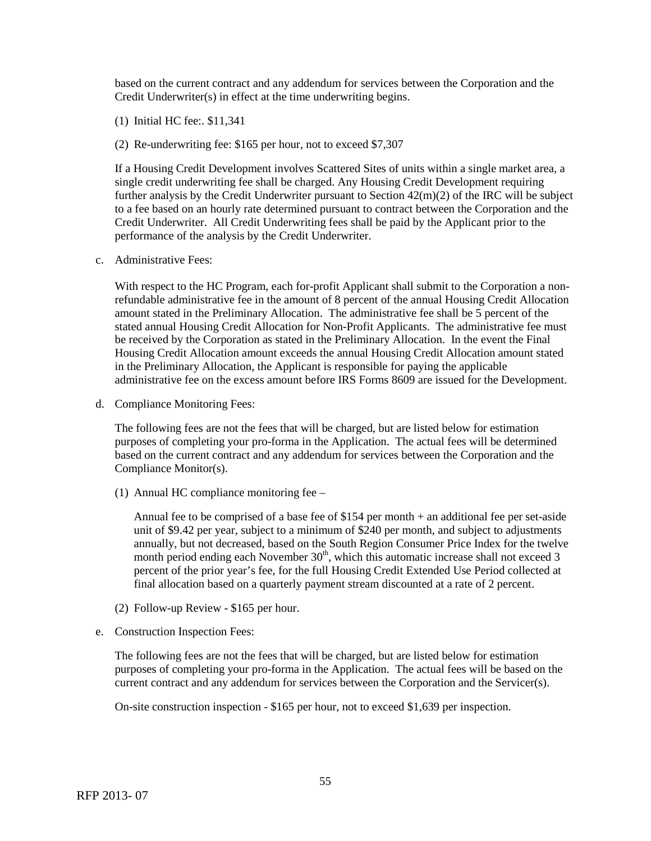based on the current contract and any addendum for services between the Corporation and the Credit Underwriter(s) in effect at the time underwriting begins.

- (1) Initial HC fee:. \$11,341
- (2) Re-underwriting fee: \$165 per hour, not to exceed \$7,307

If a Housing Credit Development involves Scattered Sites of units within a single market area, a single credit underwriting fee shall be charged. Any Housing Credit Development requiring further analysis by the Credit Underwriter pursuant to Section 42(m)(2) of the IRC will be subject to a fee based on an hourly rate determined pursuant to contract between the Corporation and the Credit Underwriter. All Credit Underwriting fees shall be paid by the Applicant prior to the performance of the analysis by the Credit Underwriter.

c. Administrative Fees:

With respect to the HC Program, each for-profit Applicant shall submit to the Corporation a nonrefundable administrative fee in the amount of 8 percent of the annual Housing Credit Allocation amount stated in the Preliminary Allocation. The administrative fee shall be 5 percent of the stated annual Housing Credit Allocation for Non-Profit Applicants. The administrative fee must be received by the Corporation as stated in the Preliminary Allocation. In the event the Final Housing Credit Allocation amount exceeds the annual Housing Credit Allocation amount stated in the Preliminary Allocation, the Applicant is responsible for paying the applicable administrative fee on the excess amount before IRS Forms 8609 are issued for the Development.

d. Compliance Monitoring Fees:

The following fees are not the fees that will be charged, but are listed below for estimation purposes of completing your pro-forma in the Application. The actual fees will be determined based on the current contract and any addendum for services between the Corporation and the Compliance Monitor(s).

(1) Annual HC compliance monitoring fee –

Annual fee to be comprised of a base fee of \$154 per month + an additional fee per set-aside unit of \$9.42 per year, subject to a minimum of \$240 per month, and subject to adjustments annually, but not decreased, based on the South Region Consumer Price Index for the twelve month period ending each November  $30<sup>th</sup>$ , which this automatic increase shall not exceed 3 percent of the prior year's fee, for the full Housing Credit Extended Use Period collected at final allocation based on a quarterly payment stream discounted at a rate of 2 percent.

- (2) Follow-up Review \$165 per hour.
- e. Construction Inspection Fees:

The following fees are not the fees that will be charged, but are listed below for estimation purposes of completing your pro-forma in the Application. The actual fees will be based on the current contract and any addendum for services between the Corporation and the Servicer(s).

On-site construction inspection - \$165 per hour, not to exceed \$1,639 per inspection.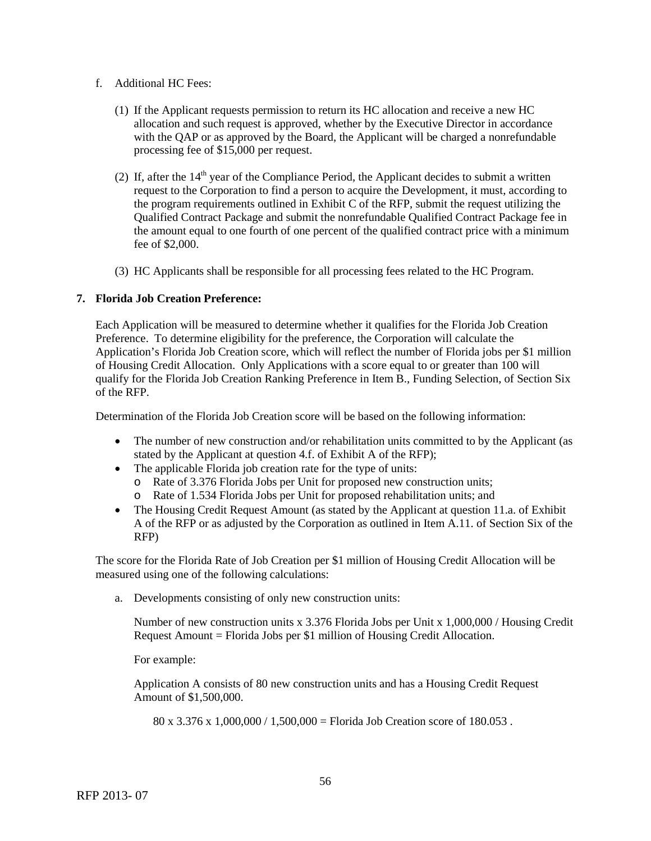- f. Additional HC Fees:
	- (1) If the Applicant requests permission to return its HC allocation and receive a new HC allocation and such request is approved, whether by the Executive Director in accordance with the QAP or as approved by the Board, the Applicant will be charged a nonrefundable processing fee of \$15,000 per request.
	- (2) If, after the  $14<sup>th</sup>$  year of the Compliance Period, the Applicant decides to submit a written request to the Corporation to find a person to acquire the Development, it must, according to the program requirements outlined in Exhibit C of the RFP, submit the request utilizing the Qualified Contract Package and submit the nonrefundable Qualified Contract Package fee in the amount equal to one fourth of one percent of the qualified contract price with a minimum fee of \$2,000.
	- (3) HC Applicants shall be responsible for all processing fees related to the HC Program.

# **7. Florida Job Creation Preference:**

Each Application will be measured to determine whether it qualifies for the Florida Job Creation Preference. To determine eligibility for the preference, the Corporation will calculate the Application's Florida Job Creation score, which will reflect the number of Florida jobs per \$1 million of Housing Credit Allocation. Only Applications with a score equal to or greater than 100 will qualify for the Florida Job Creation Ranking Preference in Item B., Funding Selection, of Section Six of the RFP.

Determination of the Florida Job Creation score will be based on the following information:

- The number of new construction and/or rehabilitation units committed to by the Applicant (as stated by the Applicant at question 4.f. of Exhibit A of the RFP);
- The applicable Florida job creation rate for the type of units:
	- o Rate of 3.376 Florida Jobs per Unit for proposed new construction units;
	- o Rate of 1.534 Florida Jobs per Unit for proposed rehabilitation units; and
- The Housing Credit Request Amount (as stated by the Applicant at question 11.a. of Exhibit A of the RFP or as adjusted by the Corporation as outlined in Item A.11. of Section Six of the RFP)

The score for the Florida Rate of Job Creation per \$1 million of Housing Credit Allocation will be measured using one of the following calculations:

a. Developments consisting of only new construction units:

Number of new construction units x 3.376 Florida Jobs per Unit x 1,000,000 / Housing Credit Request Amount = Florida Jobs per \$1 million of Housing Credit Allocation.

For example:

Application A consists of 80 new construction units and has a Housing Credit Request Amount of \$1,500,000.

80 x 3.376 x 1,000,000 / 1,500,000 = Florida Job Creation score of 180.053.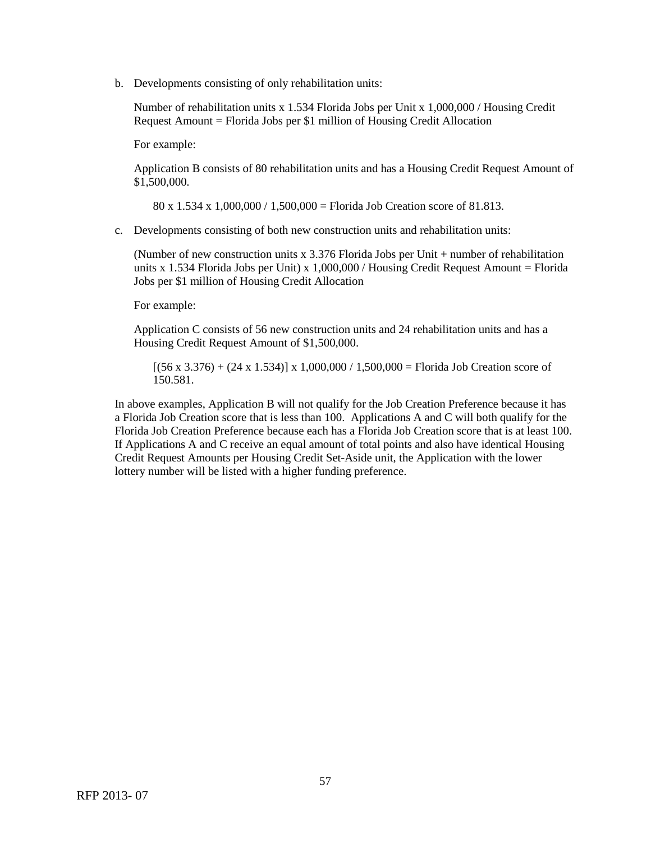b. Developments consisting of only rehabilitation units:

Number of rehabilitation units x 1.534 Florida Jobs per Unit x 1,000,000 / Housing Credit Request Amount = Florida Jobs per \$1 million of Housing Credit Allocation

For example:

Application B consists of 80 rehabilitation units and has a Housing Credit Request Amount of \$1,500,000.

80 x 1.534 x 1,000,000 / 1,500,000 = Florida Job Creation score of 81.813.

c. Developments consisting of both new construction units and rehabilitation units:

(Number of new construction units x 3.376 Florida Jobs per Unit + number of rehabilitation units x 1.534 Florida Jobs per Unit) x 1,000,000 / Housing Credit Request Amount = Florida Jobs per \$1 million of Housing Credit Allocation

For example:

Application C consists of 56 new construction units and 24 rehabilitation units and has a Housing Credit Request Amount of \$1,500,000.

 $[(56 \times 3.376) + (24 \times 1.534)] \times 1,000,000 / 1,500,000 =$  Florida Job Creation score of 150.581.

In above examples, Application B will not qualify for the Job Creation Preference because it has a Florida Job Creation score that is less than 100. Applications A and C will both qualify for the Florida Job Creation Preference because each has a Florida Job Creation score that is at least 100. If Applications A and C receive an equal amount of total points and also have identical Housing Credit Request Amounts per Housing Credit Set-Aside unit, the Application with the lower lottery number will be listed with a higher funding preference.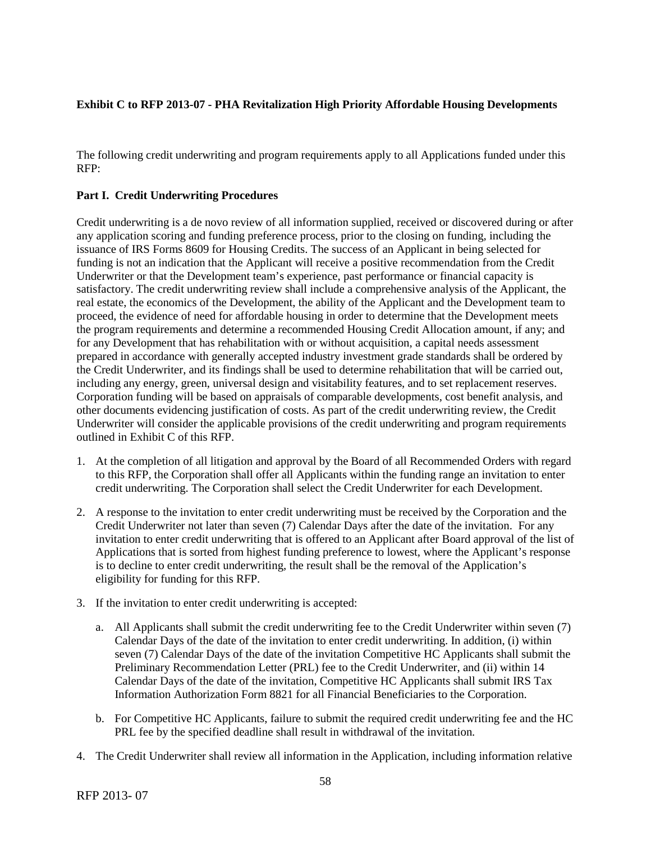# **Exhibit C to RFP 2013-07 - PHA Revitalization High Priority Affordable Housing Developments**

The following credit underwriting and program requirements apply to all Applications funded under this RFP:

# **Part I. Credit Underwriting Procedures**

Credit underwriting is a de novo review of all information supplied, received or discovered during or after any application scoring and funding preference process, prior to the closing on funding, including the issuance of IRS Forms 8609 for Housing Credits. The success of an Applicant in being selected for funding is not an indication that the Applicant will receive a positive recommendation from the Credit Underwriter or that the Development team's experience, past performance or financial capacity is satisfactory. The credit underwriting review shall include a comprehensive analysis of the Applicant, the real estate, the economics of the Development, the ability of the Applicant and the Development team to proceed, the evidence of need for affordable housing in order to determine that the Development meets the program requirements and determine a recommended Housing Credit Allocation amount, if any; and for any Development that has rehabilitation with or without acquisition, a capital needs assessment prepared in accordance with generally accepted industry investment grade standards shall be ordered by the Credit Underwriter, and its findings shall be used to determine rehabilitation that will be carried out, including any energy, green, universal design and visitability features, and to set replacement reserves. Corporation funding will be based on appraisals of comparable developments, cost benefit analysis, and other documents evidencing justification of costs. As part of the credit underwriting review, the Credit Underwriter will consider the applicable provisions of the credit underwriting and program requirements outlined in Exhibit C of this RFP.

- 1. At the completion of all litigation and approval by the Board of all Recommended Orders with regard to this RFP, the Corporation shall offer all Applicants within the funding range an invitation to enter credit underwriting. The Corporation shall select the Credit Underwriter for each Development.
- 2. A response to the invitation to enter credit underwriting must be received by the Corporation and the Credit Underwriter not later than seven (7) Calendar Days after the date of the invitation. For any invitation to enter credit underwriting that is offered to an Applicant after Board approval of the list of Applications that is sorted from highest funding preference to lowest, where the Applicant's response is to decline to enter credit underwriting, the result shall be the removal of the Application's eligibility for funding for this RFP.
- 3. If the invitation to enter credit underwriting is accepted:
	- a. All Applicants shall submit the credit underwriting fee to the Credit Underwriter within seven (7) Calendar Days of the date of the invitation to enter credit underwriting. In addition, (i) within seven (7) Calendar Days of the date of the invitation Competitive HC Applicants shall submit the Preliminary Recommendation Letter (PRL) fee to the Credit Underwriter, and (ii) within 14 Calendar Days of the date of the invitation, Competitive HC Applicants shall submit IRS Tax Information Authorization Form 8821 for all Financial Beneficiaries to the Corporation.
	- b. For Competitive HC Applicants, failure to submit the required credit underwriting fee and the HC PRL fee by the specified deadline shall result in withdrawal of the invitation.
- 4. The Credit Underwriter shall review all information in the Application, including information relative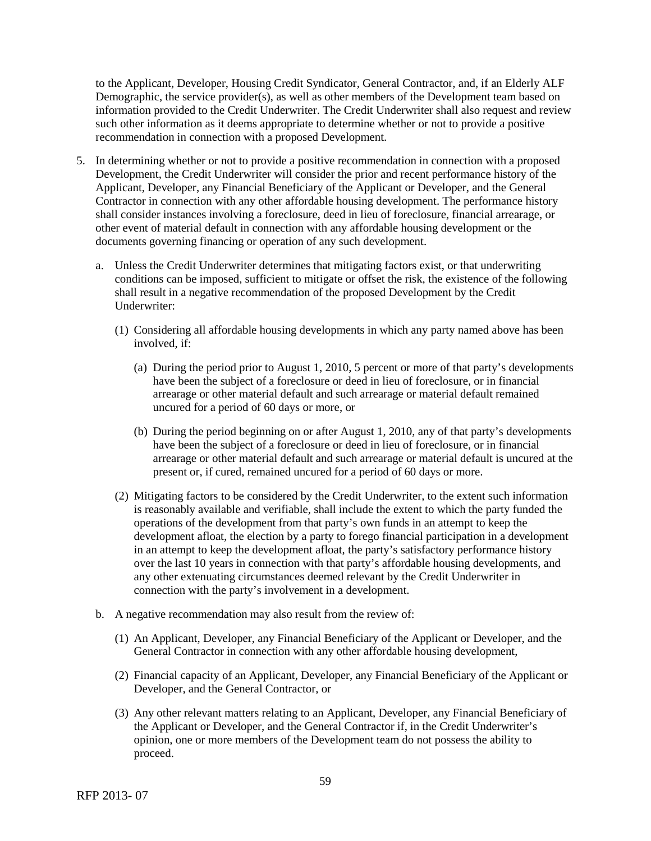to the Applicant, Developer, Housing Credit Syndicator, General Contractor, and, if an Elderly ALF Demographic, the service provider(s), as well as other members of the Development team based on information provided to the Credit Underwriter. The Credit Underwriter shall also request and review such other information as it deems appropriate to determine whether or not to provide a positive recommendation in connection with a proposed Development.

- 5. In determining whether or not to provide a positive recommendation in connection with a proposed Development, the Credit Underwriter will consider the prior and recent performance history of the Applicant, Developer, any Financial Beneficiary of the Applicant or Developer, and the General Contractor in connection with any other affordable housing development. The performance history shall consider instances involving a foreclosure, deed in lieu of foreclosure, financial arrearage, or other event of material default in connection with any affordable housing development or the documents governing financing or operation of any such development.
	- a. Unless the Credit Underwriter determines that mitigating factors exist, or that underwriting conditions can be imposed, sufficient to mitigate or offset the risk, the existence of the following shall result in a negative recommendation of the proposed Development by the Credit Underwriter:
		- (1) Considering all affordable housing developments in which any party named above has been involved, if:
			- (a) During the period prior to August 1, 2010, 5 percent or more of that party's developments have been the subject of a foreclosure or deed in lieu of foreclosure, or in financial arrearage or other material default and such arrearage or material default remained uncured for a period of 60 days or more, or
			- (b) During the period beginning on or after August 1, 2010, any of that party's developments have been the subject of a foreclosure or deed in lieu of foreclosure, or in financial arrearage or other material default and such arrearage or material default is uncured at the present or, if cured, remained uncured for a period of 60 days or more.
		- (2) Mitigating factors to be considered by the Credit Underwriter, to the extent such information is reasonably available and verifiable, shall include the extent to which the party funded the operations of the development from that party's own funds in an attempt to keep the development afloat, the election by a party to forego financial participation in a development in an attempt to keep the development afloat, the party's satisfactory performance history over the last 10 years in connection with that party's affordable housing developments, and any other extenuating circumstances deemed relevant by the Credit Underwriter in connection with the party's involvement in a development.
	- b. A negative recommendation may also result from the review of:
		- (1) An Applicant, Developer, any Financial Beneficiary of the Applicant or Developer, and the General Contractor in connection with any other affordable housing development,
		- (2) Financial capacity of an Applicant, Developer, any Financial Beneficiary of the Applicant or Developer, and the General Contractor, or
		- (3) Any other relevant matters relating to an Applicant, Developer, any Financial Beneficiary of the Applicant or Developer, and the General Contractor if, in the Credit Underwriter's opinion, one or more members of the Development team do not possess the ability to proceed.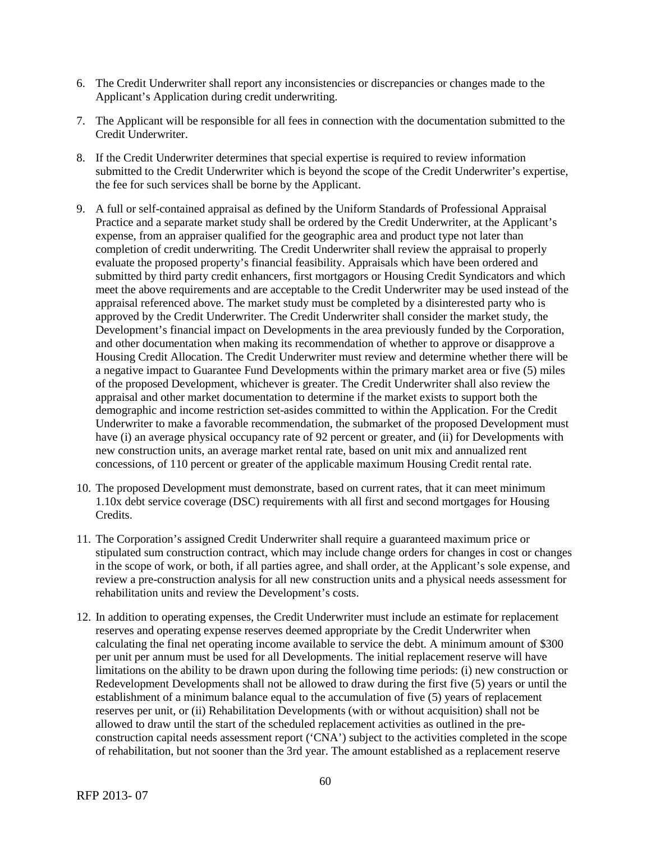- 6. The Credit Underwriter shall report any inconsistencies or discrepancies or changes made to the Applicant's Application during credit underwriting.
- 7. The Applicant will be responsible for all fees in connection with the documentation submitted to the Credit Underwriter.
- 8. If the Credit Underwriter determines that special expertise is required to review information submitted to the Credit Underwriter which is beyond the scope of the Credit Underwriter's expertise, the fee for such services shall be borne by the Applicant.
- 9. A full or self-contained appraisal as defined by the Uniform Standards of Professional Appraisal Practice and a separate market study shall be ordered by the Credit Underwriter, at the Applicant's expense, from an appraiser qualified for the geographic area and product type not later than completion of credit underwriting. The Credit Underwriter shall review the appraisal to properly evaluate the proposed property's financial feasibility. Appraisals which have been ordered and submitted by third party credit enhancers, first mortgagors or Housing Credit Syndicators and which meet the above requirements and are acceptable to the Credit Underwriter may be used instead of the appraisal referenced above. The market study must be completed by a disinterested party who is approved by the Credit Underwriter. The Credit Underwriter shall consider the market study, the Development's financial impact on Developments in the area previously funded by the Corporation, and other documentation when making its recommendation of whether to approve or disapprove a Housing Credit Allocation. The Credit Underwriter must review and determine whether there will be a negative impact to Guarantee Fund Developments within the primary market area or five (5) miles of the proposed Development, whichever is greater. The Credit Underwriter shall also review the appraisal and other market documentation to determine if the market exists to support both the demographic and income restriction set-asides committed to within the Application. For the Credit Underwriter to make a favorable recommendation, the submarket of the proposed Development must have (i) an average physical occupancy rate of 92 percent or greater, and (ii) for Developments with new construction units, an average market rental rate, based on unit mix and annualized rent concessions, of 110 percent or greater of the applicable maximum Housing Credit rental rate.
- 10. The proposed Development must demonstrate, based on current rates, that it can meet minimum 1.10x debt service coverage (DSC) requirements with all first and second mortgages for Housing Credits.
- 11. The Corporation's assigned Credit Underwriter shall require a guaranteed maximum price or stipulated sum construction contract, which may include change orders for changes in cost or changes in the scope of work, or both, if all parties agree, and shall order, at the Applicant's sole expense, and review a pre-construction analysis for all new construction units and a physical needs assessment for rehabilitation units and review the Development's costs.
- 12. In addition to operating expenses, the Credit Underwriter must include an estimate for replacement reserves and operating expense reserves deemed appropriate by the Credit Underwriter when calculating the final net operating income available to service the debt. A minimum amount of \$300 per unit per annum must be used for all Developments. The initial replacement reserve will have limitations on the ability to be drawn upon during the following time periods: (i) new construction or Redevelopment Developments shall not be allowed to draw during the first five (5) years or until the establishment of a minimum balance equal to the accumulation of five (5) years of replacement reserves per unit, or (ii) Rehabilitation Developments (with or without acquisition) shall not be allowed to draw until the start of the scheduled replacement activities as outlined in the preconstruction capital needs assessment report ('CNA') subject to the activities completed in the scope of rehabilitation, but not sooner than the 3rd year. The amount established as a replacement reserve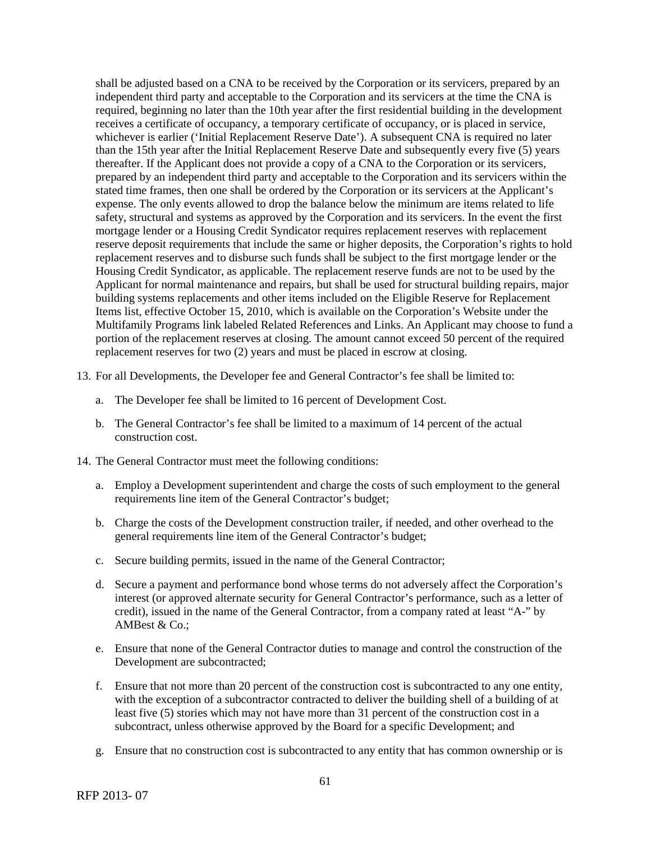shall be adjusted based on a CNA to be received by the Corporation or its servicers, prepared by an independent third party and acceptable to the Corporation and its servicers at the time the CNA is required, beginning no later than the 10th year after the first residential building in the development receives a certificate of occupancy, a temporary certificate of occupancy, or is placed in service, whichever is earlier ('Initial Replacement Reserve Date'). A subsequent CNA is required no later than the 15th year after the Initial Replacement Reserve Date and subsequently every five (5) years thereafter. If the Applicant does not provide a copy of a CNA to the Corporation or its servicers, prepared by an independent third party and acceptable to the Corporation and its servicers within the stated time frames, then one shall be ordered by the Corporation or its servicers at the Applicant's expense. The only events allowed to drop the balance below the minimum are items related to life safety, structural and systems as approved by the Corporation and its servicers. In the event the first mortgage lender or a Housing Credit Syndicator requires replacement reserves with replacement reserve deposit requirements that include the same or higher deposits, the Corporation's rights to hold replacement reserves and to disburse such funds shall be subject to the first mortgage lender or the Housing Credit Syndicator, as applicable. The replacement reserve funds are not to be used by the Applicant for normal maintenance and repairs, but shall be used for structural building repairs, major building systems replacements and other items included on the Eligible Reserve for Replacement Items list, effective October 15, 2010, which is available on the Corporation's Website under the Multifamily Programs link labeled Related References and Links. An Applicant may choose to fund a portion of the replacement reserves at closing. The amount cannot exceed 50 percent of the required replacement reserves for two (2) years and must be placed in escrow at closing.

- 13. For all Developments, the Developer fee and General Contractor's fee shall be limited to:
	- a. The Developer fee shall be limited to 16 percent of Development Cost.
	- b. The General Contractor's fee shall be limited to a maximum of 14 percent of the actual construction cost.
- 14. The General Contractor must meet the following conditions:
	- a. Employ a Development superintendent and charge the costs of such employment to the general requirements line item of the General Contractor's budget;
	- b. Charge the costs of the Development construction trailer, if needed, and other overhead to the general requirements line item of the General Contractor's budget;
	- c. Secure building permits, issued in the name of the General Contractor;
	- d. Secure a payment and performance bond whose terms do not adversely affect the Corporation's interest (or approved alternate security for General Contractor's performance, such as a letter of credit), issued in the name of the General Contractor, from a company rated at least "A-" by AMBest & Co.;
	- e. Ensure that none of the General Contractor duties to manage and control the construction of the Development are subcontracted;
	- f. Ensure that not more than 20 percent of the construction cost is subcontracted to any one entity, with the exception of a subcontractor contracted to deliver the building shell of a building of at least five (5) stories which may not have more than 31 percent of the construction cost in a subcontract, unless otherwise approved by the Board for a specific Development; and
	- g. Ensure that no construction cost is subcontracted to any entity that has common ownership or is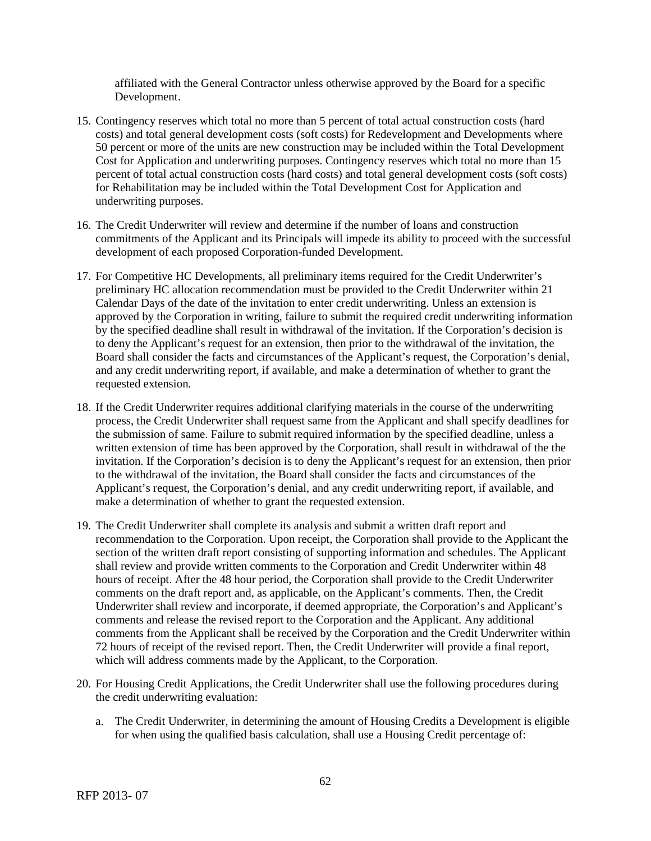affiliated with the General Contractor unless otherwise approved by the Board for a specific Development.

- 15. Contingency reserves which total no more than 5 percent of total actual construction costs (hard costs) and total general development costs (soft costs) for Redevelopment and Developments where 50 percent or more of the units are new construction may be included within the Total Development Cost for Application and underwriting purposes. Contingency reserves which total no more than 15 percent of total actual construction costs (hard costs) and total general development costs (soft costs) for Rehabilitation may be included within the Total Development Cost for Application and underwriting purposes.
- 16. The Credit Underwriter will review and determine if the number of loans and construction commitments of the Applicant and its Principals will impede its ability to proceed with the successful development of each proposed Corporation-funded Development.
- 17. For Competitive HC Developments, all preliminary items required for the Credit Underwriter's preliminary HC allocation recommendation must be provided to the Credit Underwriter within 21 Calendar Days of the date of the invitation to enter credit underwriting. Unless an extension is approved by the Corporation in writing, failure to submit the required credit underwriting information by the specified deadline shall result in withdrawal of the invitation. If the Corporation's decision is to deny the Applicant's request for an extension, then prior to the withdrawal of the invitation, the Board shall consider the facts and circumstances of the Applicant's request, the Corporation's denial, and any credit underwriting report, if available, and make a determination of whether to grant the requested extension.
- 18. If the Credit Underwriter requires additional clarifying materials in the course of the underwriting process, the Credit Underwriter shall request same from the Applicant and shall specify deadlines for the submission of same. Failure to submit required information by the specified deadline, unless a written extension of time has been approved by the Corporation, shall result in withdrawal of the the invitation. If the Corporation's decision is to deny the Applicant's request for an extension, then prior to the withdrawal of the invitation, the Board shall consider the facts and circumstances of the Applicant's request, the Corporation's denial, and any credit underwriting report, if available, and make a determination of whether to grant the requested extension.
- 19. The Credit Underwriter shall complete its analysis and submit a written draft report and recommendation to the Corporation. Upon receipt, the Corporation shall provide to the Applicant the section of the written draft report consisting of supporting information and schedules. The Applicant shall review and provide written comments to the Corporation and Credit Underwriter within 48 hours of receipt. After the 48 hour period, the Corporation shall provide to the Credit Underwriter comments on the draft report and, as applicable, on the Applicant's comments. Then, the Credit Underwriter shall review and incorporate, if deemed appropriate, the Corporation's and Applicant's comments and release the revised report to the Corporation and the Applicant. Any additional comments from the Applicant shall be received by the Corporation and the Credit Underwriter within 72 hours of receipt of the revised report. Then, the Credit Underwriter will provide a final report, which will address comments made by the Applicant, to the Corporation.
- 20. For Housing Credit Applications, the Credit Underwriter shall use the following procedures during the credit underwriting evaluation:
	- a. The Credit Underwriter, in determining the amount of Housing Credits a Development is eligible for when using the qualified basis calculation, shall use a Housing Credit percentage of: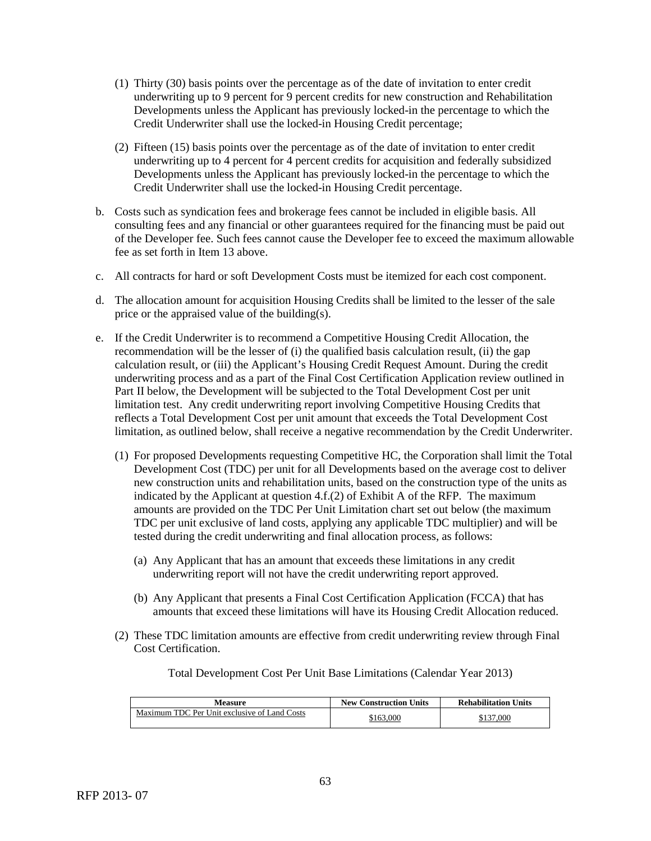- (1) Thirty (30) basis points over the percentage as of the date of invitation to enter credit underwriting up to 9 percent for 9 percent credits for new construction and Rehabilitation Developments unless the Applicant has previously locked-in the percentage to which the Credit Underwriter shall use the locked-in Housing Credit percentage;
- (2) Fifteen (15) basis points over the percentage as of the date of invitation to enter credit underwriting up to 4 percent for 4 percent credits for acquisition and federally subsidized Developments unless the Applicant has previously locked-in the percentage to which the Credit Underwriter shall use the locked-in Housing Credit percentage.
- b. Costs such as syndication fees and brokerage fees cannot be included in eligible basis. All consulting fees and any financial or other guarantees required for the financing must be paid out of the Developer fee. Such fees cannot cause the Developer fee to exceed the maximum allowable fee as set forth in Item 13 above.
- c. All contracts for hard or soft Development Costs must be itemized for each cost component.
- d. The allocation amount for acquisition Housing Credits shall be limited to the lesser of the sale price or the appraised value of the building(s).
- e. If the Credit Underwriter is to recommend a Competitive Housing Credit Allocation, the recommendation will be the lesser of (i) the qualified basis calculation result, (ii) the gap calculation result, or (iii) the Applicant's Housing Credit Request Amount. During the credit underwriting process and as a part of the Final Cost Certification Application review outlined in Part II below, the Development will be subjected to the Total Development Cost per unit limitation test. Any credit underwriting report involving Competitive Housing Credits that reflects a Total Development Cost per unit amount that exceeds the Total Development Cost limitation, as outlined below, shall receive a negative recommendation by the Credit Underwriter.
	- (1) For proposed Developments requesting Competitive HC, the Corporation shall limit the Total Development Cost (TDC) per unit for all Developments based on the average cost to deliver new construction units and rehabilitation units, based on the construction type of the units as indicated by the Applicant at question  $4.f.$  (2) of Exhibit A of the RFP. The maximum amounts are provided on the TDC Per Unit Limitation chart set out below (the maximum TDC per unit exclusive of land costs, applying any applicable TDC multiplier) and will be tested during the credit underwriting and final allocation process, as follows:
		- (a) Any Applicant that has an amount that exceeds these limitations in any credit underwriting report will not have the credit underwriting report approved.
		- (b) Any Applicant that presents a Final Cost Certification Application (FCCA) that has amounts that exceed these limitations will have its Housing Credit Allocation reduced.
	- (2) These TDC limitation amounts are effective from credit underwriting review through Final Cost Certification.

| Measure                                      | <b>New Construction Units</b> | <b>Rehabilitation Units</b> |
|----------------------------------------------|-------------------------------|-----------------------------|
| Maximum TDC Per Unit exclusive of Land Costs | \$163.000                     | \$137.000                   |

Total Development Cost Per Unit Base Limitations (Calendar Year 2013)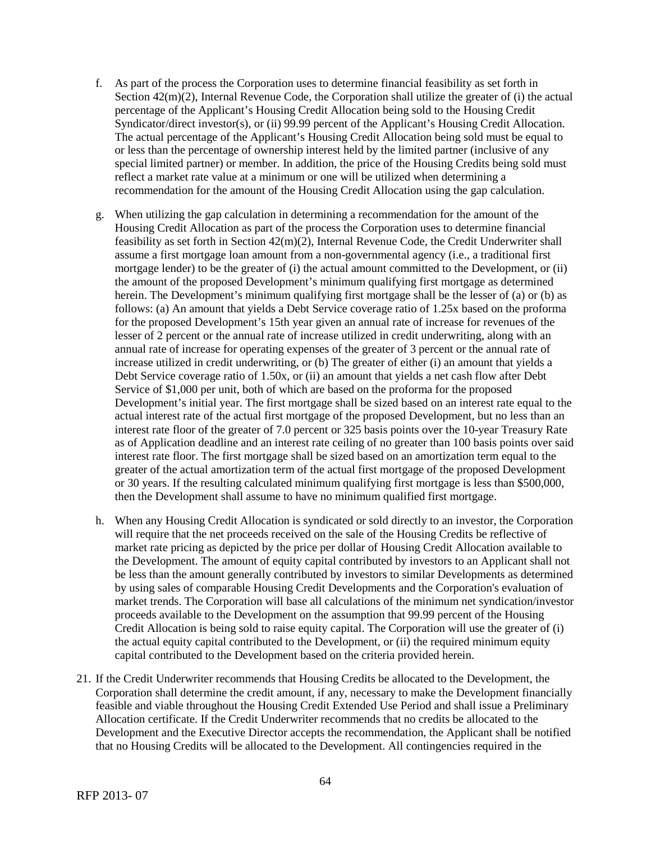- f. As part of the process the Corporation uses to determine financial feasibility as set forth in Section  $42(m)(2)$ , Internal Revenue Code, the Corporation shall utilize the greater of (i) the actual percentage of the Applicant's Housing Credit Allocation being sold to the Housing Credit Syndicator/direct investor(s), or (ii) 99.99 percent of the Applicant's Housing Credit Allocation. The actual percentage of the Applicant's Housing Credit Allocation being sold must be equal to or less than the percentage of ownership interest held by the limited partner (inclusive of any special limited partner) or member. In addition, the price of the Housing Credits being sold must reflect a market rate value at a minimum or one will be utilized when determining a recommendation for the amount of the Housing Credit Allocation using the gap calculation.
- g. When utilizing the gap calculation in determining a recommendation for the amount of the Housing Credit Allocation as part of the process the Corporation uses to determine financial feasibility as set forth in Section 42(m)(2), Internal Revenue Code, the Credit Underwriter shall assume a first mortgage loan amount from a non-governmental agency (i.e., a traditional first mortgage lender) to be the greater of (i) the actual amount committed to the Development, or (ii) the amount of the proposed Development's minimum qualifying first mortgage as determined herein. The Development's minimum qualifying first mortgage shall be the lesser of (a) or (b) as follows: (a) An amount that yields a Debt Service coverage ratio of 1.25x based on the proforma for the proposed Development's 15th year given an annual rate of increase for revenues of the lesser of 2 percent or the annual rate of increase utilized in credit underwriting, along with an annual rate of increase for operating expenses of the greater of 3 percent or the annual rate of increase utilized in credit underwriting, or (b) The greater of either (i) an amount that yields a Debt Service coverage ratio of 1.50x, or (ii) an amount that yields a net cash flow after Debt Service of \$1,000 per unit, both of which are based on the proforma for the proposed Development's initial year. The first mortgage shall be sized based on an interest rate equal to the actual interest rate of the actual first mortgage of the proposed Development, but no less than an interest rate floor of the greater of 7.0 percent or 325 basis points over the 10-year Treasury Rate as of Application deadline and an interest rate ceiling of no greater than 100 basis points over said interest rate floor. The first mortgage shall be sized based on an amortization term equal to the greater of the actual amortization term of the actual first mortgage of the proposed Development or 30 years. If the resulting calculated minimum qualifying first mortgage is less than \$500,000, then the Development shall assume to have no minimum qualified first mortgage.
- h. When any Housing Credit Allocation is syndicated or sold directly to an investor, the Corporation will require that the net proceeds received on the sale of the Housing Credits be reflective of market rate pricing as depicted by the price per dollar of Housing Credit Allocation available to the Development. The amount of equity capital contributed by investors to an Applicant shall not be less than the amount generally contributed by investors to similar Developments as determined by using sales of comparable Housing Credit Developments and the Corporation's evaluation of market trends. The Corporation will base all calculations of the minimum net syndication/investor proceeds available to the Development on the assumption that 99.99 percent of the Housing Credit Allocation is being sold to raise equity capital. The Corporation will use the greater of (i) the actual equity capital contributed to the Development, or (ii) the required minimum equity capital contributed to the Development based on the criteria provided herein.
- 21. If the Credit Underwriter recommends that Housing Credits be allocated to the Development, the Corporation shall determine the credit amount, if any, necessary to make the Development financially feasible and viable throughout the Housing Credit Extended Use Period and shall issue a Preliminary Allocation certificate. If the Credit Underwriter recommends that no credits be allocated to the Development and the Executive Director accepts the recommendation, the Applicant shall be notified that no Housing Credits will be allocated to the Development. All contingencies required in the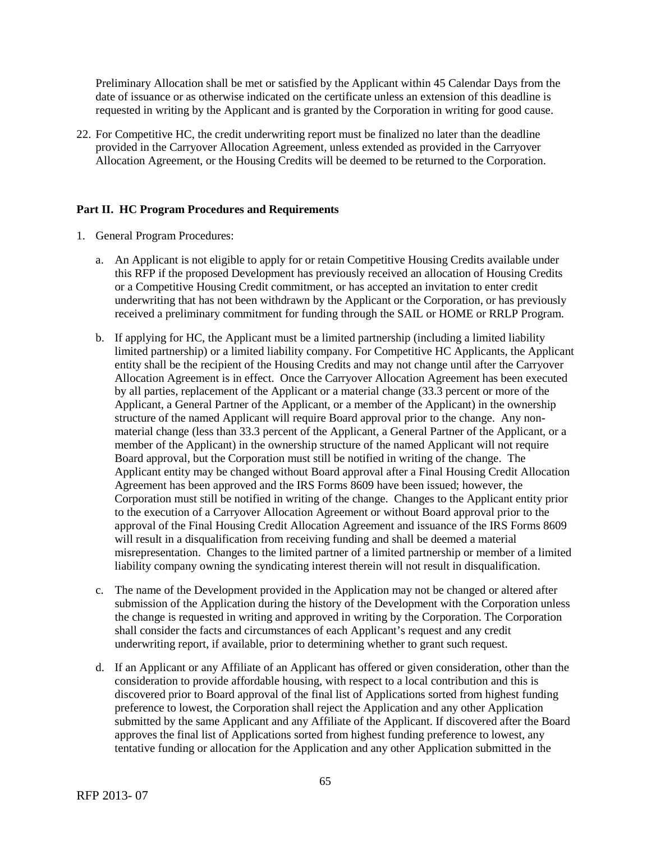Preliminary Allocation shall be met or satisfied by the Applicant within 45 Calendar Days from the date of issuance or as otherwise indicated on the certificate unless an extension of this deadline is requested in writing by the Applicant and is granted by the Corporation in writing for good cause.

22. For Competitive HC, the credit underwriting report must be finalized no later than the deadline provided in the Carryover Allocation Agreement, unless extended as provided in the Carryover Allocation Agreement, or the Housing Credits will be deemed to be returned to the Corporation.

### **Part II. HC Program Procedures and Requirements**

- 1. General Program Procedures:
	- a. An Applicant is not eligible to apply for or retain Competitive Housing Credits available under this RFP if the proposed Development has previously received an allocation of Housing Credits or a Competitive Housing Credit commitment, or has accepted an invitation to enter credit underwriting that has not been withdrawn by the Applicant or the Corporation, or has previously received a preliminary commitment for funding through the SAIL or HOME or RRLP Program.
	- b. If applying for HC, the Applicant must be a limited partnership (including a limited liability limited partnership) or a limited liability company. For Competitive HC Applicants, the Applicant entity shall be the recipient of the Housing Credits and may not change until after the Carryover Allocation Agreement is in effect. Once the Carryover Allocation Agreement has been executed by all parties, replacement of the Applicant or a material change (33.3 percent or more of the Applicant, a General Partner of the Applicant, or a member of the Applicant) in the ownership structure of the named Applicant will require Board approval prior to the change. Any nonmaterial change (less than 33.3 percent of the Applicant, a General Partner of the Applicant, or a member of the Applicant) in the ownership structure of the named Applicant will not require Board approval, but the Corporation must still be notified in writing of the change. The Applicant entity may be changed without Board approval after a Final Housing Credit Allocation Agreement has been approved and the IRS Forms 8609 have been issued; however, the Corporation must still be notified in writing of the change. Changes to the Applicant entity prior to the execution of a Carryover Allocation Agreement or without Board approval prior to the approval of the Final Housing Credit Allocation Agreement and issuance of the IRS Forms 8609 will result in a disqualification from receiving funding and shall be deemed a material misrepresentation. Changes to the limited partner of a limited partnership or member of a limited liability company owning the syndicating interest therein will not result in disqualification.
	- c. The name of the Development provided in the Application may not be changed or altered after submission of the Application during the history of the Development with the Corporation unless the change is requested in writing and approved in writing by the Corporation. The Corporation shall consider the facts and circumstances of each Applicant's request and any credit underwriting report, if available, prior to determining whether to grant such request.
	- d. If an Applicant or any Affiliate of an Applicant has offered or given consideration, other than the consideration to provide affordable housing, with respect to a local contribution and this is discovered prior to Board approval of the final list of Applications sorted from highest funding preference to lowest, the Corporation shall reject the Application and any other Application submitted by the same Applicant and any Affiliate of the Applicant. If discovered after the Board approves the final list of Applications sorted from highest funding preference to lowest, any tentative funding or allocation for the Application and any other Application submitted in the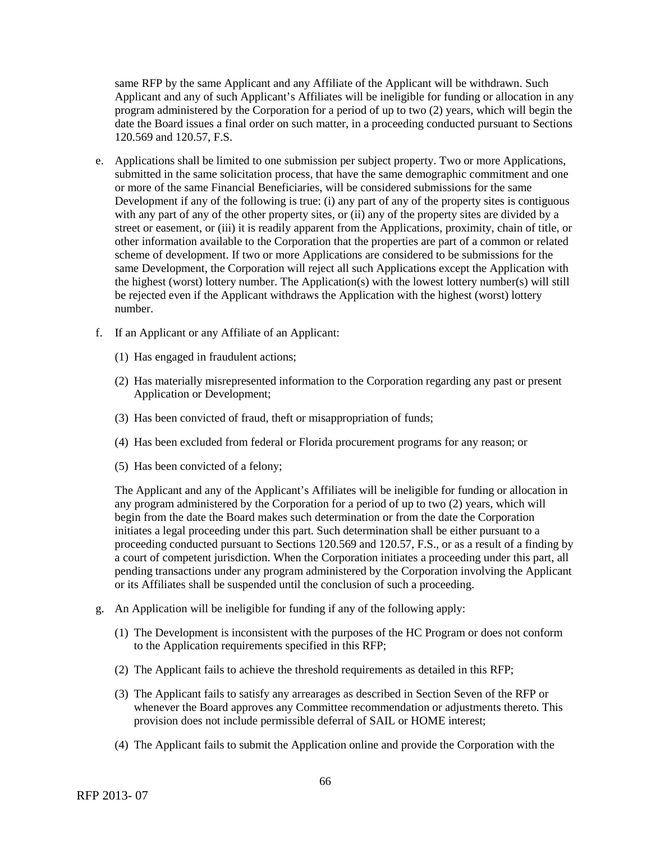same RFP by the same Applicant and any Affiliate of the Applicant will be withdrawn. Such Applicant and any of such Applicant's Affiliates will be ineligible for funding or allocation in any program administered by the Corporation for a period of up to two (2) years, which will begin the date the Board issues a final order on such matter, in a proceeding conducted pursuant to Sections 120.569 and 120.57, F.S.

- e. Applications shall be limited to one submission per subject property. Two or more Applications, submitted in the same solicitation process, that have the same demographic commitment and one or more of the same Financial Beneficiaries, will be considered submissions for the same Development if any of the following is true: (i) any part of any of the property sites is contiguous with any part of any of the other property sites, or (ii) any of the property sites are divided by a street or easement, or (iii) it is readily apparent from the Applications, proximity, chain of title, or other information available to the Corporation that the properties are part of a common or related scheme of development. If two or more Applications are considered to be submissions for the same Development, the Corporation will reject all such Applications except the Application with the highest (worst) lottery number. The Application(s) with the lowest lottery number(s) will still be rejected even if the Applicant withdraws the Application with the highest (worst) lottery number.
- f. If an Applicant or any Affiliate of an Applicant:
	- (1) Has engaged in fraudulent actions;
	- (2) Has materially misrepresented information to the Corporation regarding any past or present Application or Development;
	- (3) Has been convicted of fraud, theft or misappropriation of funds;
	- (4) Has been excluded from federal or Florida procurement programs for any reason; or
	- (5) Has been convicted of a felony;

The Applicant and any of the Applicant's Affiliates will be ineligible for funding or allocation in any program administered by the Corporation for a period of up to two (2) years, which will begin from the date the Board makes such determination or from the date the Corporation initiates a legal proceeding under this part. Such determination shall be either pursuant to a proceeding conducted pursuant to Sections 120.569 and 120.57, F.S., or as a result of a finding by a court of competent jurisdiction. When the Corporation initiates a proceeding under this part, all pending transactions under any program administered by the Corporation involving the Applicant or its Affiliates shall be suspended until the conclusion of such a proceeding.

- g. An Application will be ineligible for funding if any of the following apply:
	- (1) The Development is inconsistent with the purposes of the HC Program or does not conform to the Application requirements specified in this RFP;
	- (2) The Applicant fails to achieve the threshold requirements as detailed in this RFP;
	- (3) The Applicant fails to satisfy any arrearages as described in Section Seven of the RFP or whenever the Board approves any Committee recommendation or adjustments thereto. This provision does not include permissible deferral of SAIL or HOME interest;
	- (4) The Applicant fails to submit the Application online and provide the Corporation with the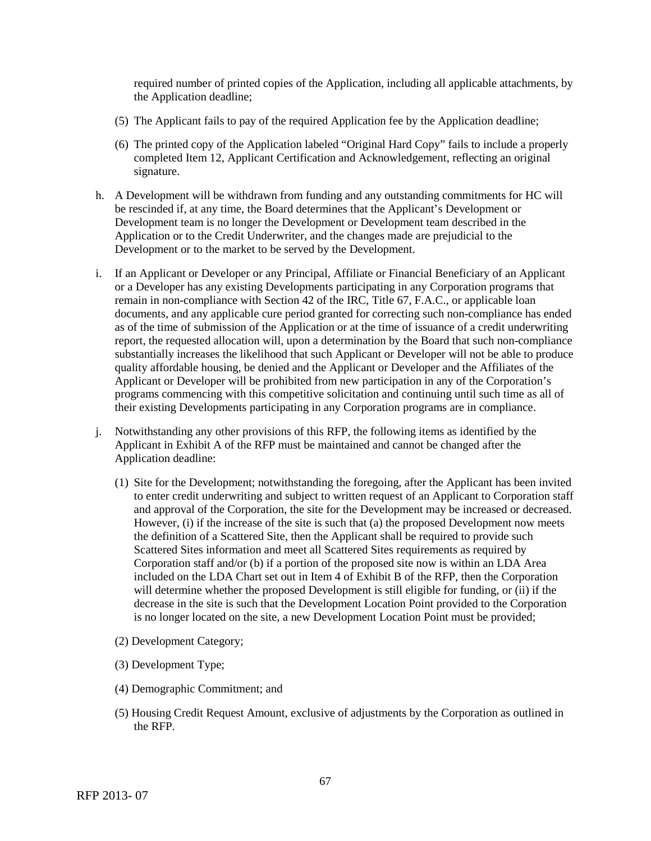required number of printed copies of the Application, including all applicable attachments, by the Application deadline;

- (5) The Applicant fails to pay of the required Application fee by the Application deadline;
- (6) The printed copy of the Application labeled "Original Hard Copy" fails to include a properly completed Item 12, Applicant Certification and Acknowledgement, reflecting an original signature.
- h. A Development will be withdrawn from funding and any outstanding commitments for HC will be rescinded if, at any time, the Board determines that the Applicant's Development or Development team is no longer the Development or Development team described in the Application or to the Credit Underwriter, and the changes made are prejudicial to the Development or to the market to be served by the Development.
- i. If an Applicant or Developer or any Principal, Affiliate or Financial Beneficiary of an Applicant or a Developer has any existing Developments participating in any Corporation programs that remain in non-compliance with Section 42 of the IRC, Title 67, F.A.C., or applicable loan documents, and any applicable cure period granted for correcting such non-compliance has ended as of the time of submission of the Application or at the time of issuance of a credit underwriting report, the requested allocation will, upon a determination by the Board that such non-compliance substantially increases the likelihood that such Applicant or Developer will not be able to produce quality affordable housing, be denied and the Applicant or Developer and the Affiliates of the Applicant or Developer will be prohibited from new participation in any of the Corporation's programs commencing with this competitive solicitation and continuing until such time as all of their existing Developments participating in any Corporation programs are in compliance.
- j. Notwithstanding any other provisions of this RFP, the following items as identified by the Applicant in Exhibit A of the RFP must be maintained and cannot be changed after the Application deadline:
	- (1) Site for the Development; notwithstanding the foregoing, after the Applicant has been invited to enter credit underwriting and subject to written request of an Applicant to Corporation staff and approval of the Corporation, the site for the Development may be increased or decreased. However, (i) if the increase of the site is such that (a) the proposed Development now meets the definition of a Scattered Site, then the Applicant shall be required to provide such Scattered Sites information and meet all Scattered Sites requirements as required by Corporation staff and/or (b) if a portion of the proposed site now is within an LDA Area included on the LDA Chart set out in Item 4 of Exhibit B of the RFP, then the Corporation will determine whether the proposed Development is still eligible for funding, or (ii) if the decrease in the site is such that the Development Location Point provided to the Corporation is no longer located on the site, a new Development Location Point must be provided;
	- (2) Development Category;
	- (3) Development Type;
	- (4) Demographic Commitment; and
	- (5) Housing Credit Request Amount, exclusive of adjustments by the Corporation as outlined in the RFP.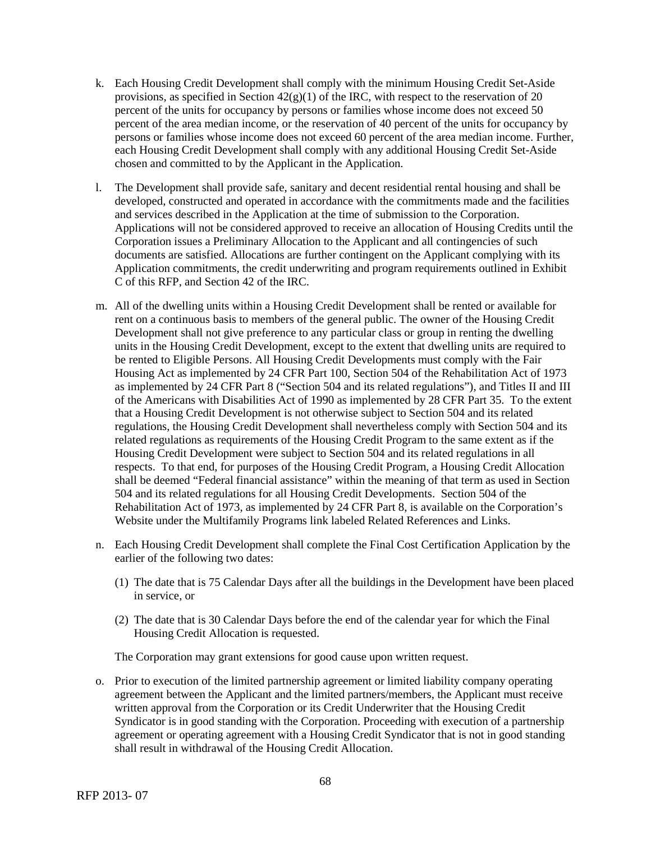- k. Each Housing Credit Development shall comply with the minimum Housing Credit Set-Aside provisions, as specified in Section  $42(g)(1)$  of the IRC, with respect to the reservation of 20 percent of the units for occupancy by persons or families whose income does not exceed 50 percent of the area median income, or the reservation of 40 percent of the units for occupancy by persons or families whose income does not exceed 60 percent of the area median income. Further, each Housing Credit Development shall comply with any additional Housing Credit Set-Aside chosen and committed to by the Applicant in the Application.
- l. The Development shall provide safe, sanitary and decent residential rental housing and shall be developed, constructed and operated in accordance with the commitments made and the facilities and services described in the Application at the time of submission to the Corporation. Applications will not be considered approved to receive an allocation of Housing Credits until the Corporation issues a Preliminary Allocation to the Applicant and all contingencies of such documents are satisfied. Allocations are further contingent on the Applicant complying with its Application commitments, the credit underwriting and program requirements outlined in Exhibit C of this RFP, and Section 42 of the IRC.
- m. All of the dwelling units within a Housing Credit Development shall be rented or available for rent on a continuous basis to members of the general public. The owner of the Housing Credit Development shall not give preference to any particular class or group in renting the dwelling units in the Housing Credit Development, except to the extent that dwelling units are required to be rented to Eligible Persons. All Housing Credit Developments must comply with the Fair Housing Act as implemented by 24 CFR Part 100, Section 504 of the Rehabilitation Act of 1973 as implemented by 24 CFR Part 8 ("Section 504 and its related regulations"), and Titles II and III of the Americans with Disabilities Act of 1990 as implemented by 28 CFR Part 35. To the extent that a Housing Credit Development is not otherwise subject to Section 504 and its related regulations, the Housing Credit Development shall nevertheless comply with Section 504 and its related regulations as requirements of the Housing Credit Program to the same extent as if the Housing Credit Development were subject to Section 504 and its related regulations in all respects. To that end, for purposes of the Housing Credit Program, a Housing Credit Allocation shall be deemed "Federal financial assistance" within the meaning of that term as used in Section 504 and its related regulations for all Housing Credit Developments. Section 504 of the Rehabilitation Act of 1973, as implemented by 24 CFR Part 8, is available on the Corporation's Website under the Multifamily Programs link labeled Related References and Links.
- n. Each Housing Credit Development shall complete the Final Cost Certification Application by the earlier of the following two dates:
	- (1) The date that is 75 Calendar Days after all the buildings in the Development have been placed in service, or
	- (2) The date that is 30 Calendar Days before the end of the calendar year for which the Final Housing Credit Allocation is requested.

The Corporation may grant extensions for good cause upon written request.

o. Prior to execution of the limited partnership agreement or limited liability company operating agreement between the Applicant and the limited partners/members, the Applicant must receive written approval from the Corporation or its Credit Underwriter that the Housing Credit Syndicator is in good standing with the Corporation. Proceeding with execution of a partnership agreement or operating agreement with a Housing Credit Syndicator that is not in good standing shall result in withdrawal of the Housing Credit Allocation.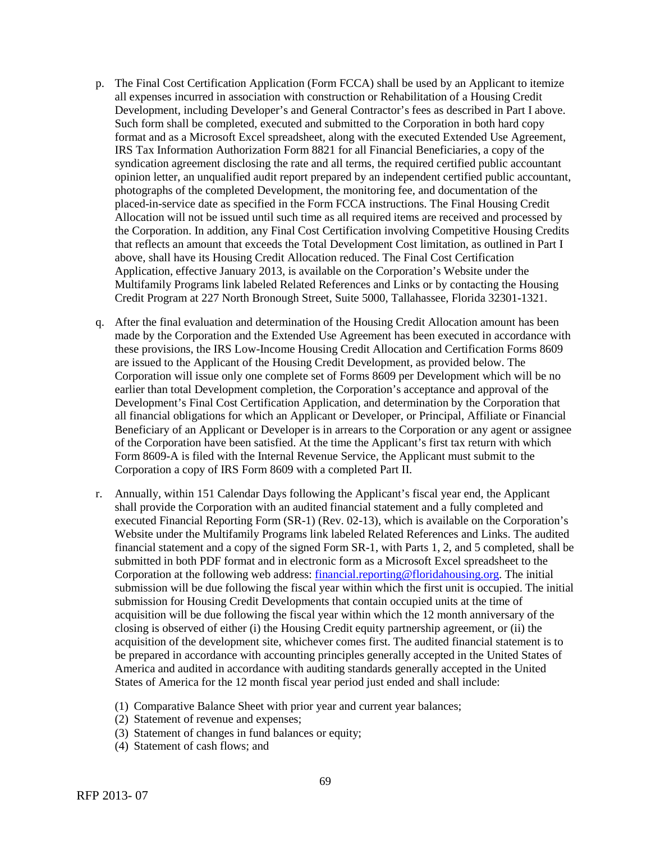- p. The Final Cost Certification Application (Form FCCA) shall be used by an Applicant to itemize all expenses incurred in association with construction or Rehabilitation of a Housing Credit Development, including Developer's and General Contractor's fees as described in Part I above. Such form shall be completed, executed and submitted to the Corporation in both hard copy format and as a Microsoft Excel spreadsheet, along with the executed Extended Use Agreement, IRS Tax Information Authorization Form 8821 for all Financial Beneficiaries, a copy of the syndication agreement disclosing the rate and all terms, the required certified public accountant opinion letter, an unqualified audit report prepared by an independent certified public accountant, photographs of the completed Development, the monitoring fee, and documentation of the placed-in-service date as specified in the Form FCCA instructions. The Final Housing Credit Allocation will not be issued until such time as all required items are received and processed by the Corporation. In addition, any Final Cost Certification involving Competitive Housing Credits that reflects an amount that exceeds the Total Development Cost limitation, as outlined in Part I above, shall have its Housing Credit Allocation reduced. The Final Cost Certification Application, effective January 2013, is available on the Corporation's Website under the Multifamily Programs link labeled Related References and Links or by contacting the Housing Credit Program at 227 North Bronough Street, Suite 5000, Tallahassee, Florida 32301-1321.
- q. After the final evaluation and determination of the Housing Credit Allocation amount has been made by the Corporation and the Extended Use Agreement has been executed in accordance with these provisions, the IRS Low-Income Housing Credit Allocation and Certification Forms 8609 are issued to the Applicant of the Housing Credit Development, as provided below. The Corporation will issue only one complete set of Forms 8609 per Development which will be no earlier than total Development completion, the Corporation's acceptance and approval of the Development's Final Cost Certification Application, and determination by the Corporation that all financial obligations for which an Applicant or Developer, or Principal, Affiliate or Financial Beneficiary of an Applicant or Developer is in arrears to the Corporation or any agent or assignee of the Corporation have been satisfied. At the time the Applicant's first tax return with which Form 8609-A is filed with the Internal Revenue Service, the Applicant must submit to the Corporation a copy of IRS Form 8609 with a completed Part II.
- r. Annually, within 151 Calendar Days following the Applicant's fiscal year end, the Applicant shall provide the Corporation with an audited financial statement and a fully completed and executed Financial Reporting Form (SR-1) (Rev. 02-13), which is available on the Corporation's Website under the Multifamily Programs link labeled Related References and Links. The audited financial statement and a copy of the signed Form SR-1, with Parts 1, 2, and 5 completed, shall be submitted in both PDF format and in electronic form as a Microsoft Excel spreadsheet to the Corporation at the following web address: financial.reporting@floridahousing.org. The initial submission will be due following the fiscal year within which the first unit is occupied. The initial submission for Housing Credit Developments that contain occupied units at the time of acquisition will be due following the fiscal year within which the 12 month anniversary of the closing is observed of either (i) the Housing Credit equity partnership agreement, or (ii) the acquisition of the development site, whichever comes first. The audited financial statement is to be prepared in accordance with accounting principles generally accepted in the United States of America and audited in accordance with auditing standards generally accepted in the United States of America for the 12 month fiscal year period just ended and shall include:
	- (1) Comparative Balance Sheet with prior year and current year balances;
	- (2) Statement of revenue and expenses;
	- (3) Statement of changes in fund balances or equity;
	- (4) Statement of cash flows; and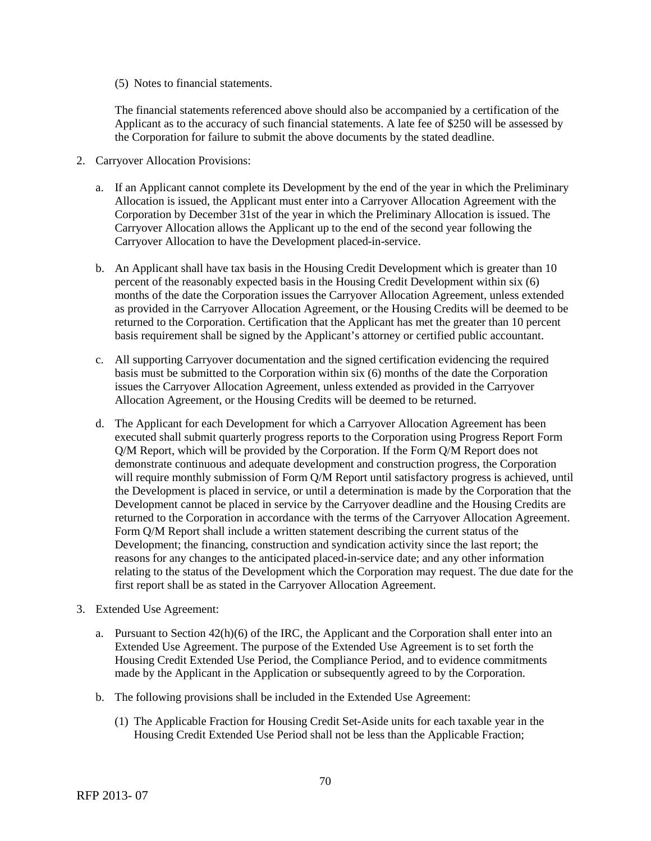(5) Notes to financial statements.

The financial statements referenced above should also be accompanied by a certification of the Applicant as to the accuracy of such financial statements. A late fee of \$250 will be assessed by the Corporation for failure to submit the above documents by the stated deadline.

- 2. Carryover Allocation Provisions:
	- a. If an Applicant cannot complete its Development by the end of the year in which the Preliminary Allocation is issued, the Applicant must enter into a Carryover Allocation Agreement with the Corporation by December 31st of the year in which the Preliminary Allocation is issued. The Carryover Allocation allows the Applicant up to the end of the second year following the Carryover Allocation to have the Development placed-in-service.
	- b. An Applicant shall have tax basis in the Housing Credit Development which is greater than 10 percent of the reasonably expected basis in the Housing Credit Development within six (6) months of the date the Corporation issues the Carryover Allocation Agreement, unless extended as provided in the Carryover Allocation Agreement, or the Housing Credits will be deemed to be returned to the Corporation. Certification that the Applicant has met the greater than 10 percent basis requirement shall be signed by the Applicant's attorney or certified public accountant.
	- c. All supporting Carryover documentation and the signed certification evidencing the required basis must be submitted to the Corporation within six (6) months of the date the Corporation issues the Carryover Allocation Agreement, unless extended as provided in the Carryover Allocation Agreement, or the Housing Credits will be deemed to be returned.
	- d. The Applicant for each Development for which a Carryover Allocation Agreement has been executed shall submit quarterly progress reports to the Corporation using Progress Report Form Q/M Report, which will be provided by the Corporation. If the Form Q/M Report does not demonstrate continuous and adequate development and construction progress, the Corporation will require monthly submission of Form Q/M Report until satisfactory progress is achieved, until the Development is placed in service, or until a determination is made by the Corporation that the Development cannot be placed in service by the Carryover deadline and the Housing Credits are returned to the Corporation in accordance with the terms of the Carryover Allocation Agreement. Form Q/M Report shall include a written statement describing the current status of the Development; the financing, construction and syndication activity since the last report; the reasons for any changes to the anticipated placed-in-service date; and any other information relating to the status of the Development which the Corporation may request. The due date for the first report shall be as stated in the Carryover Allocation Agreement.
- 3. Extended Use Agreement:
	- a. Pursuant to Section  $42(h)(6)$  of the IRC, the Applicant and the Corporation shall enter into an Extended Use Agreement. The purpose of the Extended Use Agreement is to set forth the Housing Credit Extended Use Period, the Compliance Period, and to evidence commitments made by the Applicant in the Application or subsequently agreed to by the Corporation.
	- b. The following provisions shall be included in the Extended Use Agreement:
		- (1) The Applicable Fraction for Housing Credit Set-Aside units for each taxable year in the Housing Credit Extended Use Period shall not be less than the Applicable Fraction;